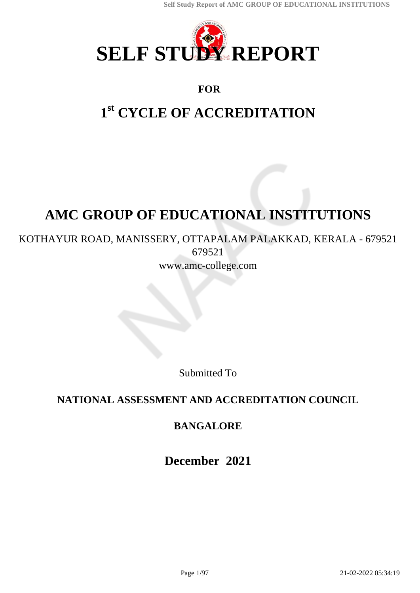

## **FOR**

# **1 st CYCLE OF ACCREDITATION**

# **AMC GROUP OF EDUCATIONAL INSTITUTIONS**

KOTHAYUR ROAD, MANISSERY, OTTAPALAM PALAKKAD, KERALA - 679521 679521

www.amc-college.com

Submitted To

## **NATIONAL ASSESSMENT AND ACCREDITATION COUNCIL**

## **BANGALORE**

**December 2021**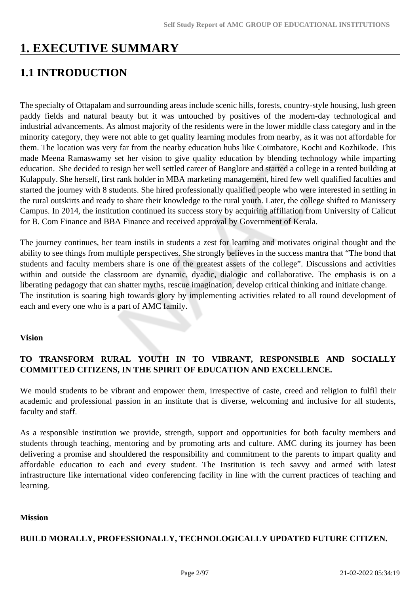## **1. EXECUTIVE SUMMARY**

## **1.1 INTRODUCTION**

The specialty of Ottapalam and surrounding areas include scenic hills, forests, country-style housing, lush green paddy fields and natural beauty but it was untouched by positives of the modern-day technological and industrial advancements. As almost majority of the residents were in the lower middle class category and in the minority category, they were not able to get quality learning modules from nearby, as it was not affordable for them. The location was very far from the nearby education hubs like Coimbatore, Kochi and Kozhikode. This made Meena Ramaswamy set her vision to give quality education by blending technology while imparting education. She decided to resign her well settled career of Banglore and started a college in a rented building at Kulappuly. She herself, first rank holder in MBA marketing management, hired few well qualified faculties and started the journey with 8 students. She hired professionally qualified people who were interested in settling in the rural outskirts and ready to share their knowledge to the rural youth. Later, the college shifted to Manissery Campus. In 2014, the institution continued its success story by acquiring affiliation from University of Calicut for B. Com Finance and BBA Finance and received approval by Government of Kerala.

The journey continues, her team instils in students a zest for learning and motivates original thought and the ability to see things from multiple perspectives. She strongly believes in the success mantra that "The bond that students and faculty members share is one of the greatest assets of the college". Discussions and activities within and outside the classroom are dynamic, dyadic, dialogic and collaborative. The emphasis is on a liberating pedagogy that can shatter myths, rescue imagination, develop critical thinking and initiate change. The institution is soaring high towards glory by implementing activities related to all round development of each and every one who is a part of AMC family.

### **Vision**

### **TO TRANSFORM RURAL YOUTH IN TO VIBRANT, RESPONSIBLE AND SOCIALLY COMMITTED CITIZENS, IN THE SPIRIT OF EDUCATION AND EXCELLENCE.**

We mould students to be vibrant and empower them, irrespective of caste, creed and religion to fulfil their academic and professional passion in an institute that is diverse, welcoming and inclusive for all students, faculty and staff.

As a responsible institution we provide, strength, support and opportunities for both faculty members and students through teaching, mentoring and by promoting arts and culture. AMC during its journey has been delivering a promise and shouldered the responsibility and commitment to the parents to impart quality and affordable education to each and every student. The Institution is tech savvy and armed with latest infrastructure like international video conferencing facility in line with the current practices of teaching and learning.

### **Mission**

### **BUILD MORALLY, PROFESSIONALLY, TECHNOLOGICALLY UPDATED FUTURE CITIZEN.**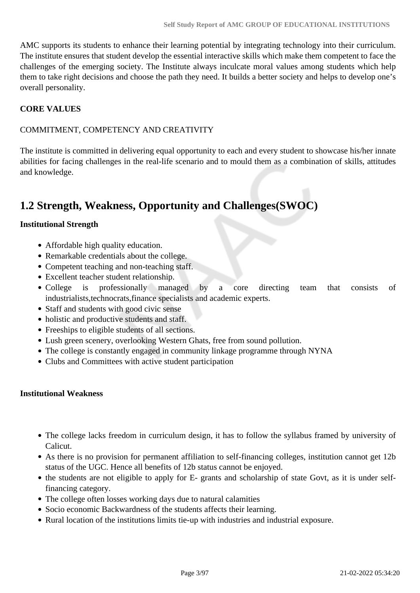AMC supports its students to enhance their learning potential by integrating technology into their curriculum. The institute ensures that student develop the essential interactive skills which make them competent to face the challenges of the emerging society. The Institute always inculcate moral values among students which help them to take right decisions and choose the path they need. It builds a better society and helps to develop one's overall personality.

### **CORE VALUES**

### COMMITMENT, COMPETENCY AND CREATIVITY

The institute is committed in delivering equal opportunity to each and every student to showcase his/her innate abilities for facing challenges in the real-life scenario and to mould them as a combination of skills, attitudes and knowledge.

## **1.2 Strength, Weakness, Opportunity and Challenges(SWOC)**

### **Institutional Strength**

- Affordable high quality education.
- Remarkable credentials about the college.
- Competent teaching and non-teaching staff.
- Excellent teacher student relationship.
- College is professionally managed by a core directing team that consists of industrialists,technocrats,finance specialists and academic experts.
- Staff and students with good civic sense
- holistic and productive students and staff.
- Freeships to eligible students of all sections.
- Lush green scenery, overlooking Western Ghats, free from sound pollution.
- The college is constantly engaged in community linkage programme through NYNA
- Clubs and Committees with active student participation

### **Institutional Weakness**

- The college lacks freedom in curriculum design, it has to follow the syllabus framed by university of Calicut.
- As there is no provision for permanent affiliation to self-financing colleges, institution cannot get 12b status of the UGC. Hence all benefits of 12b status cannot be enjoyed.
- the students are not eligible to apply for E- grants and scholarship of state Govt, as it is under selffinancing category.
- The college often losses working days due to natural calamities
- Socio economic Backwardness of the students affects their learning.
- Rural location of the institutions limits tie-up with industries and industrial exposure.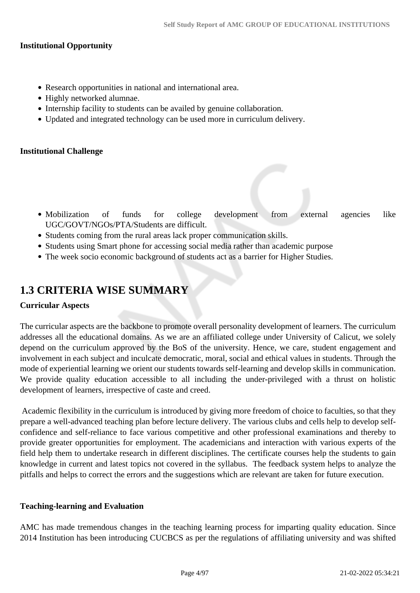### **Institutional Opportunity**

- Research opportunities in national and international area.
- Highly networked alumnae.
- Internship facility to students can be availed by genuine collaboration.
- Updated and integrated technology can be used more in curriculum delivery.

### **Institutional Challenge**

- Mobilization of funds for college development from external agencies like UGC/GOVT/NGOs/PTA/Students are difficult.
- Students coming from the rural areas lack proper communication skills.
- Students using Smart phone for accessing social media rather than academic purpose
- The week socio economic background of students act as a barrier for Higher Studies.

### **1.3 CRITERIA WISE SUMMARY**

### **Curricular Aspects**

The curricular aspects are the backbone to promote overall personality development of learners. The curriculum addresses all the educational domains. As we are an affiliated college under University of Calicut, we solely depend on the curriculum approved by the BoS of the university. Hence, we care, student engagement and involvement in each subject and inculcate democratic, moral, social and ethical values in students. Through the mode of experiential learning we orient our students towards self-learning and develop skills in communication. We provide quality education accessible to all including the under-privileged with a thrust on holistic development of learners, irrespective of caste and creed.

 Academic flexibility in the curriculum is introduced by giving more freedom of choice to faculties, so that they prepare a well-advanced teaching plan before lecture delivery. The various clubs and cells help to develop selfconfidence and self-reliance to face various competitive and other professional examinations and thereby to provide greater opportunities for employment. The academicians and interaction with various experts of the field help them to undertake research in different disciplines. The certificate courses help the students to gain knowledge in current and latest topics not covered in the syllabus. The feedback system helps to analyze the pitfalls and helps to correct the errors and the suggestions which are relevant are taken for future execution.

### **Teaching-learning and Evaluation**

AMC has made tremendous changes in the teaching learning process for imparting quality education. Since 2014 Institution has been introducing CUCBCS as per the regulations of affiliating university and was shifted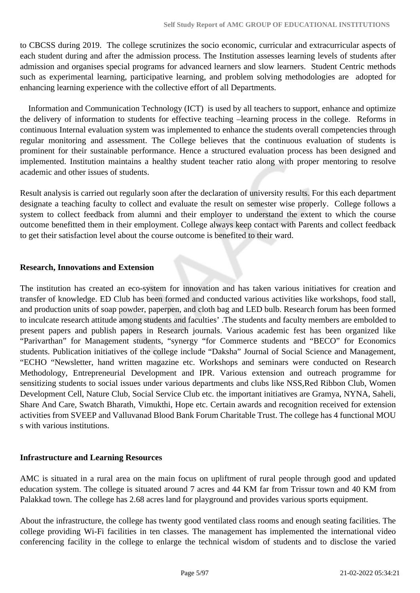to CBCSS during 2019. The college scrutinizes the socio economic, curricular and extracurricular aspects of each student during and after the admission process. The Institution assesses learning levels of students after admission and organises special programs for advanced learners and slow learners. Student Centric methods such as experimental learning, participative learning, and problem solving methodologies are adopted for enhancing learning experience with the collective effort of all Departments.

 Information and Communication Technology (ICT) is used by all teachers to support, enhance and optimize the delivery of information to students for effective teaching –learning process in the college. Reforms in continuous Internal evaluation system was implemented to enhance the students overall competencies through regular monitoring and assessment. The College believes that the continuous evaluation of students is prominent for their sustainable performance. Hence a structured evaluation process has been designed and implemented. Institution maintains a healthy student teacher ratio along with proper mentoring to resolve academic and other issues of students.

Result analysis is carried out regularly soon after the declaration of university results. For this each department designate a teaching faculty to collect and evaluate the result on semester wise properly. College follows a system to collect feedback from alumni and their employer to understand the extent to which the course outcome benefitted them in their employment. College always keep contact with Parents and collect feedback to get their satisfaction level about the course outcome is benefited to their ward.

### **Research, Innovations and Extension**

The institution has created an eco-system for innovation and has taken various initiatives for creation and transfer of knowledge. ED Club has been formed and conducted various activities like workshops, food stall, and production units of soap powder, paperpen, and cloth bag and LED bulb. Research forum has been formed to inculcate research attitude among students and faculties' .The students and faculty members are embolded to present papers and publish papers in Research journals. Various academic fest has been organized like "Parivarthan" for Management students, "synergy "for Commerce students and "BECO" for Economics students. Publication initiatives of the college include "Daksha" Journal of Social Science and Management, "ECHO "Newsletter, hand written magazine etc. Workshops and seminars were conducted on Research Methodology, Entrepreneurial Development and IPR. Various extension and outreach programme for sensitizing students to social issues under various departments and clubs like NSS,Red Ribbon Club, Women Development Cell, Nature Club, Social Service Club etc. the important initiatives are Gramya, NYNA, Saheli, Share And Care, Swatch Bharath, Vimukthi, Hope etc. Certain awards and recognition received for extension activities from SVEEP and Valluvanad Blood Bank Forum Charitable Trust. The college has 4 functional MOU s with various institutions.

### **Infrastructure and Learning Resources**

AMC is situated in a rural area on the main focus on upliftment of rural people through good and updated education system. The college is situated around 7 acres and 44 KM far from Trissur town and 40 KM from Palakkad town. The college has 2.68 acres land for playground and provides various sports equipment.

About the infrastructure, the college has twenty good ventilated class rooms and enough seating facilities. The college providing Wi-Fi facilities in ten classes. The management has implemented the international video conferencing facility in the college to enlarge the technical wisdom of students and to disclose the varied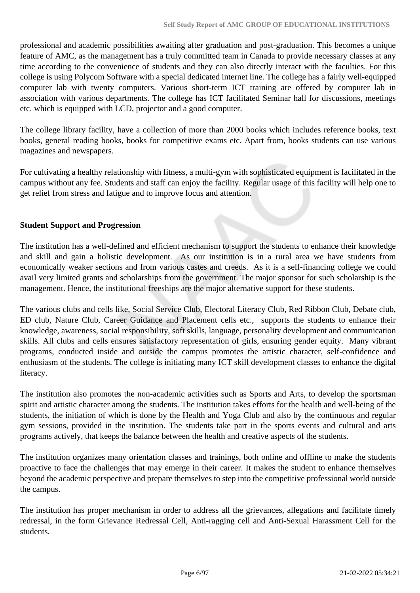professional and academic possibilities awaiting after graduation and post-graduation. This becomes a unique feature of AMC, as the management has a truly committed team in Canada to provide necessary classes at any time according to the convenience of students and they can also directly interact with the faculties. For this college is using Polycom Software with a special dedicated internet line. The college has a fairly well-equipped computer lab with twenty computers. Various short-term ICT training are offered by computer lab in association with various departments. The college has ICT facilitated Seminar hall for discussions, meetings etc. which is equipped with LCD, projector and a good computer.

The college library facility, have a collection of more than 2000 books which includes reference books, text books, general reading books, books for competitive exams etc. Apart from, books students can use various magazines and newspapers.

For cultivating a healthy relationship with fitness, a multi-gym with sophisticated equipment is facilitated in the campus without any fee. Students and staff can enjoy the facility. Regular usage of this facility will help one to get relief from stress and fatigue and to improve focus and attention.

### **Student Support and Progression**

The institution has a well-defined and efficient mechanism to support the students to enhance their knowledge and skill and gain a holistic development. As our institution is in a rural area we have students from economically weaker sections and from various castes and creeds. As it is a self-financing college we could avail very limited grants and scholarships from the government. The major sponsor for such scholarship is the management. Hence, the institutional freeships are the major alternative support for these students.

The various clubs and cells like, Social Service Club, Electoral Literacy Club, Red Ribbon Club, Debate club, ED club, Nature Club, Career Guidance and Placement cells etc., supports the students to enhance their knowledge, awareness, social responsibility, soft skills, language, personality development and communication skills. All clubs and cells ensures satisfactory representation of girls, ensuring gender equity. Many vibrant programs, conducted inside and outside the campus promotes the artistic character, self-confidence and enthusiasm of the students. The college is initiating many ICT skill development classes to enhance the digital literacy.

The institution also promotes the non-academic activities such as Sports and Arts, to develop the sportsman spirit and artistic character among the students. The institution takes efforts for the health and well-being of the students, the initiation of which is done by the Health and Yoga Club and also by the continuous and regular gym sessions, provided in the institution. The students take part in the sports events and cultural and arts programs actively, that keeps the balance between the health and creative aspects of the students.

The institution organizes many orientation classes and trainings, both online and offline to make the students proactive to face the challenges that may emerge in their career. It makes the student to enhance themselves beyond the academic perspective and prepare themselves to step into the competitive professional world outside the campus.

The institution has proper mechanism in order to address all the grievances, allegations and facilitate timely redressal, in the form Grievance Redressal Cell, Anti-ragging cell and Anti-Sexual Harassment Cell for the students.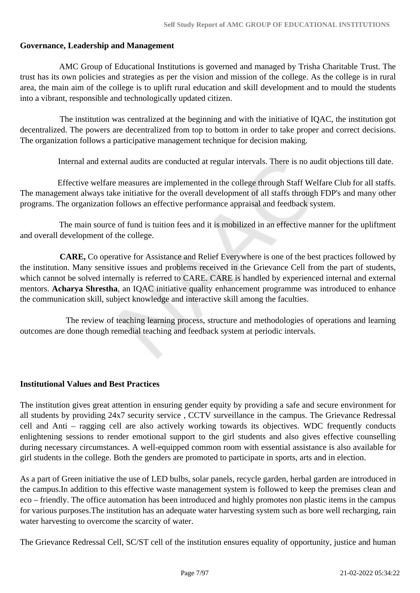### **Governance, Leadership and Management**

 AMC Group of Educational Institutions is governed and managed by Trisha Charitable Trust. The trust has its own policies and strategies as per the vision and mission of the college. As the college is in rural area, the main aim of the college is to uplift rural education and skill development and to mould the students into a vibrant, responsible and technologically updated citizen.

 The institution was centralized at the beginning and with the initiative of IQAC, the institution got decentralized. The powers are decentralized from top to bottom in order to take proper and correct decisions. The organization follows a participative management technique for decision making.

Internal and external audits are conducted at regular intervals. There is no audit objections till date.

 Effective welfare measures are implemented in the college through Staff Welfare Club for all staffs. The management always take initiative for the overall development of all staffs through FDP's and many other programs. The organization follows an effective performance appraisal and feedback system.

 The main source of fund is tuition fees and it is mobilized in an effective manner for the upliftment and overall development of the college.

 **CARE,** Co operative for Assistance and Relief Everywhere is one of the best practices followed by the institution. Many sensitive issues and problems received in the Grievance Cell from the part of students, which cannot be solved internally is referred to CARE. CARE is handled by experienced internal and external mentors. **Acharya Shrestha**, an IQAC initiative quality enhancement programme was introduced to enhance the communication skill, subject knowledge and interactive skill among the faculties.

 The review of teaching learning process, structure and methodologies of operations and learning outcomes are done though remedial teaching and feedback system at periodic intervals.

### **Institutional Values and Best Practices**

The institution gives great attention in ensuring gender equity by providing a safe and secure environment for all students by providing 24x7 security service , CCTV surveillance in the campus. The Grievance Redressal cell and Anti – ragging cell are also actively working towards its objectives. WDC frequently conducts enlightening sessions to render emotional support to the girl students and also gives effective counselling during necessary circumstances. A well-equipped common room with essential assistance is also available for girl students in the college. Both the genders are promoted to participate in sports, arts and in election.

As a part of Green initiative the use of LED bulbs, solar panels, recycle garden, herbal garden are introduced in the campus.In addition to this effective waste management system is followed to keep the premises clean and eco – friendly. The office automation has been introduced and highly promotes non plastic items in the campus for various purposes.The institution has an adequate water harvesting system such as bore well recharging, rain water harvesting to overcome the scarcity of water.

The Grievance Redressal Cell, SC/ST cell of the institution ensures equality of opportunity, justice and human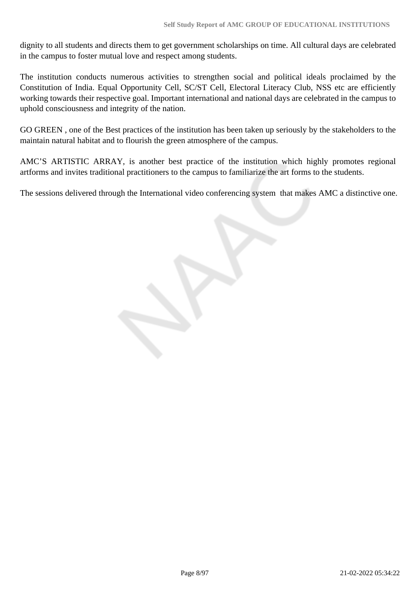dignity to all students and directs them to get government scholarships on time. All cultural days are celebrated in the campus to foster mutual love and respect among students.

The institution conducts numerous activities to strengthen social and political ideals proclaimed by the Constitution of India. Equal Opportunity Cell, SC/ST Cell, Electoral Literacy Club, NSS etc are efficiently working towards their respective goal. Important international and national days are celebrated in the campus to uphold consciousness and integrity of the nation.

GO GREEN , one of the Best practices of the institution has been taken up seriously by the stakeholders to the maintain natural habitat and to flourish the green atmosphere of the campus.

AMC'S ARTISTIC ARRAY, is another best practice of the institution which highly promotes regional artforms and invites traditional practitioners to the campus to familiarize the art forms to the students.

The sessions delivered through the International video conferencing system that makes AMC a distinctive one.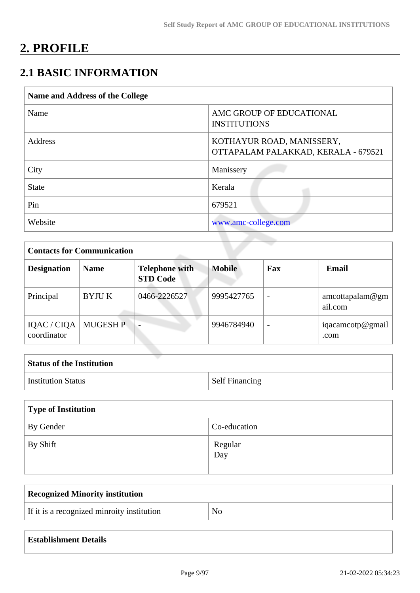## **2. PROFILE**

## **2.1 BASIC INFORMATION**

| AMC GROUP OF EDUCATIONAL<br><b>INSTITUTIONS</b><br>KOTHAYUR ROAD, MANISSERY, |
|------------------------------------------------------------------------------|
|                                                                              |
| OTTAPALAM PALAKKAD, KERALA - 679521                                          |
| Manissery                                                                    |
|                                                                              |
|                                                                              |
| www.amc-college.com                                                          |
|                                                                              |

| <b>Contacts for Communication</b> |                 |                                          |               |                          |                            |  |  |  |  |
|-----------------------------------|-----------------|------------------------------------------|---------------|--------------------------|----------------------------|--|--|--|--|
| <b>Designation</b>                | <b>Name</b>     | <b>Telephone with</b><br><b>STD Code</b> | <b>Mobile</b> | Fax                      | <b>Email</b>               |  |  |  |  |
| Principal                         | BYJU K          | 0466-2226527                             | 9995427765    | $\overline{\phantom{0}}$ | amcottapalam@gm<br>ail.com |  |  |  |  |
| IQAC / CIQA<br>coordinator        | <b>MUGESH P</b> |                                          | 9946784940    |                          | iqacamcotp@gmail<br>.com   |  |  |  |  |

| <b>Status of the Institution</b> |                       |
|----------------------------------|-----------------------|
| <b>Institution Status</b>        | <b>Self Financing</b> |

| Type of Institution |                |
|---------------------|----------------|
| By Gender           | Co-education   |
| By Shift            | Regular<br>Day |

| <b>Recognized Minority institution</b>     |    |
|--------------------------------------------|----|
| If it is a recognized minroity institution | No |

### **Establishment Details**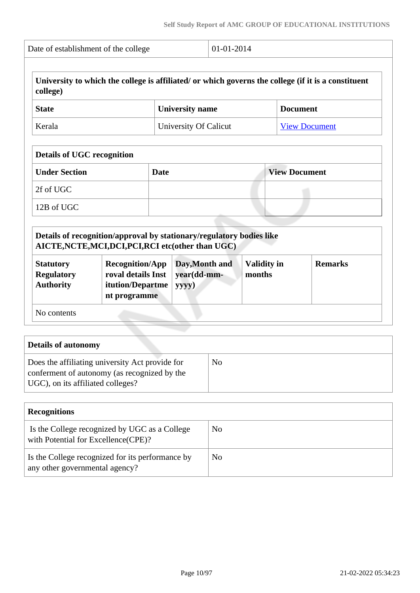| college)                                                  |                                              | University to which the college is affiliated/ or which governs the college (if it is a constituent                                                                   |                              |                      |  |
|-----------------------------------------------------------|----------------------------------------------|-----------------------------------------------------------------------------------------------------------------------------------------------------------------------|------------------------------|----------------------|--|
| <b>State</b>                                              |                                              | <b>University name</b>                                                                                                                                                | <b>Document</b>              |                      |  |
| Kerala                                                    |                                              | University Of Calicut                                                                                                                                                 |                              | <b>View Document</b> |  |
| <b>Details of UGC recognition</b>                         |                                              |                                                                                                                                                                       |                              |                      |  |
| <b>Under Section</b>                                      |                                              | <b>Date</b>                                                                                                                                                           |                              | <b>View Document</b> |  |
| 2f of UGC                                                 |                                              |                                                                                                                                                                       |                              |                      |  |
| 12B of UGC                                                |                                              |                                                                                                                                                                       |                              |                      |  |
|                                                           | <b>Recognition/App</b><br>roval details Inst | Details of recognition/approval by stationary/regulatory bodies like<br>AICTE, NCTE, MCI, DCI, PCI, RCI etc(other than UGC)<br>Day, Month and<br>year(dd-mm-<br>yyyy) | <b>Validity in</b><br>months | <b>Remarks</b>       |  |
| <b>Statutory</b><br><b>Regulatory</b><br><b>Authority</b> | itution/Departme<br>nt programme             |                                                                                                                                                                       |                              |                      |  |

| Does the affiliating university Act provide for | N <sub>0</sub> |
|-------------------------------------------------|----------------|
| conferment of autonomy (as recognized by the    |                |
| UGC), on its affiliated colleges?               |                |

| <b>Recognitions</b>                                                                  |                |
|--------------------------------------------------------------------------------------|----------------|
| Is the College recognized by UGC as a College<br>with Potential for Excellence(CPE)? | N <sub>0</sub> |
| Is the College recognized for its performance by<br>any other governmental agency?   | No             |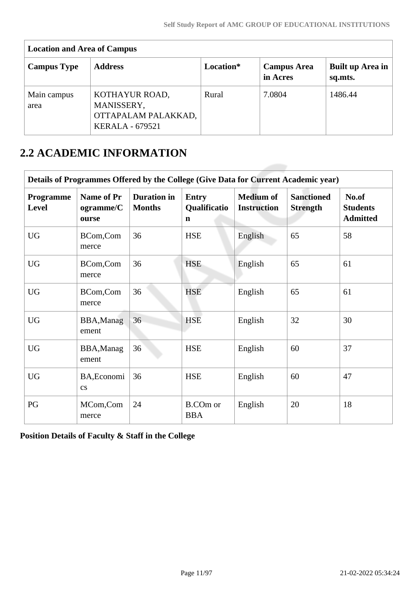| <b>Location and Area of Campus</b> |                                                                               |           |                                |                             |  |  |  |  |  |
|------------------------------------|-------------------------------------------------------------------------------|-----------|--------------------------------|-----------------------------|--|--|--|--|--|
| <b>Campus Type</b>                 | <b>Address</b>                                                                | Location* | <b>Campus Area</b><br>in Acres | Built up Area in<br>sq.mts. |  |  |  |  |  |
| Main campus<br>area                | KOTHAYUR ROAD,<br>MANISSERY,<br>OTTAPALAM PALAKKAD,<br><b>KERALA - 679521</b> | Rural     | 7.0804                         | 1486.44                     |  |  |  |  |  |

## **2.2 ACADEMIC INFORMATION**

| Details of Programmes Offered by the College (Give Data for Current Academic year) |                                       |                                     |                                             |                                        |                                      |                                             |  |  |
|------------------------------------------------------------------------------------|---------------------------------------|-------------------------------------|---------------------------------------------|----------------------------------------|--------------------------------------|---------------------------------------------|--|--|
| <b>Programme</b><br><b>Level</b>                                                   | Name of Pr<br>ogramme/C<br>ourse      | <b>Duration</b> in<br><b>Months</b> | <b>Entry</b><br>Qualificatio<br>$\mathbf n$ | <b>Medium of</b><br><b>Instruction</b> | <b>Sanctioned</b><br><b>Strength</b> | No.of<br><b>Students</b><br><b>Admitted</b> |  |  |
| <b>UG</b>                                                                          | BCom,Com<br>merce                     | 36                                  | <b>HSE</b>                                  | English                                | 65                                   | 58                                          |  |  |
| <b>UG</b>                                                                          | BCom, Com<br>merce                    | 36                                  | <b>HSE</b>                                  | English                                | 65                                   | 61                                          |  |  |
| <b>UG</b>                                                                          | BCom,Com<br>merce                     | 36                                  | <b>HSE</b>                                  | English                                | 65                                   | 61                                          |  |  |
| <b>UG</b>                                                                          | BBA, Manag<br>ement                   | 36                                  | <b>HSE</b>                                  | English                                | 32                                   | 30                                          |  |  |
| <b>UG</b>                                                                          | BBA, Manag<br>ement                   | 36                                  | <b>HSE</b>                                  | English                                | 60                                   | 37                                          |  |  |
| <b>UG</b>                                                                          | BA, Economi<br>$\mathbf{c}\mathbf{s}$ | 36                                  | <b>HSE</b>                                  | English                                | 60                                   | 47                                          |  |  |
| PG                                                                                 | MCom,Com<br>merce                     | 24                                  | <b>B.COm or</b><br><b>BBA</b>               | English                                | 20                                   | 18                                          |  |  |

**Position Details of Faculty & Staff in the College**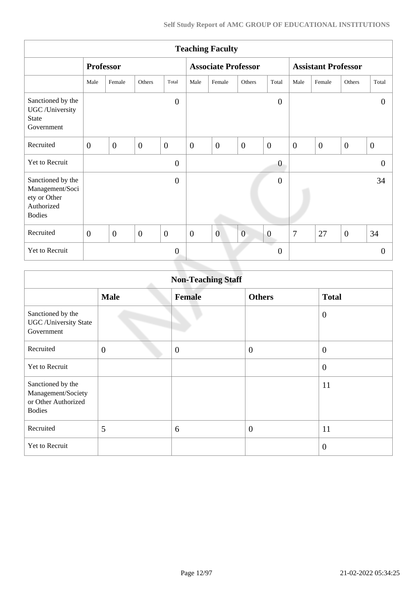| <b>Teaching Faculty</b>                                                             |                |                  |                |                |                |                            |                |                  |                            |                |                |                  |
|-------------------------------------------------------------------------------------|----------------|------------------|----------------|----------------|----------------|----------------------------|----------------|------------------|----------------------------|----------------|----------------|------------------|
|                                                                                     |                | <b>Professor</b> |                |                |                | <b>Associate Professor</b> |                |                  | <b>Assistant Professor</b> |                |                |                  |
|                                                                                     | Male           | Female           | Others         | Total          | Male           | Female                     | Others         | Total            | Male                       | Female         | Others         | Total            |
| Sanctioned by the<br>UGC /University<br><b>State</b><br>Government                  |                |                  |                | $\overline{0}$ |                |                            |                | $\boldsymbol{0}$ |                            |                |                | $\theta$         |
| Recruited                                                                           | $\overline{0}$ | $\overline{0}$   | $\overline{0}$ | $\overline{0}$ | $\overline{0}$ | $\mathbf{0}$               | $\overline{0}$ | $\overline{0}$   | $\overline{0}$             | $\overline{0}$ | $\overline{0}$ | $\boldsymbol{0}$ |
| Yet to Recruit                                                                      |                |                  |                | $\overline{0}$ |                |                            |                | $\overline{0}$   |                            |                |                | $\overline{0}$   |
| Sanctioned by the<br>Management/Soci<br>ety or Other<br>Authorized<br><b>Bodies</b> |                |                  |                | $\overline{0}$ |                |                            |                | $\boldsymbol{0}$ |                            |                |                | 34               |
| Recruited                                                                           | $\overline{0}$ | $\overline{0}$   | $\overline{0}$ | $\overline{0}$ | $\overline{0}$ | $\overline{0}$             | $\overline{0}$ | $\boldsymbol{0}$ | $\overline{7}$             | 27             | $\overline{0}$ | 34               |
| Yet to Recruit                                                                      |                |                  |                | $\overline{0}$ |                |                            |                | $\theta$         |                            |                |                | $\Omega$         |
|                                                                                     |                |                  |                |                |                |                            |                |                  |                            |                |                |                  |

| <b>Non-Teaching Staff</b>                                                       |                |               |                  |                  |  |  |  |
|---------------------------------------------------------------------------------|----------------|---------------|------------------|------------------|--|--|--|
|                                                                                 | <b>Male</b>    | <b>Female</b> | <b>Others</b>    | <b>Total</b>     |  |  |  |
| Sanctioned by the<br><b>UGC</b> / University State<br>Government                |                |               |                  | $\boldsymbol{0}$ |  |  |  |
| Recruited                                                                       | $\overline{0}$ | $\mathbf{0}$  | $\boldsymbol{0}$ | $\mathbf{0}$     |  |  |  |
| <b>Yet to Recruit</b>                                                           |                |               |                  | $\boldsymbol{0}$ |  |  |  |
| Sanctioned by the<br>Management/Society<br>or Other Authorized<br><b>Bodies</b> |                |               |                  | 11               |  |  |  |
| Recruited                                                                       | 5              | 6             | $\overline{0}$   | 11               |  |  |  |
| Yet to Recruit                                                                  |                |               |                  | $\overline{0}$   |  |  |  |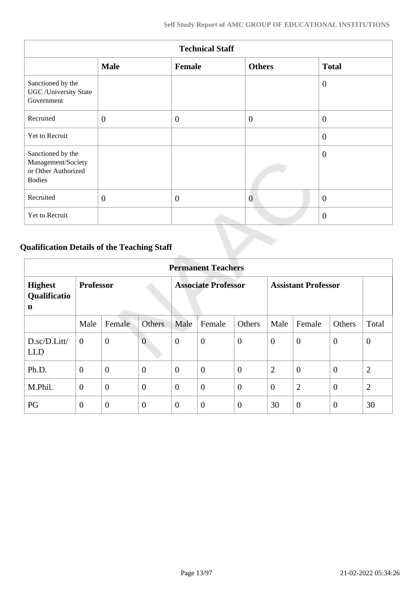|                                                                                 | <b>Technical Staff</b> |              |                |                |  |  |  |  |  |
|---------------------------------------------------------------------------------|------------------------|--------------|----------------|----------------|--|--|--|--|--|
|                                                                                 | <b>Male</b>            | Female       | <b>Others</b>  | <b>Total</b>   |  |  |  |  |  |
| Sanctioned by the<br><b>UGC</b> / University State<br>Government                |                        |              |                | $\overline{0}$ |  |  |  |  |  |
| Recruited                                                                       | $\mathbf{0}$           | $\mathbf{0}$ | $\overline{0}$ | $\theta$       |  |  |  |  |  |
| Yet to Recruit                                                                  |                        |              |                | $\overline{0}$ |  |  |  |  |  |
| Sanctioned by the<br>Management/Society<br>or Other Authorized<br><b>Bodies</b> |                        |              |                | $\theta$       |  |  |  |  |  |
| Recruited                                                                       | $\mathbf{0}$           | $\theta$     | $\overline{0}$ | $\mathbf{0}$   |  |  |  |  |  |
| Yet to Recruit                                                                  |                        |              |                | $\overline{0}$ |  |  |  |  |  |

## **Qualification Details of the Teaching Staff**

| <b>Permanent Teachers</b>           |                  |                  |                |                            |                  |                            |                |                |                |                |
|-------------------------------------|------------------|------------------|----------------|----------------------------|------------------|----------------------------|----------------|----------------|----------------|----------------|
| <b>Highest</b><br>Qualificatio<br>n | <b>Professor</b> |                  |                | <b>Associate Professor</b> |                  | <b>Assistant Professor</b> |                |                |                |                |
|                                     | Male             | Female           | <b>Others</b>  | Male                       | Female           | Others                     | Male           | Female         | Others         | Total          |
| D.sc/D.Litt/<br><b>LLD</b>          | $\overline{0}$   | $\overline{0}$   | $\overline{0}$ | $\overline{0}$             | $\boldsymbol{0}$ | $\overline{0}$             | $\theta$       | $\overline{0}$ | $\overline{0}$ | $\mathbf{0}$   |
| Ph.D.                               | $\overline{0}$   | $\boldsymbol{0}$ | $\overline{0}$ | $\overline{0}$             | $\overline{0}$   | $\overline{0}$             | 2              | $\overline{0}$ | $\overline{0}$ | $\overline{2}$ |
| M.Phil.                             | $\boldsymbol{0}$ | $\overline{0}$   | $\overline{0}$ | $\overline{0}$             | $\overline{0}$   | $\overline{0}$             | $\overline{0}$ | $\overline{2}$ | $\overline{0}$ | 2              |
| PG                                  | $\overline{0}$   | $\overline{0}$   | $\overline{0}$ | $\overline{0}$             | $\overline{0}$   | $\overline{0}$             | 30             | $\overline{0}$ | $\overline{0}$ | 30             |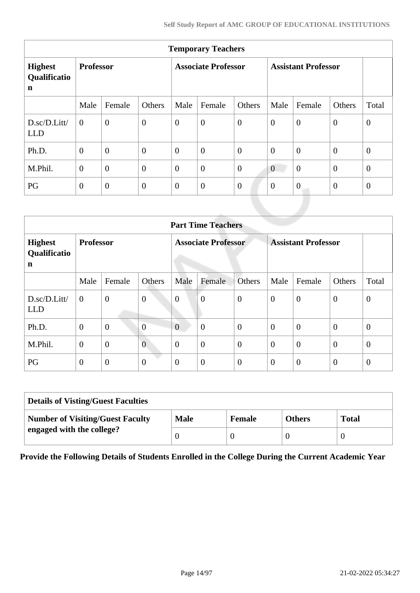| <b>Temporary Teachers</b>                     |                  |                |                |                            |                |                |                  |                            |                |                  |  |
|-----------------------------------------------|------------------|----------------|----------------|----------------------------|----------------|----------------|------------------|----------------------------|----------------|------------------|--|
| <b>Highest</b><br>Qualificatio<br>$\mathbf n$ | <b>Professor</b> |                |                | <b>Associate Professor</b> |                |                |                  | <b>Assistant Professor</b> |                |                  |  |
|                                               | Male             | Female         | Others         | Male                       | Female         | Others         | Male             | Female                     | Others         | Total            |  |
| D.sc/D.Litt/<br><b>LLD</b>                    | $\overline{0}$   | $\overline{0}$ | $\overline{0}$ | $\boldsymbol{0}$           | $\overline{0}$ | $\overline{0}$ | $\overline{0}$   | $\overline{0}$             | $\mathbf{0}$   | $\boldsymbol{0}$ |  |
| Ph.D.                                         | $\overline{0}$   | $\overline{0}$ | $\theta$       | $\theta$                   | $\overline{0}$ | $\overline{0}$ | $\theta$         | $\overline{0}$             | $\overline{0}$ | $\mathbf{0}$     |  |
| M.Phil.                                       | $\mathbf{0}$     | $\overline{0}$ | $\overline{0}$ | $\overline{0}$             | $\theta$       | $\overline{0}$ | $\boldsymbol{0}$ | $\overline{0}$             | $\mathbf{0}$   | $\overline{0}$   |  |
| PG                                            | $\overline{0}$   | $\overline{0}$ | $\overline{0}$ | $\overline{0}$             | $\overline{0}$ | $\overline{0}$ | $\theta$         | $\overline{0}$             | $\mathbf{0}$   | $\mathbf{0}$     |  |
|                                               |                  |                |                |                            |                |                |                  |                            |                |                  |  |

|                                     | <b>Part Time Teachers</b> |                |                  |                            |                  |                  |                            |                |                  |                  |
|-------------------------------------|---------------------------|----------------|------------------|----------------------------|------------------|------------------|----------------------------|----------------|------------------|------------------|
| <b>Highest</b><br>Qualificatio<br>n | <b>Professor</b>          |                |                  | <b>Associate Professor</b> |                  |                  | <b>Assistant Professor</b> |                |                  |                  |
|                                     | Male                      | Female         | Others           | Male                       | Female           | <b>Others</b>    | Male                       | Female         | Others           | Total            |
| D.sc/D.Litt/<br><b>LLD</b>          | $\mathbf{0}$              | $\mathbf{0}$   | $\boldsymbol{0}$ | $\boldsymbol{0}$           | $\overline{0}$   | $\boldsymbol{0}$ | $\overline{0}$             | $\overline{0}$ | $\mathbf{0}$     | $\boldsymbol{0}$ |
| Ph.D.                               | $\boldsymbol{0}$          | $\overline{0}$ | $\overline{0}$   | $\overline{0}$             | $\overline{0}$   | $\overline{0}$   | $\theta$                   | $\overline{0}$ | $\overline{0}$   | $\theta$         |
| M.Phil.                             | $\theta$                  | $\overline{0}$ | $\overline{0}$   | $\overline{0}$             | $\overline{0}$   | $\overline{0}$   | $\theta$                   | $\overline{0}$ | $\overline{0}$   | $\theta$         |
| PG                                  | $\mathbf{0}$              | $\mathbf{0}$   | $\boldsymbol{0}$ | $\overline{0}$             | $\boldsymbol{0}$ | $\theta$         | $\overline{0}$             | $\overline{0}$ | $\boldsymbol{0}$ | $\theta$         |

| <b>Details of Visting/Guest Faculties</b> |             |               |               |              |  |
|-------------------------------------------|-------------|---------------|---------------|--------------|--|
| <b>Number of Visiting/Guest Faculty</b>   | <b>Male</b> | <b>Female</b> | <b>Others</b> | <b>Total</b> |  |
| engaged with the college?                 |             |               |               |              |  |

**Provide the Following Details of Students Enrolled in the College During the Current Academic Year**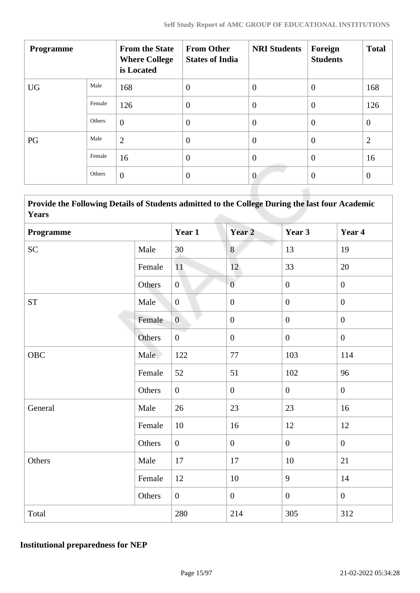| <b>Programme</b> |        | <b>From the State</b><br><b>Where College</b><br>is Located | <b>From Other</b><br><b>States of India</b> | <b>NRI Students</b> | Foreign<br><b>Students</b> | <b>Total</b>   |
|------------------|--------|-------------------------------------------------------------|---------------------------------------------|---------------------|----------------------------|----------------|
| <b>UG</b>        | Male   | 168                                                         | $\theta$                                    | $\overline{0}$      | $\overline{0}$             | 168            |
|                  | Female | 126                                                         | $\theta$                                    | $\overline{0}$      | $\overline{0}$             | 126            |
|                  | Others | $\overline{0}$                                              | $\theta$                                    | $\theta$            | $\overline{0}$             | $\overline{0}$ |
| PG               | Male   | $\overline{2}$                                              | $\overline{0}$                              | $\overline{0}$      | $\overline{0}$             | $\overline{2}$ |
|                  | Female | 16                                                          | $\theta$                                    | $\theta$            | $\overline{0}$             | 16             |
|                  | Others | $\overline{0}$                                              | $\overline{0}$                              | $\overline{0}$      | $\overline{0}$             | $\theta$       |

 **Provide the Following Details of Students admitted to the College During the last four Academic Years**

| Programme          |        | Year 1         | Year 2           | Year 3           | Year 4           |
|--------------------|--------|----------------|------------------|------------------|------------------|
| <b>SC</b>          | Male   | 30             | 8                | 13               | 19               |
|                    | Female | 11             | 12               | 33               | 20               |
|                    | Others | $\overline{0}$ | $\overline{0}$   | $\overline{0}$   | $\mathbf{0}$     |
| ${\cal S}{\cal T}$ | Male   | $\overline{0}$ | $\boldsymbol{0}$ | $\boldsymbol{0}$ | $\boldsymbol{0}$ |
|                    | Female | $\overline{0}$ | $\boldsymbol{0}$ | $\boldsymbol{0}$ | $\overline{0}$   |
|                    | Others | $\overline{0}$ | $\boldsymbol{0}$ | $\mathbf{0}$     | $\overline{0}$   |
| OBC                | Male   | 122            | 77               | 103              | 114              |
|                    | Female | 52             | 51               | $102\,$          | 96               |
|                    | Others | $\overline{0}$ | $\overline{0}$   | $\mathbf{0}$     | $\overline{0}$   |
| General            | Male   | 26             | 23               | 23               | 16               |
|                    | Female | $10\,$         | 16               | 12               | 12               |
|                    | Others | $\overline{0}$ | $\overline{0}$   | $\mathbf{0}$     | $\overline{0}$   |
| Others             | Male   | 17             | 17               | 10               | 21               |
|                    | Female | 12             | 10               | 9                | 14               |
|                    | Others | $\overline{0}$ | $\boldsymbol{0}$ | $\overline{0}$   | $\overline{0}$   |
| Total              |        | 280            | 214              | 305              | 312              |

### **Institutional preparedness for NEP**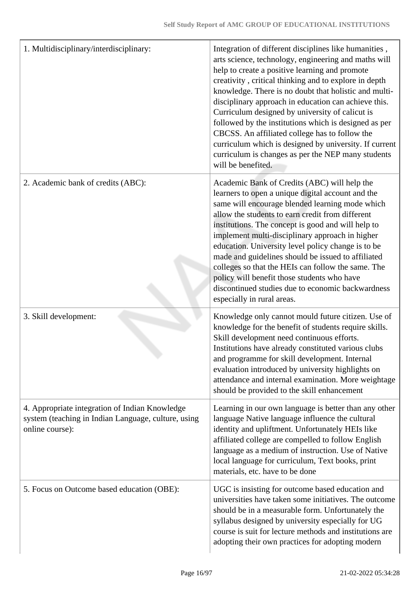| 1. Multidisciplinary/interdisciplinary:                                                                                  | Integration of different disciplines like humanities,<br>arts science, technology, engineering and maths will<br>help to create a positive learning and promote<br>creativity, critical thinking and to explore in depth<br>knowledge. There is no doubt that holistic and multi-<br>disciplinary approach in education can achieve this.<br>Curriculum designed by university of calicut is<br>followed by the institutions which is designed as per<br>CBCSS. An affiliated college has to follow the<br>curriculum which is designed by university. If current<br>curriculum is changes as per the NEP many students<br>will be benefited. |
|--------------------------------------------------------------------------------------------------------------------------|-----------------------------------------------------------------------------------------------------------------------------------------------------------------------------------------------------------------------------------------------------------------------------------------------------------------------------------------------------------------------------------------------------------------------------------------------------------------------------------------------------------------------------------------------------------------------------------------------------------------------------------------------|
| 2. Academic bank of credits (ABC):                                                                                       | Academic Bank of Credits (ABC) will help the<br>learners to open a unique digital account and the<br>same will encourage blended learning mode which<br>allow the students to earn credit from different<br>institutions. The concept is good and will help to<br>implement multi-disciplinary approach in higher<br>education. University level policy change is to be<br>made and guidelines should be issued to affiliated<br>colleges so that the HEIs can follow the same. The<br>policy will benefit those students who have<br>discontinued studies due to economic backwardness<br>especially in rural areas.                         |
| 3. Skill development:                                                                                                    | Knowledge only cannot mould future citizen. Use of<br>knowledge for the benefit of students require skills.<br>Skill development need continuous efforts.<br>Institutions have already constituted various clubs<br>and programme for skill development. Internal<br>evaluation introduced by university highlights on<br>attendance and internal examination. More weightage<br>should be provided to the skill enhancement                                                                                                                                                                                                                  |
| 4. Appropriate integration of Indian Knowledge<br>system (teaching in Indian Language, culture, using<br>online course): | Learning in our own language is better than any other<br>language Native language influence the cultural<br>identity and upliftment. Unfortunately HEIs like<br>affiliated college are compelled to follow English<br>language as a medium of instruction. Use of Native<br>local language for curriculum, Text books, print<br>materials, etc. have to be done                                                                                                                                                                                                                                                                               |
| 5. Focus on Outcome based education (OBE):                                                                               | UGC is insisting for outcome based education and<br>universities have taken some initiatives. The outcome<br>should be in a measurable form. Unfortunately the<br>syllabus designed by university especially for UG<br>course is suit for lecture methods and institutions are<br>adopting their own practices for adopting modern                                                                                                                                                                                                                                                                                                            |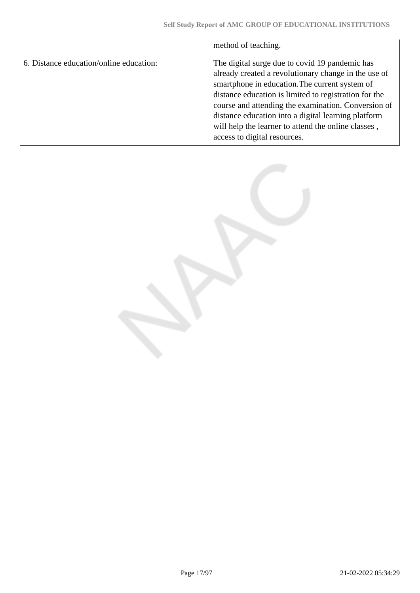|                                         | method of teaching.                                                                                                                                                                                                                                                                                                                                                                                                    |
|-----------------------------------------|------------------------------------------------------------------------------------------------------------------------------------------------------------------------------------------------------------------------------------------------------------------------------------------------------------------------------------------------------------------------------------------------------------------------|
| 6. Distance education/online education: | The digital surge due to covid 19 pandemic has<br>already created a revolutionary change in the use of<br>smartphone in education. The current system of<br>distance education is limited to registration for the<br>course and attending the examination. Conversion of<br>distance education into a digital learning platform<br>will help the learner to attend the online classes,<br>access to digital resources. |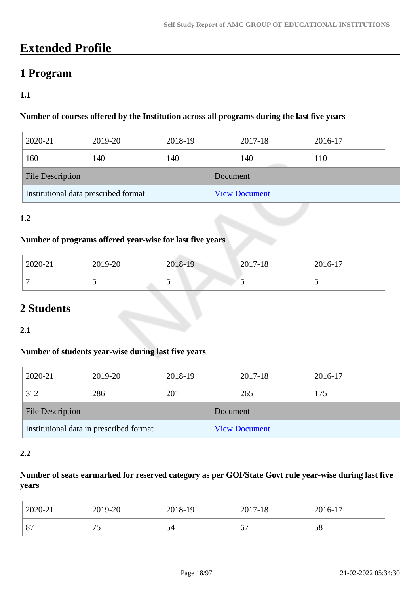## **Extended Profile**

### **1 Program**

### **1.1**

### **Number of courses offered by the Institution across all programs during the last five years**

| 2020-21                              | 2019-20 | 2018-19 |          | 2017-18              | 2016-17 |  |
|--------------------------------------|---------|---------|----------|----------------------|---------|--|
| 160                                  | 140     | 140     |          | 140                  | 110     |  |
| <b>File Description</b>              |         |         | Document |                      |         |  |
| Institutional data prescribed format |         |         |          | <b>View Document</b> |         |  |

### **1.2**

### **Number of programs offered year-wise for last five years**

| 2020-21 | 2019-20 | 2018-19 | $2017 - 18$ | $2016-17$ |
|---------|---------|---------|-------------|-----------|
|         | ັ       | ັ       | ັ           |           |

### **2 Students**

### **2.1**

### **Number of students year-wise during last five years**

| 2020-21                                 | 2019-20 | 2018-19 |          | 2017-18              | 2016-17 |  |
|-----------------------------------------|---------|---------|----------|----------------------|---------|--|
| 312                                     | 286     | 201     |          | 265                  | 175     |  |
| <b>File Description</b>                 |         |         | Document |                      |         |  |
| Institutional data in prescribed format |         |         |          | <b>View Document</b> |         |  |

### **2.2**

### **Number of seats earmarked for reserved category as per GOI/State Govt rule year-wise during last five years**

| 2020-21 | 2019-20                  | 2018-19 | 2017-18        | 2016-17 |
|---------|--------------------------|---------|----------------|---------|
| 87      | $\overline{\phantom{a}}$ | -       | ╭              | 50      |
|         | ັ                        | 54      | $\mathfrak{b}$ | Эð      |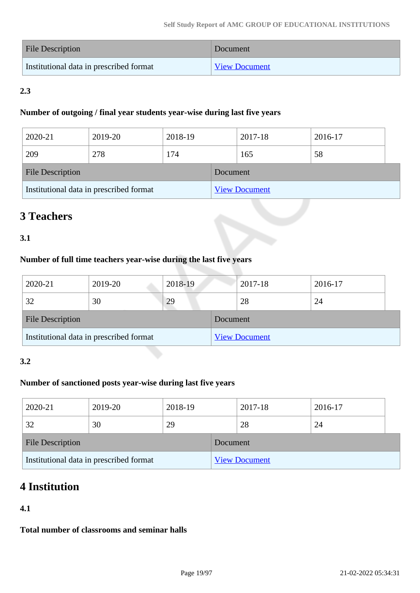| <b>File Description</b>                 | Document             |
|-----------------------------------------|----------------------|
| Institutional data in prescribed format | <b>View Document</b> |

### **2.3**

### **Number of outgoing / final year students year-wise during last five years**

| 2020-21                                 | 2019-20 | 2018-19 |          | 2017-18              | 2016-17 |  |
|-----------------------------------------|---------|---------|----------|----------------------|---------|--|
| 209                                     | 278     | 174     |          | 165                  | 58      |  |
| <b>File Description</b>                 |         |         | Document |                      |         |  |
| Institutional data in prescribed format |         |         |          | <b>View Document</b> |         |  |

## **3 Teachers**

### **3.1**

### **Number of full time teachers year-wise during the last five years**

| 2020-21                                 | 2019-20 | 2018-19 |          | 2017-18              |    | 2016-17 |  |
|-----------------------------------------|---------|---------|----------|----------------------|----|---------|--|
| 32                                      | 30      | 29      |          | 28                   | 24 |         |  |
| <b>File Description</b>                 |         |         | Document |                      |    |         |  |
| Institutional data in prescribed format |         |         |          | <b>View Document</b> |    |         |  |

### **3.2**

### **Number of sanctioned posts year-wise during last five years**

| 2020-21                                 | 2019-20 | 2018-19 |                      | 2017-18 | 2016-17 |  |
|-----------------------------------------|---------|---------|----------------------|---------|---------|--|
| 32                                      | 30      | 29      |                      | 28      | 24      |  |
| <b>File Description</b>                 |         |         | Document             |         |         |  |
| Institutional data in prescribed format |         |         | <b>View Document</b> |         |         |  |

## **4 Institution**

### **4.1**

**Total number of classrooms and seminar halls**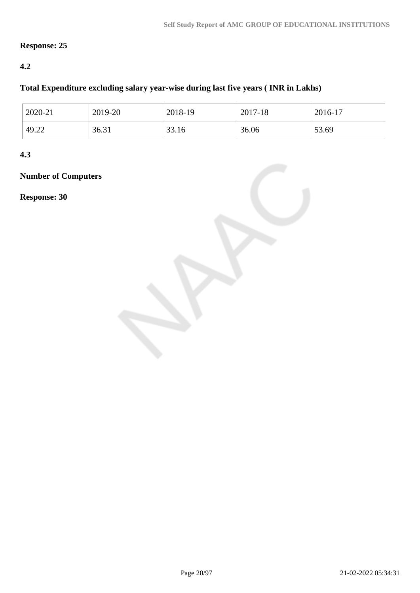### **Response: 25**

### **4.2**

### **Total Expenditure excluding salary year-wise during last five years ( INR in Lakhs)**

| 2020-21 | 2019-20 | 2018-19 | 2017-18 | 2016-17 |
|---------|---------|---------|---------|---------|
| 49.22   | 36.31   | 33.16   | 36.06   | 53.69   |

**4.3**

### **Number of Computers**

**Response: 30**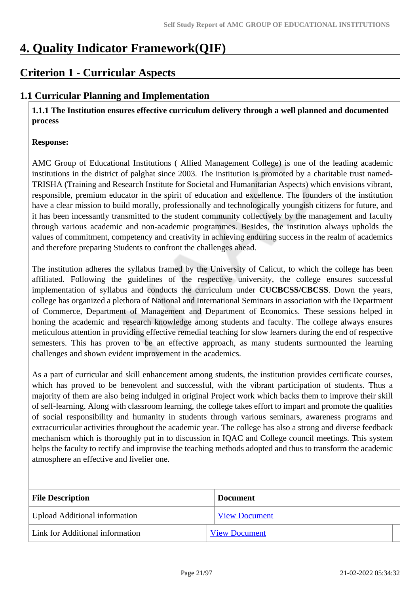## **4. Quality Indicator Framework(QIF)**

### **Criterion 1 - Curricular Aspects**

### **1.1 Curricular Planning and Implementation**

 **1.1.1 The Institution ensures effective curriculum delivery through a well planned and documented process**

### **Response:**

AMC Group of Educational Institutions ( Allied Management College) is one of the leading academic institutions in the district of palghat since 2003. The institution is promoted by a charitable trust named-TRISHA (Training and Research Institute for Societal and Humanitarian Aspects) which envisions vibrant, responsible, premium educator in the spirit of education and excellence. The founders of the institution have a clear mission to build morally, professionally and technologically youngish citizens for future, and it has been incessantly transmitted to the student community collectively by the management and faculty through various academic and non-academic programmes. Besides, the institution always upholds the values of commitment, competency and creativity in achieving enduring success in the realm of academics and therefore preparing Students to confront the challenges ahead.

The institution adheres the syllabus framed by the University of Calicut, to which the college has been affiliated. Following the guidelines of the respective university, the college ensures successful implementation of syllabus and conducts the curriculum under **CUCBCSS/CBCSS**. Down the years, college has organized a plethora of National and International Seminars in association with the Department of Commerce, Department of Management and Department of Economics. These sessions helped in honing the academic and research knowledge among students and faculty. The college always ensures meticulous attention in providing effective remedial teaching for slow learners during the end of respective semesters. This has proven to be an effective approach, as many students surmounted the learning challenges and shown evident improvement in the academics.

As a part of curricular and skill enhancement among students, the institution provides certificate courses, which has proved to be benevolent and successful, with the vibrant participation of students. Thus a majority of them are also being indulged in original Project work which backs them to improve their skill of self-learning. Along with classroom learning, the college takes effort to impart and promote the qualities of social responsibility and humanity in students through various seminars, awareness programs and extracurricular activities throughout the academic year. The college has also a strong and diverse feedback mechanism which is thoroughly put in to discussion in IQAC and College council meetings. This system helps the faculty to rectify and improvise the teaching methods adopted and thus to transform the academic atmosphere an effective and livelier one.

| <b>File Description</b>              | <b>Document</b>      |
|--------------------------------------|----------------------|
| <b>Upload Additional information</b> | <b>View Document</b> |
| Link for Additional information      | <b>View Document</b> |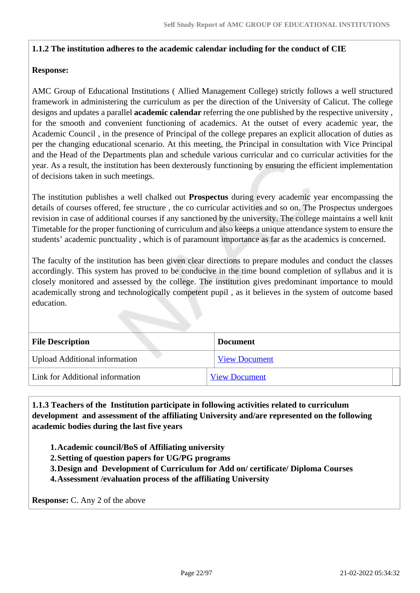### **1.1.2 The institution adheres to the academic calendar including for the conduct of CIE**

### **Response:**

AMC Group of Educational Institutions ( Allied Management College) strictly follows a well structured framework in administering the curriculum as per the direction of the University of Calicut. The college designs and updates a parallel **academic calendar** referring the one published by the respective university , for the smooth and convenient functioning of academics. At the outset of every academic year, the Academic Council , in the presence of Principal of the college prepares an explicit allocation of duties as per the changing educational scenario. At this meeting, the Principal in consultation with Vice Principal and the Head of the Departments plan and schedule various curricular and co curricular activities for the year. As a result, the institution has been dexterously functioning by ensuring the efficient implementation of decisions taken in such meetings.

The institution publishes a well chalked out **Prospectus** during every academic year encompassing the details of courses offered, fee structure , the co curricular activities and so on. The Prospectus undergoes revision in case of additional courses if any sanctioned by the university. The college maintains a well knit Timetable for the proper functioning of curriculum and also keeps a unique attendance system to ensure the students' academic punctuality , which is of paramount importance as far as the academics is concerned.

The faculty of the institution has been given clear directions to prepare modules and conduct the classes accordingly. This system has proved to be conducive in the time bound completion of syllabus and it is closely monitored and assessed by the college. The institution gives predominant importance to mould academically strong and technologically competent pupil , as it believes in the system of outcome based education.

| <b>File Description</b>              | <b>Document</b>      |
|--------------------------------------|----------------------|
| <b>Upload Additional information</b> | <b>View Document</b> |
| Link for Additional information      | <b>View Document</b> |

 **1.1.3 Teachers of the Institution participate in following activities related to curriculum development and assessment of the affiliating University and/are represented on the following academic bodies during the last five years** 

**1.Academic council/BoS of Affiliating university**

**2.Setting of question papers for UG/PG programs** 

**3.Design and Development of Curriculum for Add on/ certificate/ Diploma Courses** 

**4.Assessment /evaluation process of the affiliating University**

**Response:** C. Any 2 of the above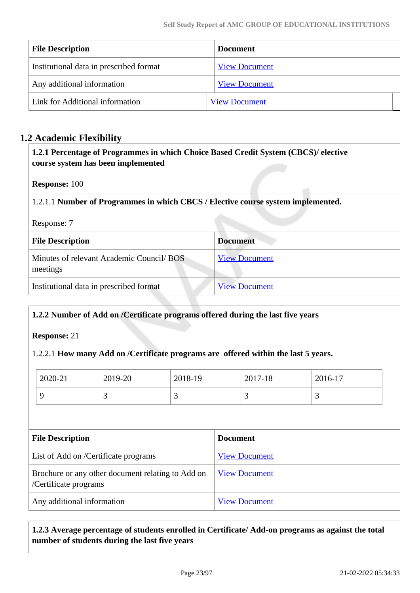| <b>File Description</b>                 | <b>Document</b>      |
|-----------------------------------------|----------------------|
| Institutional data in prescribed format | <b>View Document</b> |
| Any additional information              | <b>View Document</b> |
| Link for Additional information         | <b>View Document</b> |

### **1.2 Academic Flexibility**

 **1.2.1 Percentage of Programmes in which Choice Based Credit System (CBCS)/ elective course system has been implemented** 

**Response:** 100

1.2.1.1 **Number of Programmes in which CBCS / Elective course system implemented.**

Response: 7

| <b>File Description</b>                              | <b>Document</b>      |
|------------------------------------------------------|----------------------|
| Minutes of relevant Academic Council/BOS<br>meetings | <b>View Document</b> |
| Institutional data in prescribed format              | <b>View Document</b> |

### **1.2.2 Number of Add on /Certificate programs offered during the last five years**

**Response:** 21

### 1.2.2.1 **How many Add on /Certificate programs are offered within the last 5 years.**

| 2020-21 | 2019-20 | 2018-19  | 2017-18 | 2016-17 |
|---------|---------|----------|---------|---------|
|         |         | <u>ب</u> | ັ       | . .     |

| <b>File Description</b>                                                    | <b>Document</b>      |
|----------------------------------------------------------------------------|----------------------|
| List of Add on /Certificate programs                                       | <b>View Document</b> |
| Brochure or any other document relating to Add on<br>/Certificate programs | <b>View Document</b> |
| Any additional information                                                 | <b>View Document</b> |

### **1.2.3 Average percentage of students enrolled in Certificate/ Add-on programs as against the total number of students during the last five years**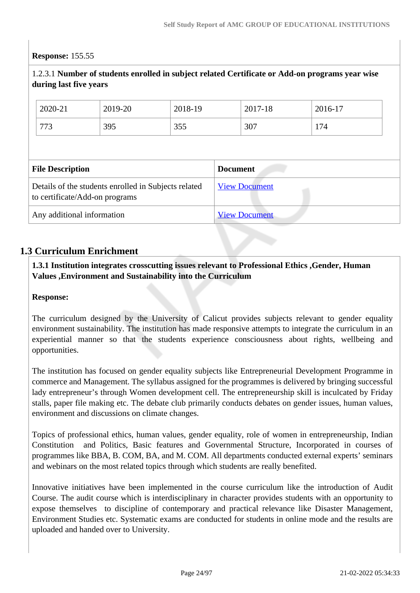### **Response:** 155.55

| 1.2.3.1 Number of students enrolled in subject related Certificate or Add-on programs year wise<br>during last five years |         |         |                 |                      |         |         |  |
|---------------------------------------------------------------------------------------------------------------------------|---------|---------|-----------------|----------------------|---------|---------|--|
|                                                                                                                           | 2020-21 | 2019-20 | 2018-19         |                      | 2017-18 | 2016-17 |  |
|                                                                                                                           | 773     | 395     | 355             |                      | 307     | 174     |  |
|                                                                                                                           |         |         |                 |                      |         |         |  |
| <b>File Description</b>                                                                                                   |         |         | <b>Document</b> |                      |         |         |  |
| Details of the students enrolled in Subjects related<br>to certificate/Add-on programs                                    |         |         |                 | <b>View Document</b> |         |         |  |
| Any additional information                                                                                                |         |         |                 | <b>View Document</b> |         |         |  |

### **1.3 Curriculum Enrichment**

### **1.3.1 Institution integrates crosscutting issues relevant to Professional Ethics ,Gender, Human Values ,Environment and Sustainability into the Curriculum**

### **Response:**

The curriculum designed by the University of Calicut provides subjects relevant to gender equality environment sustainability. The institution has made responsive attempts to integrate the curriculum in an experiential manner so that the students experience consciousness about rights, wellbeing and opportunities.

The institution has focused on gender equality subjects like Entrepreneurial Development Programme in commerce and Management. The syllabus assigned for the programmes is delivered by bringing successful lady entrepreneur's through Women development cell. The entrepreneurship skill is inculcated by Friday stalls, paper file making etc. The debate club primarily conducts debates on gender issues, human values, environment and discussions on climate changes.

Topics of professional ethics, human values, gender equality, role of women in entrepreneurship, Indian Constitution and Politics, Basic features and Governmental Structure, Incorporated in courses of programmes like BBA, B. COM, BA, and M. COM. All departments conducted external experts' seminars and webinars on the most related topics through which students are really benefited.

Innovative initiatives have been implemented in the course curriculum like the introduction of Audit Course. The audit course which is interdisciplinary in character provides students with an opportunity to expose themselves to discipline of contemporary and practical relevance like Disaster Management, Environment Studies etc. Systematic exams are conducted for students in online mode and the results are uploaded and handed over to University.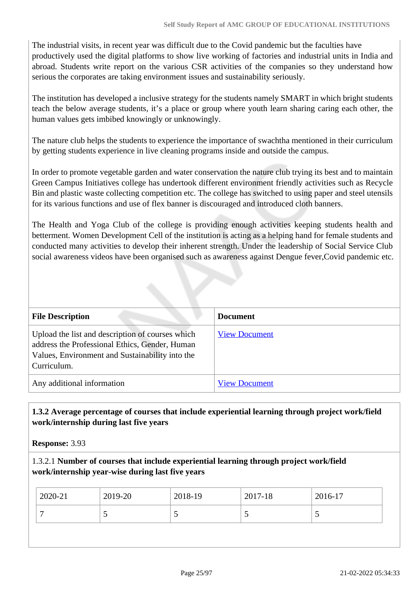The industrial visits, in recent year was difficult due to the Covid pandemic but the faculties have productively used the digital platforms to show live working of factories and industrial units in India and abroad. Students write report on the various CSR activities of the companies so they understand how serious the corporates are taking environment issues and sustainability seriously.

The institution has developed a inclusive strategy for the students namely SMART in which bright students teach the below average students, it's a place or group where youth learn sharing caring each other, the human values gets imbibed knowingly or unknowingly.

The nature club helps the students to experience the importance of swachtha mentioned in their curriculum by getting students experience in live cleaning programs inside and outside the campus.

In order to promote vegetable garden and water conservation the nature club trying its best and to maintain Green Campus Initiatives college has undertook different environment friendly activities such as Recycle Bin and plastic waste collecting competition etc. The college has switched to using paper and steel utensils for its various functions and use of flex banner is discouraged and introduced cloth banners.

The Health and Yoga Club of the college is providing enough activities keeping students health and betterment. Women Development Cell of the institution is acting as a helping hand for female students and conducted many activities to develop their inherent strength. Under the leadership of Social Service Club social awareness videos have been organised such as awareness against Dengue fever,Covid pandemic etc.

| <b>File Description</b>                                                                                                                                              | <b>Document</b>      |
|----------------------------------------------------------------------------------------------------------------------------------------------------------------------|----------------------|
| Upload the list and description of courses which<br>address the Professional Ethics, Gender, Human<br>Values, Environment and Sustainability into the<br>Curriculum. | <b>View Document</b> |
| Any additional information                                                                                                                                           | <b>View Document</b> |

### **1.3.2 Average percentage of courses that include experiential learning through project work/field work/internship during last five years**

**Response:** 3.93

1.3.2.1 **Number of courses that include experiential learning through project work/field work/internship year-wise during last five years**

| 2020-21 | 2019-20 | 2018-19 | 2017-18                  | 2016-17 |
|---------|---------|---------|--------------------------|---------|
|         |         | ັ       | $\overline{\phantom{0}}$ |         |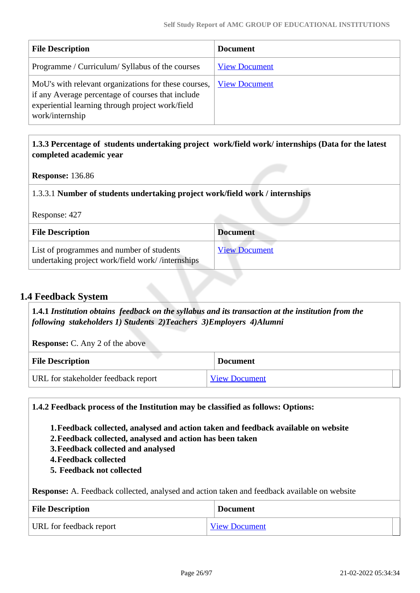| <b>File Description</b>                                                                                                                                                          | <b>Document</b>      |
|----------------------------------------------------------------------------------------------------------------------------------------------------------------------------------|----------------------|
| Programme / Curriculum/ Syllabus of the courses                                                                                                                                  | <b>View Document</b> |
| MoU's with relevant organizations for these courses,<br>if any Average percentage of courses that include<br>experiential learning through project work/field<br>work/internship | <b>View Document</b> |

### **1.3.3 Percentage of students undertaking project work/field work/ internships (Data for the latest completed academic year**

### **Response:** 136.86

### 1.3.3.1 **Number of students undertaking project work/field work / internships**

Response: 427

| <b>File Description</b>                                                                       | <b>Document</b>      |
|-----------------------------------------------------------------------------------------------|----------------------|
| List of programmes and number of students<br>undertaking project work/field work//internships | <b>View Document</b> |

### **1.4 Feedback System**

 **1.4.1** *Institution obtains feedback on the syllabus and its transaction at the institution from the following stakeholders 1) Students 2)Teachers 3)Employers 4)Alumni* 

**Response:** C. Any 2 of the above

| <b>File Description</b>             | <b>Document</b>      |
|-------------------------------------|----------------------|
| URL for stakeholder feedback report | <b>View Document</b> |

**1.4.2 Feedback process of the Institution may be classified as follows: Options:**

**1.Feedback collected, analysed and action taken and feedback available on website**

**2.Feedback collected, analysed and action has been taken**

**3.Feedback collected and analysed**

**4.Feedback collected**

**5. Feedback not collected**

**Response:** A. Feedback collected, analysed and action taken and feedback available on website

| <b>File Description</b> | <b>Document</b>      |
|-------------------------|----------------------|
| URL for feedback report | <b>View Document</b> |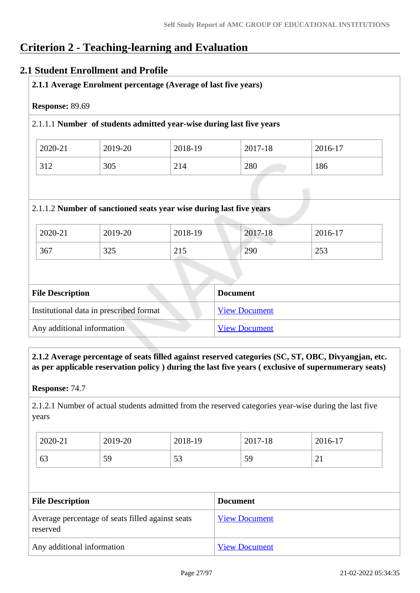## **Criterion 2 - Teaching-learning and Evaluation**

### **2.1 Student Enrollment and Profile**

| Response: 89.69                                                      |                                         |         |                                                                     |         |  |  |
|----------------------------------------------------------------------|-----------------------------------------|---------|---------------------------------------------------------------------|---------|--|--|
| 2.1.1.1 Number of students admitted year-wise during last five years |                                         |         |                                                                     |         |  |  |
| 2020-21                                                              | 2019-20                                 | 2018-19 | 2017-18                                                             | 2016-17 |  |  |
| 312                                                                  | 305                                     | 214     | 280                                                                 | 186     |  |  |
|                                                                      |                                         |         | 2.1.1.2 Number of sanctioned seats year wise during last five years |         |  |  |
| 2020-21                                                              | 2019-20                                 | 2018-19 | 2017-18                                                             | 2016-17 |  |  |
| 367                                                                  | 325                                     | 215     | 290                                                                 | 253     |  |  |
|                                                                      |                                         |         |                                                                     |         |  |  |
| <b>File Description</b>                                              |                                         |         | <b>Document</b>                                                     |         |  |  |
|                                                                      | Institutional data in prescribed format |         | <b>View Document</b>                                                |         |  |  |

 **2.1.2 Average percentage of seats filled against reserved categories (SC, ST, OBC, Divyangjan, etc. as per applicable reservation policy ) during the last five years ( exclusive of supernumerary seats)**

**Response:** 74.7

2.1.2.1 Number of actual students admitted from the reserved categories year-wise during the last five years

| 2020-21 | 2019-20 | 2018-19  | 2017-18 | 2016-17       |
|---------|---------|----------|---------|---------------|
| 63      | 59      | 53<br>IJ | 59      | ⌒<br>$\sim$ 1 |

| <b>File Description</b>                                      | <b>Document</b>      |
|--------------------------------------------------------------|----------------------|
| Average percentage of seats filled against seats<br>reserved | <b>View Document</b> |
| Any additional information                                   | <b>View Document</b> |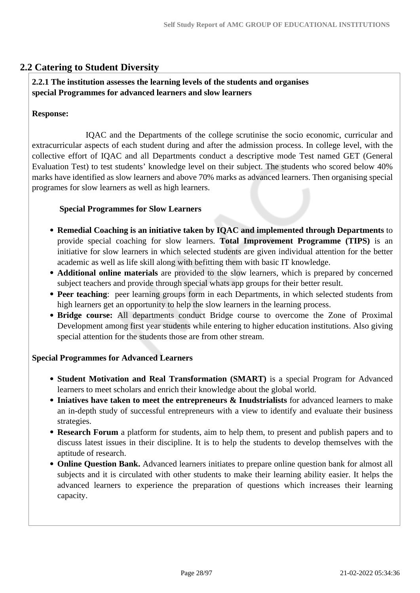### **2.2 Catering to Student Diversity**

### **2.2.1 The institution assesses the learning levels of the students and organises special Programmes for advanced learners and slow learners**

### **Response:**

 IQAC and the Departments of the college scrutinise the socio economic, curricular and extracurricular aspects of each student during and after the admission process. In college level, with the collective effort of IQAC and all Departments conduct a descriptive mode Test named GET (General Evaluation Test) to test students' knowledge level on their subject. The students who scored below 40% marks have identified as slow learners and above 70% marks as advanced learners. Then organising special programes for slow learners as well as high learners.

### **Special Programmes for Slow Learners**

- **Remedial Coaching is an initiative taken by IQAC and implemented through Departments** to provide special coaching for slow learners. **Total Improvement Programme (TIPS)** is an initiative for slow learners in which selected students are given individual attention for the better academic as well as life skill along with befitting them with basic IT knowledge.
- **Additional online materials** are provided to the slow learners, which is prepared by concerned subject teachers and provide through special whats app groups for their better result.
- **Peer teaching**: peer learning groups form in each Departments, in which selected students from high learners get an opportunity to help the slow learners in the learning process.
- **Bridge course:** All departments conduct Bridge course to overcome the Zone of Proximal Development among first year students while entering to higher education institutions. Also giving special attention for the students those are from other stream.

### **Special Programmes for Advanced Learners**

- **Student Motivation and Real Transformation (SMART)** is a special Program for Advanced learners to meet scholars and enrich their knowledge about the global world.
- **Iniatives have taken to meet the entrepreneurs & Inudstrialists** for advanced learners to make an in-depth study of successful entrepreneurs with a view to identify and evaluate their business strategies.
- **Research Forum** a platform for students, aim to help them, to present and publish papers and to discuss latest issues in their discipline. It is to help the students to develop themselves with the aptitude of research.
- **Online Question Bank.** Advanced learners initiates to prepare online question bank for almost all subjects and it is circulated with other students to make their learning ability easier. It helps the advanced learners to experience the preparation of questions which increases their learning capacity.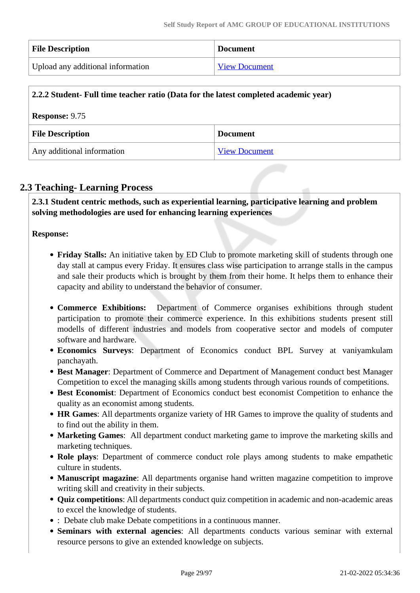| <b>File Description</b>           | <b>Document</b>      |
|-----------------------------------|----------------------|
| Upload any additional information | <b>View Document</b> |

| 2.2.2 Student- Full time teacher ratio (Data for the latest completed academic year) |                      |  |
|--------------------------------------------------------------------------------------|----------------------|--|
| <b>Response: 9.75</b>                                                                |                      |  |
| <b>File Description</b>                                                              | <b>Document</b>      |  |
| Any additional information                                                           | <b>View Document</b> |  |

### **2.3 Teaching- Learning Process**

 **2.3.1 Student centric methods, such as experiential learning, participative learning and problem solving methodologies are used for enhancing learning experiences**

### **Response:**

- **Friday Stalls:** An initiative taken by ED Club to promote marketing skill of students through one day stall at campus every Friday. It ensures class wise participation to arrange stalls in the campus and sale their products which is brought by them from their home. It helps them to enhance their capacity and ability to understand the behavior of consumer.
- **Commerce Exhibitions:** Department of Commerce organises exhibitions through student participation to promote their commerce experience. In this exhibitions students present still modells of different industries and models from cooperative sector and models of computer software and hardware.
- **Economics Surveys**: Department of Economics conduct BPL Survey at vaniyamkulam panchayath.
- **Best Manager**: Department of Commerce and Department of Management conduct best Manager Competition to excel the managing skills among students through various rounds of competitions.
- **Best Economist**: Department of Economics conduct best economist Competition to enhance the quality as an economist among students.
- **HR Games**: All departments organize variety of HR Games to improve the quality of students and to find out the ability in them.
- **Marketing Games**: All department conduct marketing game to improve the marketing skills and marketing techniques.
- **Role plays**: Department of commerce conduct role plays among students to make empathetic culture in students.
- **Manuscript magazine**: All departments organise hand written magazine competition to improve writing skill and creativity in their subjects.
- **Quiz competitions**: All departments conduct quiz competition in academic and non-academic areas to excel the knowledge of students.
- : Debate club make Debate competitions in a continuous manner.
- **Seminars with external agencies**: All departments conducts various seminar with external resource persons to give an extended knowledge on subjects.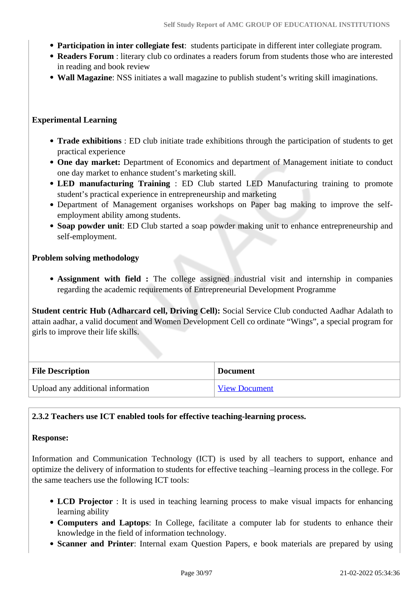- **Participation in inter collegiate fest**: students participate in different inter collegiate program.
- **Readers Forum** : literary club co ordinates a readers forum from students those who are interested in reading and book review
- **Wall Magazine**: NSS initiates a wall magazine to publish student's writing skill imaginations.

### **Experimental Learning**

- **Trade exhibitions** : ED club initiate trade exhibitions through the participation of students to get practical experience
- **One day market:** Department of Economics and department of Management initiate to conduct one day market to enhance student's marketing skill.
- **LED manufacturing Training** : ED Club started LED Manufacturing training to promote student's practical experience in entrepreneurship and marketing
- Department of Management organises workshops on Paper bag making to improve the selfemployment ability among students.
- **Soap powder unit**: ED Club started a soap powder making unit to enhance entrepreneurship and self-employment.

### **Problem solving methodology**

**Assignment with field :** The college assigned industrial visit and internship in companies regarding the academic requirements of Entrepreneurial Development Programme

**Student centric Hub (Adharcard cell, Driving Cell):** Social Service Club conducted Aadhar Adalath to attain aadhar, a valid document and Women Development Cell co ordinate "Wings", a special program for girls to improve their life skills.

| <b>File Description</b>           | <b>Document</b>      |
|-----------------------------------|----------------------|
| Upload any additional information | <b>View Document</b> |

### **2.3.2 Teachers use ICT enabled tools for effective teaching-learning process.**

### **Response:**

Information and Communication Technology (ICT) is used by all teachers to support, enhance and optimize the delivery of information to students for effective teaching –learning process in the college. For the same teachers use the following ICT tools:

- **LCD Projector** : It is used in teaching learning process to make visual impacts for enhancing learning ability
- **Computers and Laptops**: In College, facilitate a computer lab for students to enhance their knowledge in the field of information technology.
- **Scanner and Printer**: Internal exam Question Papers, e book materials are prepared by using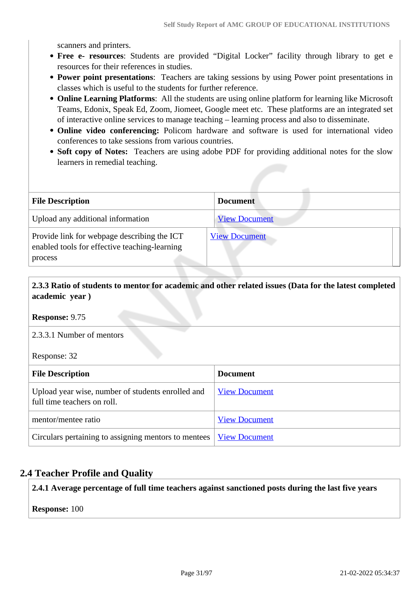scanners and printers.

- **Free e- resources**: Students are provided "Digital Locker" facility through library to get e resources for their references in studies.
- **Power point presentations**: Teachers are taking sessions by using Power point presentations in classes which is useful to the students for further reference.
- **Online Learning Platforms**: All the students are using online platform for learning like Microsoft Teams, Edonix, Speak Ed, Zoom, Jiomeet, Google meet etc. These platforms are an integrated set of interactive online services to manage teaching – learning process and also to disseminate.
- **Online video conferencing:** Policom hardware and software is used for international video conferences to take sessions from various countries.
- **Soft copy of Notes:** Teachers are using adobe PDF for providing additional notes for the slow learners in remedial teaching.

| <b>File Description</b>                                                                                 | <b>Document</b>      |
|---------------------------------------------------------------------------------------------------------|----------------------|
| Upload any additional information                                                                       | <b>View Document</b> |
| Provide link for webpage describing the ICT<br>enabled tools for effective teaching-learning<br>process | <b>View Document</b> |

### **2.3.3 Ratio of students to mentor for academic and other related issues (Data for the latest completed academic year )**

**Response:** 9.75

2.3.3.1 Number of mentors

Response: 32

| <b>File Description</b>                                                          | <b>Document</b>      |
|----------------------------------------------------------------------------------|----------------------|
| Upload year wise, number of students enrolled and<br>full time teachers on roll. | <b>View Document</b> |
| mentor/mentee ratio                                                              | <b>View Document</b> |
| Circulars pertaining to assigning mentors to mentees   <u>View Document</u>      |                      |

### **2.4 Teacher Profile and Quality**

**2.4.1 Average percentage of full time teachers against sanctioned posts during the last five years**

**Response:** 100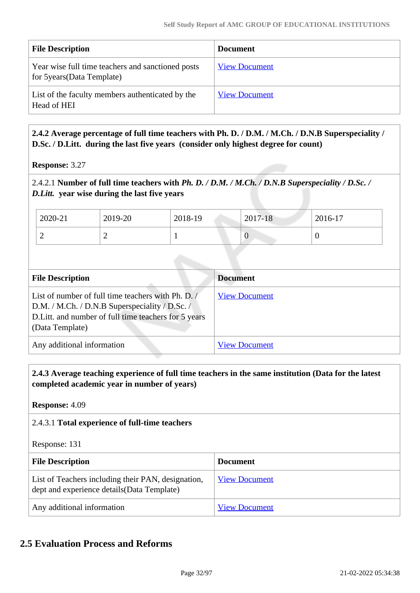| <b>File Description</b>                                                          | <b>Document</b>      |
|----------------------------------------------------------------------------------|----------------------|
| Year wise full time teachers and sanctioned posts<br>for 5 years (Data Template) | <b>View Document</b> |
| List of the faculty members authenticated by the<br>Head of HEI                  | <b>View Document</b> |

 **2.4.2 Average percentage of full time teachers with Ph. D. / D.M. / M.Ch. / D.N.B Superspeciality / D.Sc. / D.Litt. during the last five years (consider only highest degree for count)**

**Response:** 3.27

2.4.2.1 **Number of full time teachers with** *Ph. D. / D.M. / M.Ch. / D.N.B Superspeciality / D.Sc. / D.Litt.* **year wise during the last five years**

| 2020-21 | 2019-20 | 2018-19 | 2017-18 | 2016-17 |
|---------|---------|---------|---------|---------|
|         | -       |         |         |         |

| <b>File Description</b>                                                                                                                                                          | <b>Document</b>      |  |  |
|----------------------------------------------------------------------------------------------------------------------------------------------------------------------------------|----------------------|--|--|
| List of number of full time teachers with Ph. D. /<br>D.M. / M.Ch. / D.N.B Superspeciality / D.Sc. /<br>D. Litt. and number of full time teachers for 5 years<br>(Data Template) | <b>View Document</b> |  |  |
| Any additional information                                                                                                                                                       | <b>View Document</b> |  |  |

 **2.4.3 Average teaching experience of full time teachers in the same institution (Data for the latest completed academic year in number of years)** 

**Response:** 4.09

### 2.4.3.1 **Total experience of full-time teachers**

Response: 131

| <b>File Description</b>                                                                           | <b>Document</b>      |
|---------------------------------------------------------------------------------------------------|----------------------|
| List of Teachers including their PAN, designation,<br>dept and experience details (Data Template) | <b>View Document</b> |
| Any additional information                                                                        | <b>View Document</b> |

### **2.5 Evaluation Process and Reforms**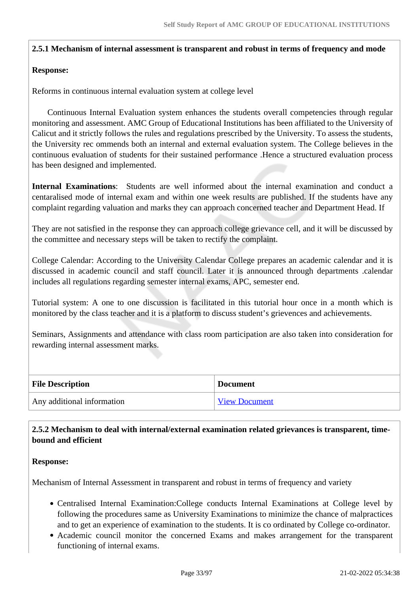### **2.5.1 Mechanism of internal assessment is transparent and robust in terms of frequency and mode**

### **Response:**

Reforms in continuous internal evaluation system at college level

 Continuous Internal Evaluation system enhances the students overall competencies through regular monitoring and assessment. AMC Group of Educational Institutions has been affiliated to the University of Calicut and it strictly follows the rules and regulations prescribed by the University. To assess the students, the University rec ommends both an internal and external evaluation system. The College believes in the continuous evaluation of students for their sustained performance .Hence a structured evaluation process has been designed and implemented.

**Internal Examinations**: Students are well informed about the internal examination and conduct a centaralised mode of internal exam and within one week results are published. If the students have any complaint regarding valuation and marks they can approach concerned teacher and Department Head. If

They are not satisfied in the response they can approach college grievance cell, and it will be discussed by the committee and necessary steps will be taken to rectify the complaint.

College Calendar: According to the University Calendar College prepares an academic calendar and it is discussed in academic council and staff council. Later it is announced through departments .calendar includes all regulations regarding semester internal exams, APC, semester end.

Tutorial system: A one to one discussion is facilitated in this tutorial hour once in a month which is monitored by the class teacher and it is a platform to discuss student's grievences and achievements.

Seminars, Assignments and attendance with class room participation are also taken into consideration for rewarding internal assessment marks.

| <b>File Description</b>    | <b>Document</b>      |
|----------------------------|----------------------|
| Any additional information | <b>View Document</b> |

### **2.5.2 Mechanism to deal with internal/external examination related grievances is transparent, timebound and efficient**

### **Response:**

Mechanism of Internal Assessment in transparent and robust in terms of frequency and variety

- Centralised Internal Examination:College conducts Internal Examinations at College level by following the procedures same as University Examinations to minimize the chance of malpractices and to get an experience of examination to the students. It is co ordinated by College co-ordinator.
- Academic council monitor the concerned Exams and makes arrangement for the transparent functioning of internal exams.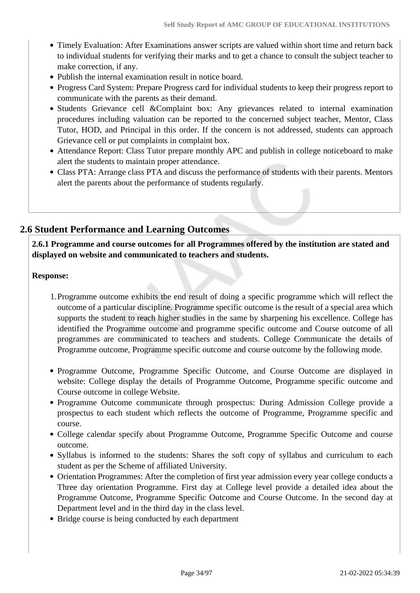- Timely Evaluation: After Examinations answer scripts are valued within short time and return back to individual students for verifying their marks and to get a chance to consult the subject teacher to make correction, if any.
- Publish the internal examination result in notice board.
- Progress Card System: Prepare Progress card for individual students to keep their progress report to communicate with the parents as their demand.
- Students Grievance cell & Complaint box: Any grievances related to internal examination procedures including valuation can be reported to the concerned subject teacher, Mentor, Class Tutor, HOD, and Principal in this order. If the concern is not addressed, students can approach Grievance cell or put complaints in complaint box.
- Attendance Report: Class Tutor prepare monthly APC and publish in college noticeboard to make alert the students to maintain proper attendance.
- Class PTA: Arrange class PTA and discuss the performance of students with their parents. Mentors alert the parents about the performance of students regularly.

### **2.6 Student Performance and Learning Outcomes**

 **2.6.1 Programme and course outcomes for all Programmes offered by the institution are stated and displayed on website and communicated to teachers and students.**

### **Response:**

- 1.Programme outcome exhibits the end result of doing a specific programme which will reflect the outcome of a particular discipline. Programme specific outcome is the result of a special area which supports the student to reach higher studies in the same by sharpening his excellence. College has identified the Programme outcome and programme specific outcome and Course outcome of all programmes are communicated to teachers and students. College Communicate the details of Programme outcome, Programme specific outcome and course outcome by the following mode.
- Programme Outcome, Programme Specific Outcome, and Course Outcome are displayed in website: College display the details of Programme Outcome, Programme specific outcome and Course outcome in college Website.
- Programme Outcome communicate through prospectus: During Admission College provide a prospectus to each student which reflects the outcome of Programme, Programme specific and course.
- College calendar specify about Programme Outcome, Programme Specific Outcome and course outcome.
- Syllabus is informed to the students: Shares the soft copy of syllabus and curriculum to each student as per the Scheme of affiliated University.
- Orientation Programmes: After the completion of first year admission every year college conducts a Three day orientation Programme. First day at College level provide a detailed idea about the Programme Outcome, Programme Specific Outcome and Course Outcome. In the second day at Department level and in the third day in the class level.
- Bridge course is being conducted by each department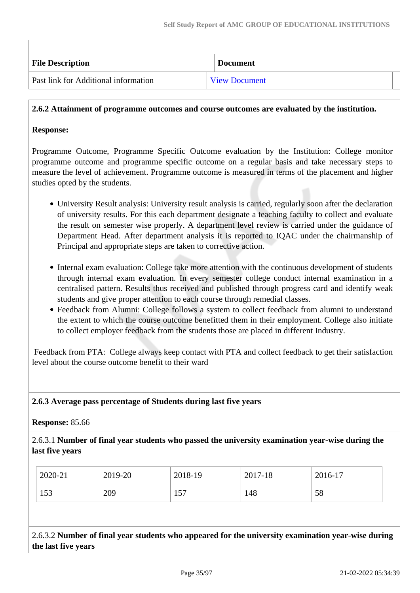| <b>File Description</b>                     | <b>Document</b>      |
|---------------------------------------------|----------------------|
| <b>Past link for Additional information</b> | <b>View Document</b> |

### **2.6.2 Attainment of programme outcomes and course outcomes are evaluated by the institution.**

### **Response:**

Programme Outcome, Programme Specific Outcome evaluation by the Institution: College monitor programme outcome and programme specific outcome on a regular basis and take necessary steps to measure the level of achievement. Programme outcome is measured in terms of the placement and higher studies opted by the students.

- University Result analysis: University result analysis is carried, regularly soon after the declaration of university results. For this each department designate a teaching faculty to collect and evaluate the result on semester wise properly. A department level review is carried under the guidance of Department Head. After department analysis it is reported to IQAC under the chairmanship of Principal and appropriate steps are taken to corrective action.
- Internal exam evaluation: College take more attention with the continuous development of students through internal exam evaluation. In every semester college conduct internal examination in a centralised pattern. Results thus received and published through progress card and identify weak students and give proper attention to each course through remedial classes.
- Feedback from Alumni: College follows a system to collect feedback from alumni to understand the extent to which the course outcome benefitted them in their employment. College also initiate to collect employer feedback from the students those are placed in different Industry.

 Feedback from PTA: College always keep contact with PTA and collect feedback to get their satisfaction level about the course outcome benefit to their ward

### **2.6.3 Average pass percentage of Students during last five years**

### **Response:** 85.66

2.6.3.1 **Number of final year students who passed the university examination year-wise during the last five years**

| 2020-21 | 2019-20 | 2018-19     | 2017-18 | 2016-17 |
|---------|---------|-------------|---------|---------|
| 153     | 209     | 57<br>. J . | 148     | 58      |

2.6.3.2 **Number of final year students who appeared for the university examination year-wise during the last five years**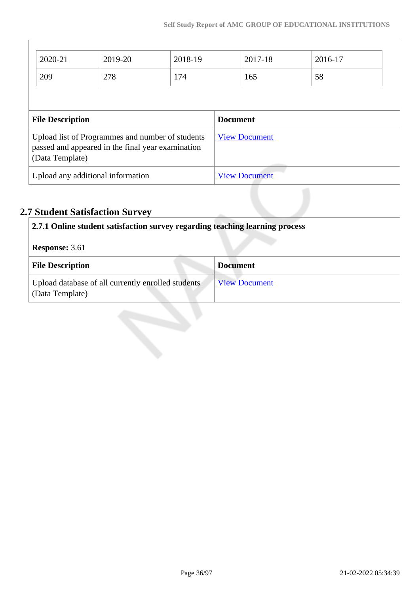|                         | 2020-21         | 2019-20                                                                                               | 2018-19 |                 | 2017-18              | 2016-17 |  |
|-------------------------|-----------------|-------------------------------------------------------------------------------------------------------|---------|-----------------|----------------------|---------|--|
|                         | 209             | 278                                                                                                   | 174     |                 | 165                  | 58      |  |
|                         |                 |                                                                                                       |         |                 |                      |         |  |
| <b>File Description</b> |                 |                                                                                                       |         | <b>Document</b> |                      |         |  |
|                         |                 |                                                                                                       |         |                 |                      |         |  |
|                         | (Data Template) | Upload list of Programmes and number of students<br>passed and appeared in the final year examination |         |                 | <b>View Document</b> |         |  |

## **2.7 Student Satisfaction Survey**

| 2.7.1 Online student satisfaction survey regarding teaching learning process |                      |  |
|------------------------------------------------------------------------------|----------------------|--|
| <b>Response: 3.61</b>                                                        |                      |  |
| <b>File Description</b>                                                      | <b>Document</b>      |  |
| Upload database of all currently enrolled students<br>(Data Template)        | <b>View Document</b> |  |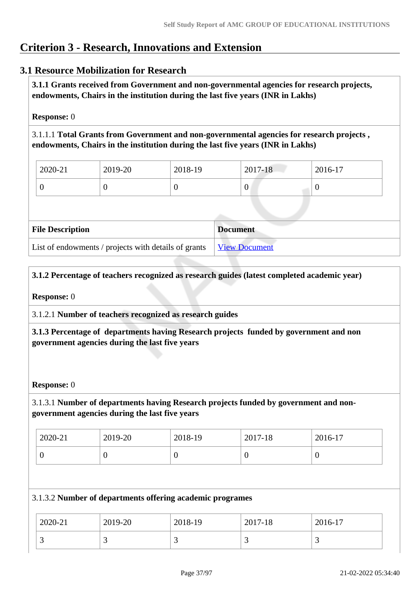# **Criterion 3 - Research, Innovations and Extension**

# **3.1 Resource Mobilization for Research**

 **3.1.1 Grants received from Government and non-governmental agencies for research projects, endowments, Chairs in the institution during the last five years (INR in Lakhs)** 

#### **Response:** 0

3.1.1.1 **Total Grants from Government and non-governmental agencies for research projects , endowments, Chairs in the institution during the last five years (INR in Lakhs)**

| $2020 - 21$ | 2019-20 | 2018-19 | 2017-18 | 2016-17 |
|-------------|---------|---------|---------|---------|
|             |         |         | ν       |         |

| <b>File Description</b>                              | <b>Document</b>      |
|------------------------------------------------------|----------------------|
| List of endowments / projects with details of grants | <b>View Document</b> |

#### **3.1.2 Percentage of teachers recognized as research guides (latest completed academic year)**

#### **Response:** 0

3.1.2.1 **Number of teachers recognized as research guides**

 **3.1.3 Percentage of departments having Research projects funded by government and non government agencies during the last five years**

#### **Response:** 0

## 3.1.3.1 **Number of departments having Research projects funded by government and nongovernment agencies during the last five years**

| 2020-21 | 2019-20 | 2018-19 | 2017-18 | 2016-17          |
|---------|---------|---------|---------|------------------|
|         |         | ◡       | ν       | $\boldsymbol{0}$ |

#### 3.1.3.2 **Number of departments offering academic programes**

| 2020-21  | 2019-20 | 2018-19 | 2017-18                  | $2016-17$ |
|----------|---------|---------|--------------------------|-----------|
| <u>ب</u> | ັ       | ت       | $\overline{\phantom{0}}$ |           |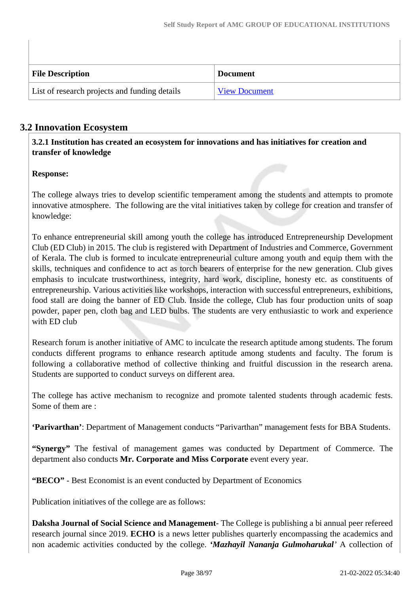| <b>File Description</b>                       | <b>Document</b>      |
|-----------------------------------------------|----------------------|
| List of research projects and funding details | <b>View Document</b> |

## **3.2 Innovation Ecosystem**

 **3.2.1 Institution has created an ecosystem for innovations and has initiatives for creation and transfer of knowledge**

#### **Response:**

The college always tries to develop scientific temperament among the students and attempts to promote innovative atmosphere. The following are the vital initiatives taken by college for creation and transfer of knowledge:

To enhance entrepreneurial skill among youth the college has introduced Entrepreneurship Development Club (ED Club) in 2015. The club is registered with Department of Industries and Commerce, Government of Kerala. The club is formed to inculcate entrepreneurial culture among youth and equip them with the skills, techniques and confidence to act as torch bearers of enterprise for the new generation. Club gives emphasis to inculcate trustworthiness, integrity, hard work, discipline, honesty etc. as constituents of entrepreneurship. Various activities like workshops, interaction with successful entrepreneurs, exhibitions, food stall are doing the banner of ED Club. Inside the college, Club has four production units of soap powder, paper pen, cloth bag and LED bulbs. The students are very enthusiastic to work and experience with ED club

Research forum is another initiative of AMC to inculcate the research aptitude among students. The forum conducts different programs to enhance research aptitude among students and faculty. The forum is following a collaborative method of collective thinking and fruitful discussion in the research arena. Students are supported to conduct surveys on different area.

The college has active mechanism to recognize and promote talented students through academic fests. Some of them are :

**'Parivarthan'**: Department of Management conducts "Parivarthan" management fests for BBA Students.

**"Synergy"** The festival of management games was conducted by Department of Commerce. The department also conducts **Mr. Corporate and Miss Corporate** event every year.

**"BECO"** - Best Economist is an event conducted by Department of Economics

Publication initiatives of the college are as follows:

**Daksha Journal of Social Science and Management**- The College is publishing a bi annual peer refereed research journal since 2019. **ECHO** is a news letter publishes quarterly encompassing the academics and non academic activities conducted by the college. *'Mazhayil Nananja Gulmoharukal'* A collection of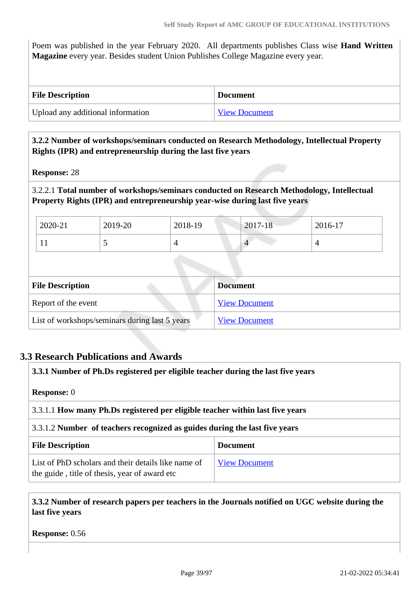Poem was published in the year February 2020. All departments publishes Class wise **Hand Written Magazine** every year. Besides student Union Publishes College Magazine every year.

| <b>File Description</b>           | <b>Document</b>      |
|-----------------------------------|----------------------|
| Upload any additional information | <b>View Document</b> |

#### **3.2.2 Number of workshops/seminars conducted on Research Methodology, Intellectual Property Rights (IPR) and entrepreneurship during the last five years**

**Response:** 28

3.2.2.1 **Total number of workshops/seminars conducted on Research Methodology, Intellectual Property Rights (IPR) and entrepreneurship year-wise during last five years** 

| 2020-21        | 2019-20                  | 2018-19 | $2017 - 18$ | 2016-17 |
|----------------|--------------------------|---------|-------------|---------|
| T <sub>T</sub> | $\overline{\phantom{0}}$ |         |             |         |

| <b>File Description</b>                        | <b>Document</b>      |
|------------------------------------------------|----------------------|
| Report of the event                            | <b>View Document</b> |
| List of workshops/seminars during last 5 years | <b>View Document</b> |

## **3.3 Research Publications and Awards**

| 3.3.1 Number of Ph.Ds registered per eligible teacher during the last five years                     |                      |  |  |
|------------------------------------------------------------------------------------------------------|----------------------|--|--|
| <b>Response:</b> 0                                                                                   |                      |  |  |
| 3.3.1.1 How many Ph.Ds registered per eligible teacher within last five years                        |                      |  |  |
| 3.3.1.2 Number of teachers recognized as guides during the last five years                           |                      |  |  |
| <b>File Description</b><br><b>Document</b>                                                           |                      |  |  |
| List of PhD scholars and their details like name of<br>the guide, title of thesis, year of award etc | <b>View Document</b> |  |  |

 **3.3.2 Number of research papers per teachers in the Journals notified on UGC website during the last five years**

**Response:** 0.56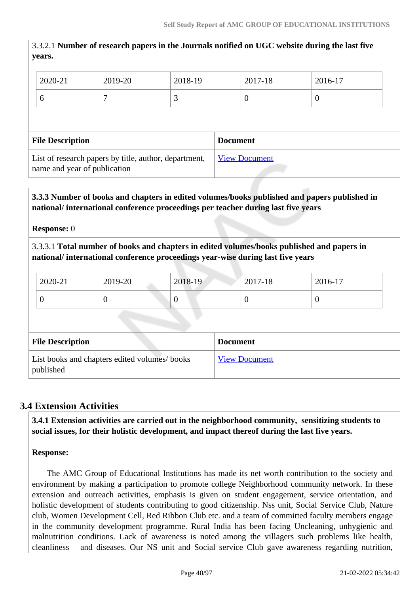# 3.3.2.1 **Number of research papers in the Journals notified on UGC website during the last five years.**

| 2020-21                 | 2019-20 | 2018-19 |                 | 2017-18 | 2016-17  |
|-------------------------|---------|---------|-----------------|---------|----------|
| 6                       |         | 3       |                 | 0       | $\theta$ |
|                         |         |         |                 |         |          |
|                         |         |         |                 |         |          |
| <b>File Description</b> |         |         | <b>Document</b> |         |          |

#### **3.3.3 Number of books and chapters in edited volumes/books published and papers published in national/ international conference proceedings per teacher during last five years**

#### **Response:** 0

3.3.3.1 **Total number of books and chapters in edited volumes/books published and papers in national/ international conference proceedings year-wise during last five years**

| 2020-21 | 2019-20 | 2018-19 | 2017-18 | 2016-17 |
|---------|---------|---------|---------|---------|
|         |         | ິ       |         | ν       |

| <b>File Description</b>                                   | <b>Document</b>      |
|-----------------------------------------------------------|----------------------|
| List books and chapters edited volumes/books<br>published | <b>View Document</b> |

# **3.4 Extension Activities**

 **3.4.1 Extension activities are carried out in the neighborhood community, sensitizing students to social issues, for their holistic development, and impact thereof during the last five years.**

## **Response:**

 The AMC Group of Educational Institutions has made its net worth contribution to the society and environment by making a participation to promote college Neighborhood community network. In these extension and outreach activities, emphasis is given on student engagement, service orientation, and holistic development of students contributing to good citizenship. Nss unit, Social Service Club, Nature club, Women Development Cell, Red Ribbon Club etc. and a team of committed faculty members engage in the community development programme. Rural India has been facing Uncleaning, unhygienic and malnutrition conditions. Lack of awareness is noted among the villagers such problems like health, cleanliness and diseases. Our NS unit and Social service Club gave awareness regarding nutrition,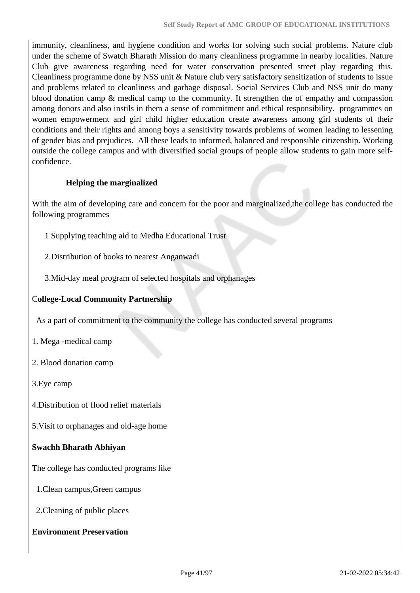immunity, cleanliness, and hygiene condition and works for solving such social problems. Nature club under the scheme of Swatch Bharath Mission do many cleanliness programme in nearby localities. Nature Club give awareness regarding need for water conservation presented street play regarding this. Cleanliness programme done by NSS unit & Nature club very satisfactory sensitization of students to issue and problems related to cleanliness and garbage disposal. Social Services Club and NSS unit do many blood donation camp & medical camp to the community. It strengthen the of empathy and compassion among donors and also instils in them a sense of commitment and ethical responsibility. programmes on women empowerment and girl child higher education create awareness among girl students of their conditions and their rights and among boys a sensitivity towards problems of women leading to lessening of gender bias and prejudices. All these leads to informed, balanced and responsible citizenship. Working outside the college campus and with diversified social groups of people allow students to gain more selfconfidence.

#### **Helping the marginalized**

With the aim of developing care and concern for the poor and marginalized,the college has conducted the following programmes

1 Supplying teaching aid to Medha Educational Trust

2.Distribution of books to nearest Anganwadi

3.Mid-day meal program of selected hospitals and orphanages

#### C**ollege-Local Community Partnership**

As a part of commitment to the community the college has conducted several programs

- 1. Mega -medical camp
- 2. Blood donation camp
- 3.Eye camp
- 4.Distribution of flood relief materials
- 5.Visit to orphanages and old-age home

## **Swachh Bharath Abhiyan**

The college has conducted programs like

- 1.Clean campus,Green campus
- 2.Cleaning of public places

## **Environment Preservation**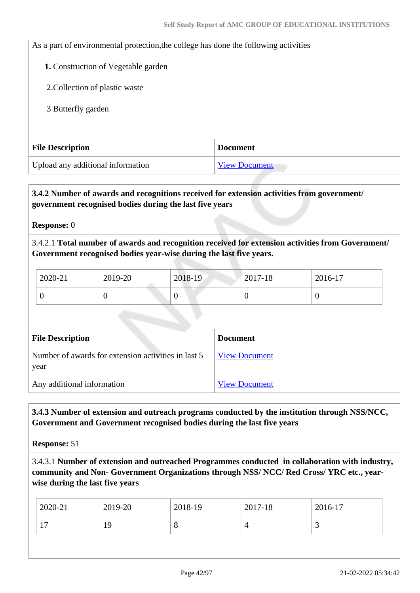As a part of environmental protection,the college has done the following activities

 **1.** Construction of Vegetable garden

2.Collection of plastic waste

3 Butterfly garden

| <b>File Description</b>           | <b>Document</b> |
|-----------------------------------|-----------------|
| Upload any additional information | View Document   |

#### **3.4.2 Number of awards and recognitions received for extension activities from government/ government recognised bodies during the last five years**

**Response:** 0

3.4.2.1 **Total number of awards and recognition received for extension activities from Government/ Government recognised bodies year-wise during the last five years.**

| 2020-21 | 2019-20 | 2018-19 | 2017-18 | 2016-17 |
|---------|---------|---------|---------|---------|
|         |         | U       | ν       | U       |

| <b>File Description</b>                                     | <b>Document</b>      |
|-------------------------------------------------------------|----------------------|
| Number of awards for extension activities in last 5<br>year | <b>View Document</b> |
| Any additional information                                  | <b>View Document</b> |

 **3.4.3 Number of extension and outreach programs conducted by the institution through NSS/NCC, Government and Government recognised bodies during the last five years**

**Response:** 51

3.4.3.1 **Number of extension and outreached Programmes conducted in collaboration with industry, community and Non- Government Organizations through NSS/ NCC/ Red Cross/ YRC etc., yearwise during the last five years**

| 1 <sub>7</sub><br>19<br>$\circ$<br><b>1</b> <i>i</i> | $12020 - 21$ | 2019-20 | 2018-19 | 2017-18 | 2016-17 |
|------------------------------------------------------|--------------|---------|---------|---------|---------|
|                                                      |              |         |         |         |         |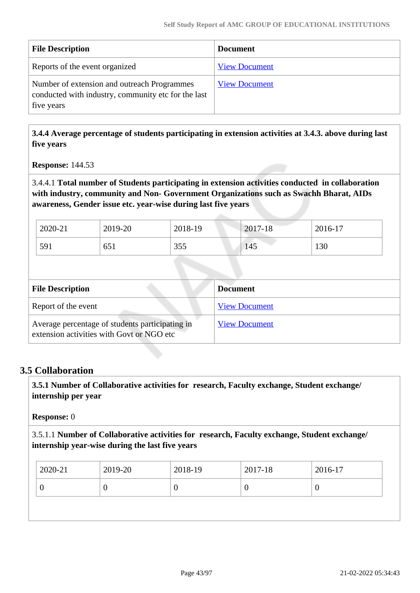| <b>File Description</b>                                                                                          | <b>Document</b>      |
|------------------------------------------------------------------------------------------------------------------|----------------------|
| Reports of the event organized                                                                                   | <b>View Document</b> |
| Number of extension and outreach Programmes<br>conducted with industry, community etc for the last<br>five years | <b>View Document</b> |

 **3.4.4 Average percentage of students participating in extension activities at 3.4.3. above during last five years**

**Response:** 144.53

3.4.4.1 **Total number of Students participating in extension activities conducted in collaboration with industry, community and Non- Government Organizations such as Swachh Bharat, AIDs awareness, Gender issue etc. year-wise during last five years**

| 2020-21 | 2019-20 | 2018-19    | 2017-18 | 2016-17 |
|---------|---------|------------|---------|---------|
| 591     | 651     | 255<br>JJJ | 145     | 130     |

| <b>File Description</b>                                                                      | Document             |
|----------------------------------------------------------------------------------------------|----------------------|
| Report of the event                                                                          | <b>View Document</b> |
| Average percentage of students participating in<br>extension activities with Govt or NGO etc | <b>View Document</b> |

## **3.5 Collaboration**

 **3.5.1 Number of Collaborative activities for research, Faculty exchange, Student exchange/ internship per year**

**Response:** 0

3.5.1.1 **Number of Collaborative activities for research, Faculty exchange, Student exchange/ internship year-wise during the last five years**

| 2020-21          | 2019-20 | 2018-19 | 2017-18 | 2016-17  |
|------------------|---------|---------|---------|----------|
| $\boldsymbol{0}$ | U       | ν       | U       | $\theta$ |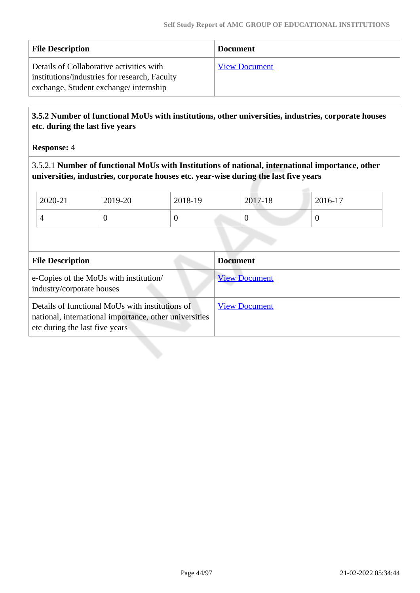| <b>File Description</b>                                                                                                            | <b>Document</b>      |
|------------------------------------------------------------------------------------------------------------------------------------|----------------------|
| Details of Collaborative activities with<br>institutions/industries for research, Faculty<br>exchange, Student exchange/internship | <b>View Document</b> |

#### **3.5.2 Number of functional MoUs with institutions, other universities, industries, corporate houses etc. during the last five years**

#### **Response:** 4

3.5.2.1 **Number of functional MoUs with Institutions of national, international importance, other universities, industries, corporate houses etc. year-wise during the last five years**

| 2020-21 | 2019-20 | 2018-19 | 2017-18 | 2016-17 |
|---------|---------|---------|---------|---------|
| ⊶       |         |         | v       |         |

| <b>File Description</b>                                                                                                                     | <b>Document</b>      |
|---------------------------------------------------------------------------------------------------------------------------------------------|----------------------|
| e-Copies of the MoUs with institution/<br>industry/corporate houses                                                                         | <b>View Document</b> |
| Details of functional MoUs with institutions of<br>national, international importance, other universities<br>etc during the last five years | <b>View Document</b> |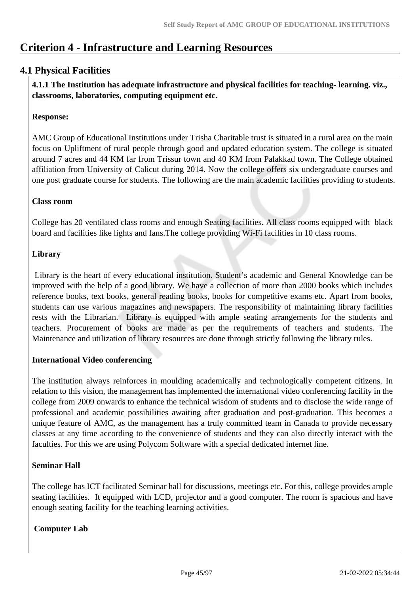# **Criterion 4 - Infrastructure and Learning Resources**

# **4.1 Physical Facilities**

 **4.1.1 The Institution has adequate infrastructure and physical facilities for teaching- learning. viz., classrooms, laboratories, computing equipment etc.** 

#### **Response:**

AMC Group of Educational Institutions under Trisha Charitable trust is situated in a rural area on the main focus on Upliftment of rural people through good and updated education system. The college is situated around 7 acres and 44 KM far from Trissur town and 40 KM from Palakkad town. The College obtained affiliation from University of Calicut during 2014. Now the college offers six undergraduate courses and one post graduate course for students. The following are the main academic facilities providing to students.

#### **Class room**

College has 20 ventilated class rooms and enough Seating facilities. All class rooms equipped with black board and facilities like lights and fans.The college providing Wi-Fi facilities in 10 class rooms.

#### **Library**

 Library is the heart of every educational institution. Student's academic and General Knowledge can be improved with the help of a good library. We have a collection of more than 2000 books which includes reference books, text books, general reading books, books for competitive exams etc. Apart from books, students can use various magazines and newspapers. The responsibility of maintaining library facilities rests with the Librarian. Library is equipped with ample seating arrangements for the students and teachers. Procurement of books are made as per the requirements of teachers and students. The Maintenance and utilization of library resources are done through strictly following the library rules.

#### **International Video conferencing**

The institution always reinforces in moulding academically and technologically competent citizens. In relation to this vision, the management has implemented the international video conferencing facility in the college from 2009 onwards to enhance the technical wisdom of students and to disclose the wide range of professional and academic possibilities awaiting after graduation and post-graduation. This becomes a unique feature of AMC, as the management has a truly committed team in Canada to provide necessary classes at any time according to the convenience of students and they can also directly interact with the faculties. For this we are using Polycom Software with a special dedicated internet line.

#### **Seminar Hall**

The college has ICT facilitated Seminar hall for discussions, meetings etc. For this, college provides ample seating facilities. It equipped with LCD, projector and a good computer. The room is spacious and have enough seating facility for the teaching learning activities.

## **Computer Lab**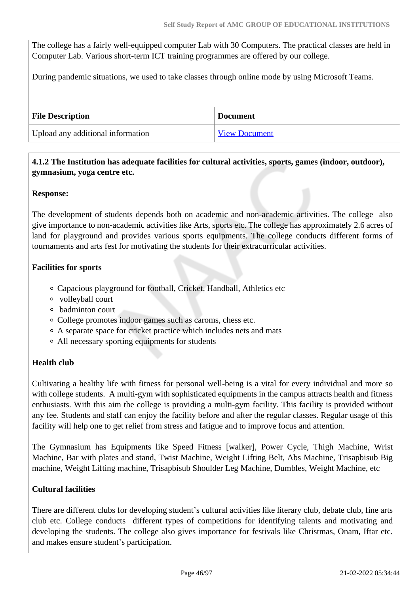The college has a fairly well-equipped computer Lab with 30 Computers. The practical classes are held in Computer Lab. Various short-term ICT training programmes are offered by our college.

During pandemic situations, we used to take classes through online mode by using Microsoft Teams.

| <b>File Description</b>           | <b>Document</b>      |
|-----------------------------------|----------------------|
| Upload any additional information | <b>View Document</b> |

## **4.1.2 The Institution has adequate facilities for cultural activities, sports, games (indoor, outdoor), gymnasium, yoga centre etc.**

## **Response:**

The development of students depends both on academic and non-academic activities. The college also give importance to non-academic activities like Arts, sports etc. The college has approximately 2.6 acres of land for playground and provides various sports equipments. The college conducts different forms of tournaments and arts fest for motivating the students for their extracurricular activities.

#### **Facilities for sports**

- Capacious playground for football, Cricket, Handball, Athletics etc
- volleyball court
- badminton court
- College promotes indoor games such as caroms, chess etc.
- A separate space for cricket practice which includes nets and mats
- All necessary sporting equipments for students

## **Health club**

Cultivating a healthy life with fitness for personal well-being is a vital for every individual and more so with college students. A multi-gym with sophisticated equipments in the campus attracts health and fitness enthusiasts. With this aim the college is providing a multi-gym facility. This facility is provided without any fee. Students and staff can enjoy the facility before and after the regular classes. Regular usage of this facility will help one to get relief from stress and fatigue and to improve focus and attention.

The Gymnasium has Equipments like Speed Fitness [walker], Power Cycle, Thigh Machine, Wrist Machine, Bar with plates and stand, Twist Machine, Weight Lifting Belt, Abs Machine, Trisapbisub Big machine, Weight Lifting machine, Trisapbisub Shoulder Leg Machine, Dumbles, Weight Machine, etc

## **Cultural facilities**

There are different clubs for developing student's cultural activities like literary club, debate club, fine arts club etc. College conducts different types of competitions for identifying talents and motivating and developing the students. The college also gives importance for festivals like Christmas, Onam, Iftar etc. and makes ensure student's participation.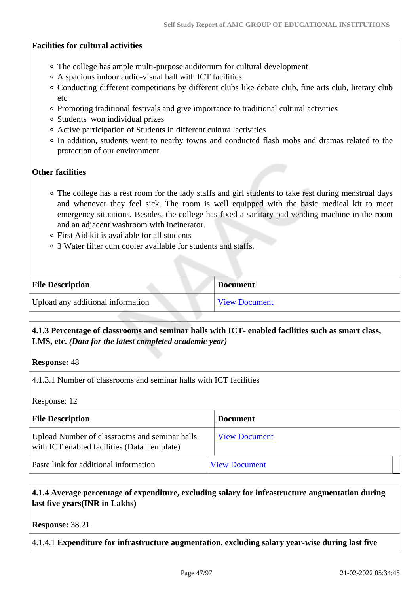#### **Facilities for cultural activities**

- The college has ample multi-purpose auditorium for cultural development
- A spacious indoor audio-visual hall with ICT facilities
- Conducting different competitions by different clubs like debate club, fine arts club, literary club etc
- Promoting traditional festivals and give importance to traditional cultural activities
- Students won individual prizes
- Active participation of Students in different cultural activities
- In addition, students went to nearby towns and conducted flash mobs and dramas related to the protection of our environment

#### **Other facilities**

- The college has a rest room for the lady staffs and girl students to take rest during menstrual days and whenever they feel sick. The room is well equipped with the basic medical kit to meet emergency situations. Besides, the college has fixed a sanitary pad vending machine in the room and an adjacent washroom with incinerator.
- First Aid kit is available for all students
- 3 Water filter cum cooler available for students and staffs.

| <b>File Description</b><br><b>Document</b> |                      |  |
|--------------------------------------------|----------------------|--|
| Upload any additional information          | <b>View Document</b> |  |

#### **4.1.3 Percentage of classrooms and seminar halls with ICT- enabled facilities such as smart class, LMS, etc.** *(Data for the latest completed academic year)*

**Response:** 48

4.1.3.1 Number of classrooms and seminar halls with ICT facilities

Response: 12

| <b>File Description</b>                                                                      | <b>Document</b>      |
|----------------------------------------------------------------------------------------------|----------------------|
| Upload Number of classrooms and seminar halls<br>with ICT enabled facilities (Data Template) | <b>View Document</b> |
| Paste link for additional information                                                        | <b>View Document</b> |

#### **4.1.4 Average percentage of expenditure, excluding salary for infrastructure augmentation during last five years(INR in Lakhs)**

**Response:** 38.21

4.1.4.1 **Expenditure for infrastructure augmentation, excluding salary year-wise during last five**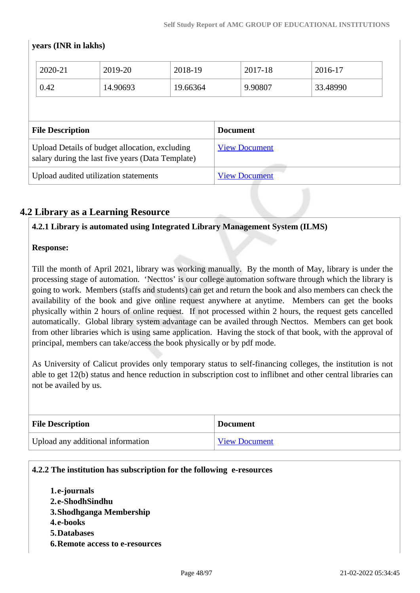## **years (INR in lakhs)**

| 2020-21                 | 2019-20                                                                                             | 2018-19  | 2017-18              | 2016-17  |
|-------------------------|-----------------------------------------------------------------------------------------------------|----------|----------------------|----------|
| 0.42                    | 14.90693                                                                                            | 19.66364 | 9.90807              | 33.48990 |
|                         |                                                                                                     |          |                      |          |
|                         |                                                                                                     |          |                      |          |
| <b>File Description</b> |                                                                                                     |          | <b>Document</b>      |          |
|                         | Upload Details of budget allocation, excluding<br>salary during the last five years (Data Template) |          | <b>View Document</b> |          |

# **4.2 Library as a Learning Resource**

#### **4.2.1 Library is automated using Integrated Library Management System (ILMS)**

#### **Response:**

Till the month of April 2021, library was working manually. By the month of May, library is under the processing stage of automation. 'Necttos' is our college automation software through which the library is going to work. Members (staffs and students) can get and return the book and also members can check the availability of the book and give online request anywhere at anytime. Members can get the books physically within 2 hours of online request. If not processed within 2 hours, the request gets cancelled automatically. Global library system advantage can be availed through Necttos. Members can get book from other libraries which is using same application. Having the stock of that book, with the approval of principal, members can take/access the book physically or by pdf mode.

As University of Calicut provides only temporary status to self-financing colleges, the institution is not able to get 12(b) status and hence reduction in subscription cost to inflibnet and other central libraries can not be availed by us.

| <b>File Description</b>           | <b>Document</b>      |
|-----------------------------------|----------------------|
| Upload any additional information | <b>View Document</b> |

#### **4.2.2 The institution has subscription for the following e-resources**

**1.e-journals 2.e-ShodhSindhu 3.Shodhganga Membership 4.e-books 5.Databases 6.Remote access to e-resources**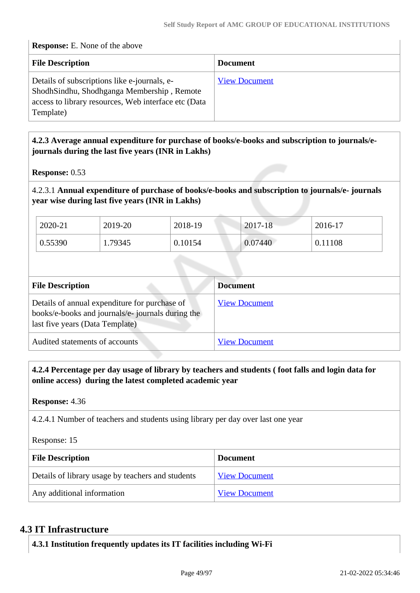#### **Response:** E. None of the above

| <b>File Description</b>                                                                                                                                         | <b>Document</b>      |
|-----------------------------------------------------------------------------------------------------------------------------------------------------------------|----------------------|
| Details of subscriptions like e-journals, e-<br>ShodhSindhu, Shodhganga Membership, Remote<br>access to library resources, Web interface etc (Data<br>Template) | <b>View Document</b> |

#### **4.2.3 Average annual expenditure for purchase of books/e-books and subscription to journals/ejournals during the last five years (INR in Lakhs)**

**Response:** 0.53

4.2.3.1 **Annual expenditure of purchase of books/e-books and subscription to journals/e- journals year wise during last five years (INR in Lakhs)**

| 2020-21 | 2019-20 | 2018-19 | $2017 - 18$ | $2016 - 17$ |
|---------|---------|---------|-------------|-------------|
| 0.55390 | 1.79345 | 0.10154 | 0.07440     | 0.11108     |

| <b>File Description</b>                                                                                                              | <b>Document</b>      |
|--------------------------------------------------------------------------------------------------------------------------------------|----------------------|
| Details of annual expenditure for purchase of<br>books/e-books and journals/e-journals during the<br>last five years (Data Template) | <b>View Document</b> |
| Audited statements of accounts                                                                                                       | <b>View Document</b> |

 **4.2.4 Percentage per day usage of library by teachers and students ( foot falls and login data for online access) during the latest completed academic year**

#### **Response:** 4.36

4.2.4.1 Number of teachers and students using library per day over last one year

#### Response: 15

| <b>File Description</b>                           | <b>Document</b>      |
|---------------------------------------------------|----------------------|
| Details of library usage by teachers and students | <b>View Document</b> |
| Any additional information                        | <b>View Document</b> |

## **4.3 IT Infrastructure**

**4.3.1 Institution frequently updates its IT facilities including Wi-Fi**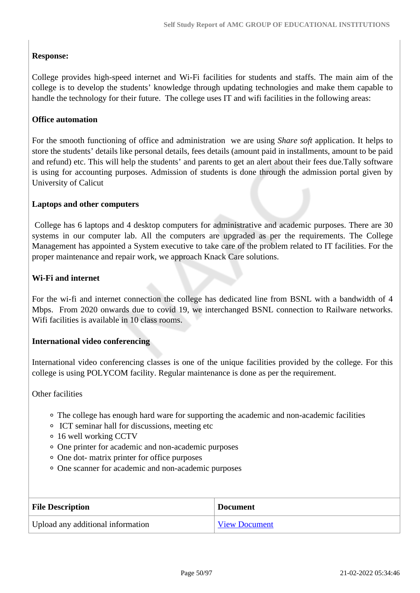## **Response:**

College provides high-speed internet and Wi-Fi facilities for students and staffs. The main aim of the college is to develop the students' knowledge through updating technologies and make them capable to handle the technology for their future. The college uses IT and wifi facilities in the following areas:

#### **Office automation**

For the smooth functioning of office and administration we are using *Share soft* application. It helps to store the students' details like personal details, fees details (amount paid in installments, amount to be paid and refund) etc. This will help the students' and parents to get an alert about their fees due.Tally software is using for accounting purposes. Admission of students is done through the admission portal given by University of Calicut

#### **Laptops and other computers**

 College has 6 laptops and 4 desktop computers for administrative and academic purposes. There are 30 systems in our computer lab. All the computers are upgraded as per the requirements. The College Management has appointed a System executive to take care of the problem related to IT facilities. For the proper maintenance and repair work, we approach Knack Care solutions.

#### **Wi-Fi and internet**

For the wi-fi and internet connection the college has dedicated line from BSNL with a bandwidth of 4 Mbps. From 2020 onwards due to covid 19, we interchanged BSNL connection to Railware networks. Wifi facilities is available in 10 class rooms.

#### **International video conferencing**

International video conferencing classes is one of the unique facilities provided by the college. For this college is using POLYCOM facility. Regular maintenance is done as per the requirement.

Other facilities

- The college has enough hard ware for supporting the academic and non-academic facilities
- ICT seminar hall for discussions, meeting etc
- 16 well working CCTV
- One printer for academic and non-academic purposes
- One dot- matrix printer for office purposes
- One scanner for academic and non-academic purposes

| <b>File Description</b>           | <b>Document</b>      |
|-----------------------------------|----------------------|
| Upload any additional information | <b>View Document</b> |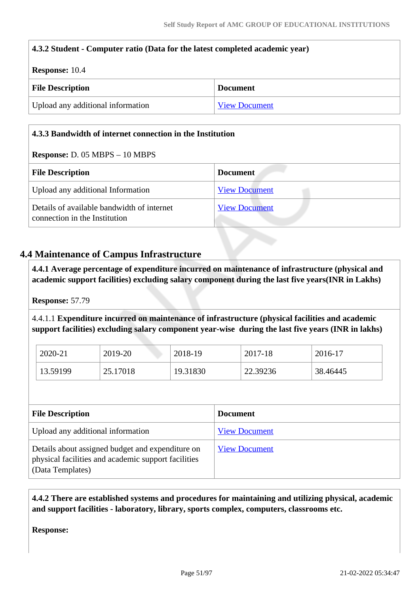| 4.3.2 Student - Computer ratio (Data for the latest completed academic year) |                      |  |
|------------------------------------------------------------------------------|----------------------|--|
| <b>Response:</b> 10.4                                                        |                      |  |
| <b>File Description</b><br><b>Document</b>                                   |                      |  |
| Upload any additional information                                            | <b>View Document</b> |  |

#### **4.3.3 Bandwidth of internet connection in the Institution**

#### **Response:** D. 05 MBPS – 10 MBPS

| <b>File Description</b>                                                     | <b>Document</b>      |
|-----------------------------------------------------------------------------|----------------------|
| Upload any additional Information                                           | <b>View Document</b> |
| Details of available bandwidth of internet<br>connection in the Institution | <b>View Document</b> |

# **4.4 Maintenance of Campus Infrastructure**

 **4.4.1 Average percentage of expenditure incurred on maintenance of infrastructure (physical and academic support facilities) excluding salary component during the last five years(INR in Lakhs)**

#### **Response:** 57.79

4.4.1.1 **Expenditure incurred on maintenance of infrastructure (physical facilities and academic support facilities) excluding salary component year-wise during the last five years (INR in lakhs)**

| 2020-21  | 2019-20  | 2018-19  | 2017-18  | $2016-17$ |
|----------|----------|----------|----------|-----------|
| 13.59199 | 25.17018 | 19.31830 | 22.39236 | 38.46445  |

| <b>File Description</b>                                                                                                     | <b>Document</b>      |
|-----------------------------------------------------------------------------------------------------------------------------|----------------------|
| Upload any additional information                                                                                           | <b>View Document</b> |
| Details about assigned budget and expenditure on<br>physical facilities and academic support facilities<br>(Data Templates) | <b>View Document</b> |

 **4.4.2 There are established systems and procedures for maintaining and utilizing physical, academic and support facilities - laboratory, library, sports complex, computers, classrooms etc.**

**Response:**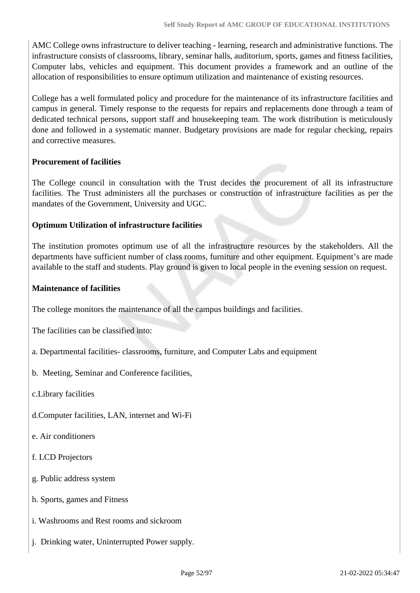AMC College owns infrastructure to deliver teaching - learning, research and administrative functions. The infrastructure consists of classrooms, library, seminar halls, auditorium, sports, games and fitness facilities, Computer labs, vehicles and equipment. This document provides a framework and an outline of the allocation of responsibilities to ensure optimum utilization and maintenance of existing resources.

College has a well formulated policy and procedure for the maintenance of its infrastructure facilities and campus in general. Timely response to the requests for repairs and replacements done through a team of dedicated technical persons, support staff and housekeeping team. The work distribution is meticulously done and followed in a systematic manner. Budgetary provisions are made for regular checking, repairs and corrective measures.

#### **Procurement of facilities**

The College council in consultation with the Trust decides the procurement of all its infrastructure facilities. The Trust administers all the purchases or construction of infrastructure facilities as per the mandates of the Government, University and UGC.

#### **Optimum Utilization of infrastructure facilities**

The institution promotes optimum use of all the infrastructure resources by the stakeholders. All the departments have sufficient number of class rooms, furniture and other equipment. Equipment's are made available to the staff and students. Play ground is given to local people in the evening session on request.

#### **Maintenance of facilities**

The college monitors the maintenance of all the campus buildings and facilities.

The facilities can be classified into:

- a. Departmental facilities- classrooms, furniture, and Computer Labs and equipment
- b. Meeting, Seminar and Conference facilities,
- c.Library facilities
- d.Computer facilities, LAN, internet and Wi-Fi
- e. Air conditioners
- f. LCD Projectors
- g. Public address system
- h. Sports, games and Fitness
- i. Washrooms and Rest rooms and sickroom
- j. Drinking water, Uninterrupted Power supply.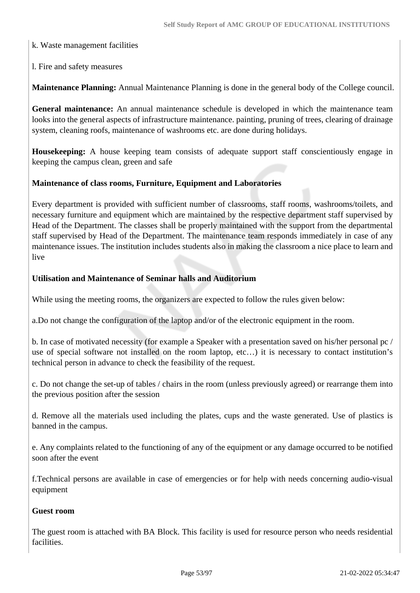k. Waste management facilities

l. Fire and safety measures

**Maintenance Planning:** Annual Maintenance Planning is done in the general body of the College council.

**General maintenance:** An annual maintenance schedule is developed in which the maintenance team looks into the general aspects of infrastructure maintenance. painting, pruning of trees, clearing of drainage system, cleaning roofs, maintenance of washrooms etc. are done during holidays.

**Housekeeping:** A house keeping team consists of adequate support staff conscientiously engage in keeping the campus clean, green and safe

## **Maintenance of class rooms, Furniture, Equipment and Laboratories**

Every department is provided with sufficient number of classrooms, staff rooms, washrooms/toilets, and necessary furniture and equipment which are maintained by the respective department staff supervised by Head of the Department. The classes shall be properly maintained with the support from the departmental staff supervised by Head of the Department. The maintenance team responds immediately in case of any maintenance issues. The institution includes students also in making the classroom a nice place to learn and live

## **Utilisation and Maintenance of Seminar halls and Auditorium**

While using the meeting rooms, the organizers are expected to follow the rules given below:

a.Do not change the configuration of the laptop and/or of the electronic equipment in the room.

b. In case of motivated necessity (for example a Speaker with a presentation saved on his/her personal pc / use of special software not installed on the room laptop, etc…) it is necessary to contact institution's technical person in advance to check the feasibility of the request.

c. Do not change the set-up of tables / chairs in the room (unless previously agreed) or rearrange them into the previous position after the session

d. Remove all the materials used including the plates, cups and the waste generated. Use of plastics is banned in the campus.

e. Any complaints related to the functioning of any of the equipment or any damage occurred to be notified soon after the event

f.Technical persons are available in case of emergencies or for help with needs concerning audio-visual equipment

#### **Guest room**

The guest room is attached with BA Block. This facility is used for resource person who needs residential facilities.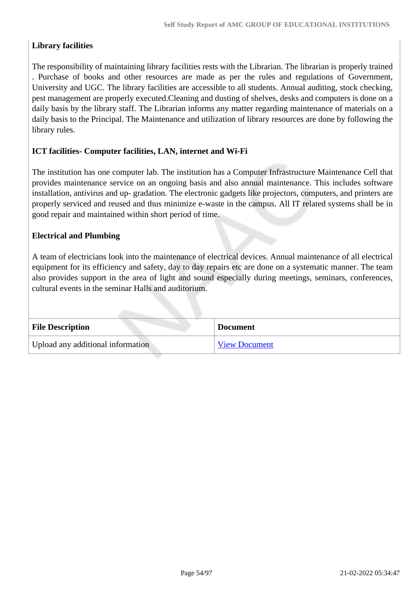## **Library facilities**

The responsibility of maintaining library facilities rests with the Librarian. The librarian is properly trained . Purchase of books and other resources are made as per the rules and regulations of Government, University and UGC. The library facilities are accessible to all students. Annual auditing, stock checking, pest management are properly executed.Cleaning and dusting of shelves, desks and computers is done on a daily basis by the library staff. The Librarian informs any matter regarding maintenance of materials on a daily basis to the Principal. The Maintenance and utilization of library resources are done by following the library rules.

#### **ICT facilities- Computer facilities, LAN, internet and Wi-Fi**

The institution has one computer lab. The institution has a Computer Infrastructure Maintenance Cell that provides maintenance service on an ongoing basis and also annual maintenance. This includes software installation, antivirus and up- gradation. The electronic gadgets like projectors, computers, and printers are properly serviced and reused and thus minimize e-waste in the campus. All IT related systems shall be in good repair and maintained within short period of time.

#### **Electrical and Plumbing**

A team of electricians look into the maintenance of electrical devices. Annual maintenance of all electrical equipment for its efficiency and safety, day to day repairs etc are done on a systematic manner. The team also provides support in the area of light and sound especially during meetings, seminars, conferences, cultural events in the seminar Halls and auditorium.

| <b>File Description</b>           | <b>Document</b>      |
|-----------------------------------|----------------------|
| Upload any additional information | <b>View Document</b> |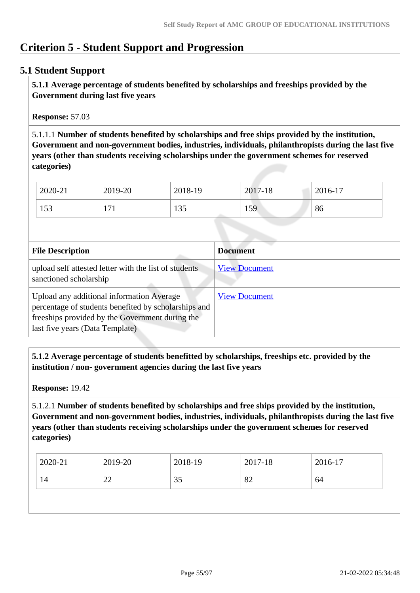# **Criterion 5 - Student Support and Progression**

## **5.1 Student Support**

 **5.1.1 Average percentage of students benefited by scholarships and freeships provided by the Government during last five years** 

**Response:** 57.03

5.1.1.1 **Number of students benefited by scholarships and free ships provided by the institution, Government and non-government bodies, industries, individuals, philanthropists during the last five years (other than students receiving scholarships under the government schemes for reserved categories)** 

| 2020-21 | 2019-20   | 2018-19    | 2017-18 | 2016-17 |
|---------|-----------|------------|---------|---------|
| 153     | 71<br>1/1 | 125<br>199 | 159     | 86      |

| <b>File Description</b>                                                                                                                                                                 | <b>Document</b>      |
|-----------------------------------------------------------------------------------------------------------------------------------------------------------------------------------------|----------------------|
| upload self attested letter with the list of students<br>sanctioned scholarship                                                                                                         | <b>View Document</b> |
| Upload any additional information Average<br>percentage of students benefited by scholarships and<br>freeships provided by the Government during the<br>last five years (Data Template) | <b>View Document</b> |

 **5.1.2 Average percentage of students benefitted by scholarships, freeships etc. provided by the institution / non- government agencies during the last five years**

**Response:** 19.42

5.1.2.1 **Number of students benefited by scholarships and free ships provided by the institution, Government and non-government bodies, industries, individuals, philanthropists during the last five years (other than students receiving scholarships under the government schemes for reserved categories)** 

| 2020-21 | 2019-20      | 2018-19 | 2017-18 | 2016-17 |
|---------|--------------|---------|---------|---------|
| 14      | $\sim$<br>∠∠ | 35      | 82      | 64      |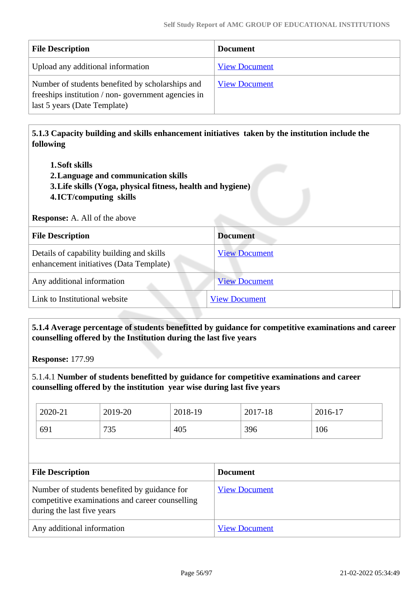| <b>File Description</b>                                                                                                                | <b>Document</b>      |
|----------------------------------------------------------------------------------------------------------------------------------------|----------------------|
| Upload any additional information                                                                                                      | <b>View Document</b> |
| Number of students benefited by scholarships and<br>freeships institution / non-government agencies in<br>last 5 years (Date Template) | <b>View Document</b> |

 **5.1.3 Capacity building and skills enhancement initiatives taken by the institution include the following**

- **1.Soft skills**
- **2.Language and communication skills**
- **3.Life skills (Yoga, physical fitness, health and hygiene)**
- **4.ICT/computing skills**

**Response:** A. All of the above

| <b>File Description</b>                                                              | <b>Document</b>      |
|--------------------------------------------------------------------------------------|----------------------|
| Details of capability building and skills<br>enhancement initiatives (Data Template) | <b>View Document</b> |
| Any additional information                                                           | <b>View Document</b> |
| Link to Institutional website                                                        | <b>View Document</b> |

 **5.1.4 Average percentage of students benefitted by guidance for competitive examinations and career counselling offered by the Institution during the last five years**

**Response:** 177.99

5.1.4.1 **Number of students benefitted by guidance for competitive examinations and career counselling offered by the institution year wise during last five years**

| 2020-21 | 2019-20 | 2018-19 | 2017-18 | 2016-17 |
|---------|---------|---------|---------|---------|
| 691     | 735     | 405     | 396     | 106     |

| <b>File Description</b>                                                                                                       | <b>Document</b>      |
|-------------------------------------------------------------------------------------------------------------------------------|----------------------|
| Number of students benefited by guidance for<br>competitive examinations and career counselling<br>during the last five years | <b>View Document</b> |
| Any additional information                                                                                                    | <b>View Document</b> |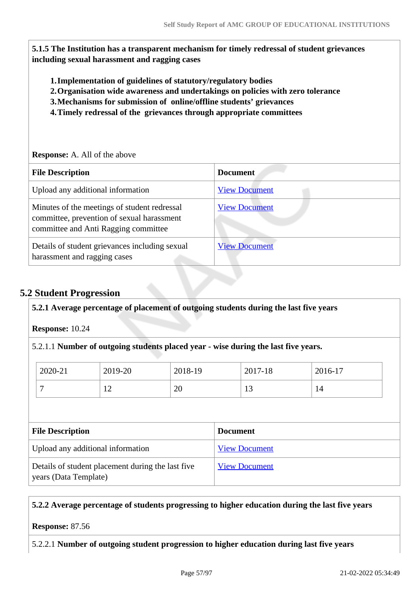**5.1.5 The Institution has a transparent mechanism for timely redressal of student grievances including sexual harassment and ragging cases**

- **1.Implementation of guidelines of statutory/regulatory bodies**
- **2.Organisation wide awareness and undertakings on policies with zero tolerance**
- **3.Mechanisms for submission of online/offline students' grievances**
- **4.Timely redressal of the grievances through appropriate committees**

**Response:** A. All of the above

| <b>File Description</b>                                                                                                            | <b>Document</b>      |
|------------------------------------------------------------------------------------------------------------------------------------|----------------------|
| Upload any additional information                                                                                                  | <b>View Document</b> |
| Minutes of the meetings of student redressal<br>committee, prevention of sexual harassment<br>committee and Anti Ragging committee | <b>View Document</b> |
| Details of student grievances including sexual<br>harassment and ragging cases                                                     | <b>View Document</b> |

## **5.2 Student Progression**

**5.2.1 Average percentage of placement of outgoing students during the last five years**

**Response:** 10.24

5.2.1.1 **Number of outgoing students placed year - wise during the last five years.**

| 2020-21 | 2019-20                          | 2018-19 | 2017-18 | 2016-17                         |
|---------|----------------------------------|---------|---------|---------------------------------|
| -       | 1 <sub>0</sub><br>$\overline{1}$ | 20      | 1 J     | $\overline{\phantom{0}}$<br>. . |

| <b>File Description</b>                                                    | <b>Document</b>      |
|----------------------------------------------------------------------------|----------------------|
| Upload any additional information                                          | <b>View Document</b> |
| Details of student placement during the last five<br>years (Data Template) | <b>View Document</b> |

#### **5.2.2 Average percentage of students progressing to higher education during the last five years**

**Response:** 87.56

5.2.2.1 **Number of outgoing student progression to higher education during last five years**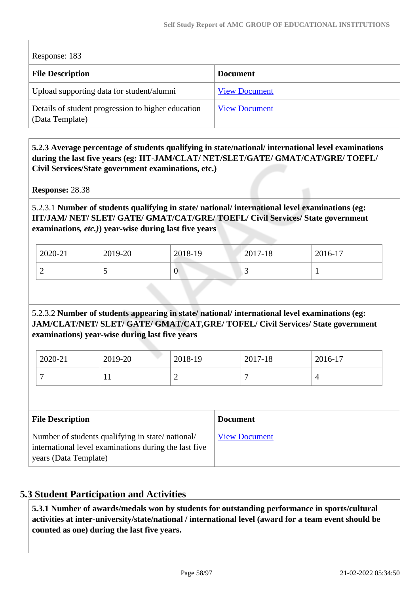Response: 183

| <b>File Description</b>                                               | <b>Document</b>      |
|-----------------------------------------------------------------------|----------------------|
| Upload supporting data for student/alumni                             | <b>View Document</b> |
| Details of student progression to higher education<br>(Data Template) | <b>View Document</b> |

 **5.2.3 Average percentage of students qualifying in state/national/ international level examinations during the last five years (eg: IIT-JAM/CLAT/ NET/SLET/GATE/ GMAT/CAT/GRE/ TOEFL/ Civil Services/State government examinations, etc.)**

**Response:** 28.38

5.2.3.1 **Number of students qualifying in state/ national/ international level examinations (eg: IIT/JAM/ NET/ SLET/ GATE/ GMAT/CAT/GRE/ TOEFL/ Civil Services/ State government examinations***, etc.)***) year-wise during last five years**

| 2020-21 | 2019-20                  | 2018-19 | 2017-18  | 2016-17 |
|---------|--------------------------|---------|----------|---------|
| ∼       | $\overline{\phantom{0}}$ | U       | <b>~</b> |         |

# 5.2.3.2 **Number of students appearing in state/ national/ international level examinations (eg: JAM/CLAT/NET/ SLET/ GATE/ GMAT/CAT,GRE/ TOFEL/ Civil Services/ State government examinations) year-wise during last five years**

| 2020-21 | 2019-20    | 2018-19 | 2017-18 | 2016-17 |
|---------|------------|---------|---------|---------|
| -       | <b>*</b> * | ∽       | −       |         |

| <b>File Description</b>                                                                                                            | <b>Document</b>      |
|------------------------------------------------------------------------------------------------------------------------------------|----------------------|
| Number of students qualifying in state/national/<br>international level examinations during the last five<br>years (Data Template) | <b>View Document</b> |

# **5.3 Student Participation and Activities**

 **5.3.1 Number of awards/medals won by students for outstanding performance in sports/cultural activities at inter-university/state/national / international level (award for a team event should be counted as one) during the last five years.**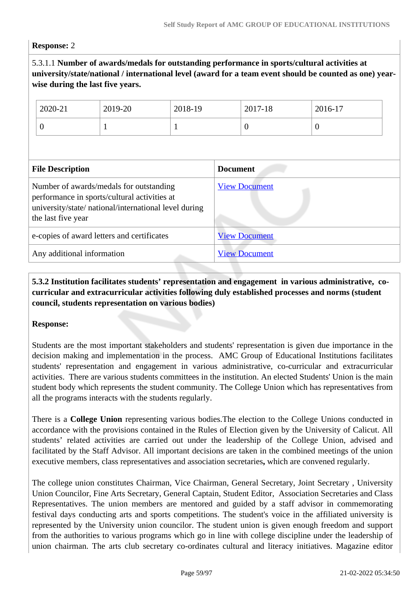#### **Response:** 2

## 5.3.1.1 **Number of awards/medals for outstanding performance in sports/cultural activities at university/state/national / international level (award for a team event should be counted as one) yearwise during the last five years.**

|                                                                                                                                                                        | 2020-21<br>$\overline{0}$ | 2019-20 | 2018-19<br>1         |                      | 2017-18<br>$\overline{0}$ | 2016-17<br>$\overline{0}$ |
|------------------------------------------------------------------------------------------------------------------------------------------------------------------------|---------------------------|---------|----------------------|----------------------|---------------------------|---------------------------|
| <b>File Description</b>                                                                                                                                                |                           |         | <b>Document</b>      |                      |                           |                           |
| Number of awards/medals for outstanding<br>performance in sports/cultural activities at<br>university/state/ national/international level during<br>the last five year |                           |         |                      | <b>View Document</b> |                           |                           |
| e-copies of award letters and certificates                                                                                                                             |                           |         | <b>View Document</b> |                      |                           |                           |
| Any additional information                                                                                                                                             |                           |         | <b>View Document</b> |                      |                           |                           |

#### **5.3.2 Institution facilitates students' representation and engagement in various administrative, cocurricular and extracurricular activities following duly established processes and norms (student council, students representation on various bodies)**

#### **Response:**

Students are the most important stakeholders and students' representation is given due importance in the decision making and implementation in the process. AMC Group of Educational Institutions facilitates students' representation and engagement in various administrative, co-curricular and extracurricular activities. There are various students committees in the institution. An elected Students' Union is the main student body which represents the student community. The College Union which has representatives from all the programs interacts with the students regularly.

There is a **College Union** representing various bodies.The election to the College Unions conducted in accordance with the provisions contained in the Rules of Election given by the University of Calicut. All students' related activities are carried out under the leadership of the College Union, advised and facilitated by the Staff Advisor. All important decisions are taken in the combined meetings of the union executive members, class representatives and association secretaries**,** which are convened regularly.

The college union constitutes Chairman, Vice Chairman, General Secretary, Joint Secretary , University Union Councilor, Fine Arts Secretary, General Captain, Student Editor, Association Secretaries and Class Representatives. The union members are mentored and guided by a staff advisor in commemorating festival days conducting arts and sports competitions. The student's voice in the affiliated university is represented by the University union councilor. The student union is given enough freedom and support from the authorities to various programs which go in line with college discipline under the leadership of union chairman. The arts club secretary co-ordinates cultural and literacy initiatives. Magazine editor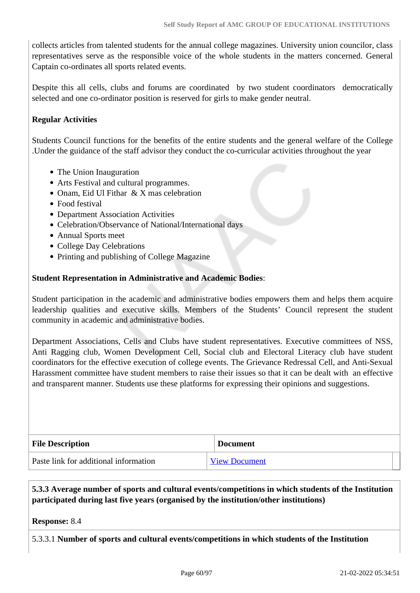collects articles from talented students for the annual college magazines. University union councilor, class representatives serve as the responsible voice of the whole students in the matters concerned. General Captain co-ordinates all sports related events.

Despite this all cells, clubs and forums are coordinated by two student coordinators democratically selected and one co-ordinator position is reserved for girls to make gender neutral.

#### **Regular Activities**

Students Council functions for the benefits of the entire students and the general welfare of the College .Under the guidance of the staff advisor they conduct the co-curricular activities throughout the year

- The Union Inauguration
- Arts Festival and cultural programmes.
- Onam, Eid Ul Fithar & X mas celebration
- Food festival
- Department Association Activities
- Celebration/Observance of National/International days
- Annual Sports meet
- College Day Celebrations
- Printing and publishing of College Magazine

#### **Student Representation in Administrative and Academic Bodies**:

Student participation in the academic and administrative bodies empowers them and helps them acquire leadership qualities and executive skills. Members of the Students' Council represent the student community in academic and administrative bodies.

Department Associations, Cells and Clubs have student representatives. Executive committees of NSS, Anti Ragging club, Women Development Cell, Social club and Electoral Literacy club have student coordinators for the effective execution of college events. The Grievance Redressal Cell, and Anti-Sexual Harassment committee have student members to raise their issues so that it can be dealt with an effective and transparent manner. Students use these platforms for expressing their opinions and suggestions.

| <b>File Description</b>               | <b>Document</b>      |
|---------------------------------------|----------------------|
| Paste link for additional information | <b>View Document</b> |

#### **5.3.3 Average number of sports and cultural events/competitions in which students of the Institution participated during last five years (organised by the institution/other institutions)**

**Response:** 8.4

5.3.3.1 **Number of sports and cultural events/competitions in which students of the Institution**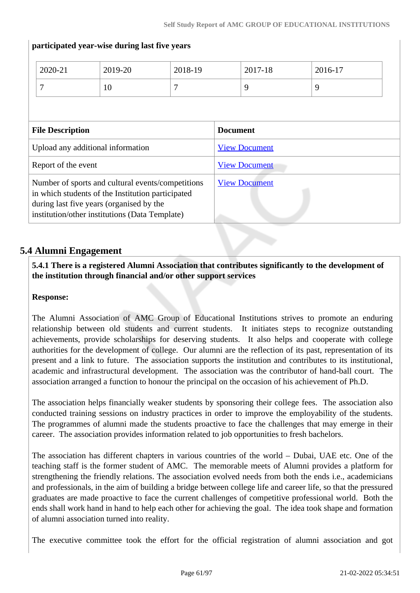|                                                                                                                                                                                                      | 2020-21 | 2019-20 | 2018-19              |                      | 2017-18 | 2016-17 |
|------------------------------------------------------------------------------------------------------------------------------------------------------------------------------------------------------|---------|---------|----------------------|----------------------|---------|---------|
|                                                                                                                                                                                                      | 7       | 10      | 7                    |                      | 9       | 9       |
|                                                                                                                                                                                                      |         |         |                      |                      |         |         |
|                                                                                                                                                                                                      |         |         |                      |                      |         |         |
| <b>File Description</b>                                                                                                                                                                              |         |         | <b>Document</b>      |                      |         |         |
| Upload any additional information                                                                                                                                                                    |         |         | <b>View Document</b> |                      |         |         |
| Report of the event                                                                                                                                                                                  |         |         | <b>View Document</b> |                      |         |         |
| Number of sports and cultural events/competitions<br>in which students of the Institution participated<br>during last five years (organised by the<br>institution/other institutions (Data Template) |         |         |                      | <b>View Document</b> |         |         |

#### **participated year-wise during last five years**

# **5.4 Alumni Engagement**

 **5.4.1 There is a registered Alumni Association that contributes significantly to the development of the institution through financial and/or other support services**

#### **Response:**

The Alumni Association of AMC Group of Educational Institutions strives to promote an enduring relationship between old students and current students. It initiates steps to recognize outstanding achievements, provide scholarships for deserving students. It also helps and cooperate with college authorities for the development of college. Our alumni are the reflection of its past, representation of its present and a link to future. The association supports the institution and contributes to its institutional, academic and infrastructural development. The association was the contributor of hand-ball court. The association arranged a function to honour the principal on the occasion of his achievement of Ph.D.

The association helps financially weaker students by sponsoring their college fees. The association also conducted training sessions on industry practices in order to improve the employability of the students. The programmes of alumni made the students proactive to face the challenges that may emerge in their career. The association provides information related to job opportunities to fresh bachelors.

The association has different chapters in various countries of the world – Dubai, UAE etc. One of the teaching staff is the former student of AMC. The memorable meets of Alumni provides a platform for strengthening the friendly relations. The association evolved needs from both the ends i.e., academicians and professionals, in the aim of building a bridge between college life and career life, so that the pressured graduates are made proactive to face the current challenges of competitive professional world. Both the ends shall work hand in hand to help each other for achieving the goal. The idea took shape and formation of alumni association turned into reality.

The executive committee took the effort for the official registration of alumni association and got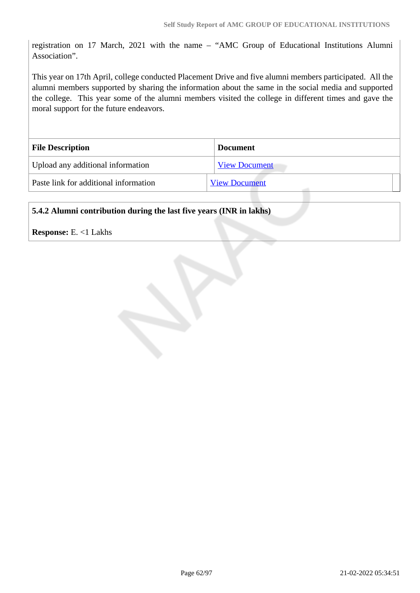registration on 17 March, 2021 with the name – "AMC Group of Educational Institutions Alumni Association".

This year on 17th April, college conducted Placement Drive and five alumni members participated. All the alumni members supported by sharing the information about the same in the social media and supported the college. This year some of the alumni members visited the college in different times and gave the moral support for the future endeavors.

| <b>File Description</b>               | <b>Document</b>      |
|---------------------------------------|----------------------|
| Upload any additional information     | <b>View Document</b> |
| Paste link for additional information | <b>View Document</b> |

#### **5.4.2 Alumni contribution during the last five years (INR in lakhs)**

**Response:** E. <1 Lakhs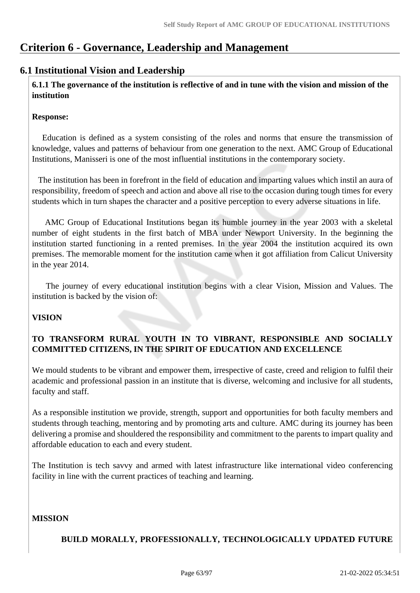# **Criterion 6 - Governance, Leadership and Management**

## **6.1 Institutional Vision and Leadership**

 **6.1.1 The governance of the institution is reflective of and in tune with the vision and mission of the institution**

#### **Response:**

Education is defined as a system consisting of the roles and norms that ensure the transmission of knowledge, values and patterns of behaviour from one generation to the next. AMC Group of Educational Institutions, Manisseri is one of the most influential institutions in the contemporary society.

 The institution has been in forefront in the field of education and imparting values which instil an aura of responsibility, freedom of speech and action and above all rise to the occasion during tough times for every students which in turn shapes the character and a positive perception to every adverse situations in life.

 AMC Group of Educational Institutions began its humble journey in the year 2003 with a skeletal number of eight students in the first batch of MBA under Newport University. In the beginning the institution started functioning in a rented premises. In the year 2004 the institution acquired its own premises. The memorable moment for the institution came when it got affiliation from Calicut University in the year 2014.

 The journey of every educational institution begins with a clear Vision, Mission and Values. The institution is backed by the vision of:

## **VISION**

# **TO TRANSFORM RURAL YOUTH IN TO VIBRANT, RESPONSIBLE AND SOCIALLY COMMITTED CITIZENS, IN THE SPIRIT OF EDUCATION AND EXCELLENCE**

We mould students to be vibrant and empower them, irrespective of caste, creed and religion to fulfil their academic and professional passion in an institute that is diverse, welcoming and inclusive for all students, faculty and staff.

As a responsible institution we provide, strength, support and opportunities for both faculty members and students through teaching, mentoring and by promoting arts and culture. AMC during its journey has been delivering a promise and shouldered the responsibility and commitment to the parents to impart quality and affordable education to each and every student.

The Institution is tech savvy and armed with latest infrastructure like international video conferencing facility in line with the current practices of teaching and learning.

#### **MISSION**

 **BUILD MORALLY, PROFESSIONALLY, TECHNOLOGICALLY UPDATED FUTURE**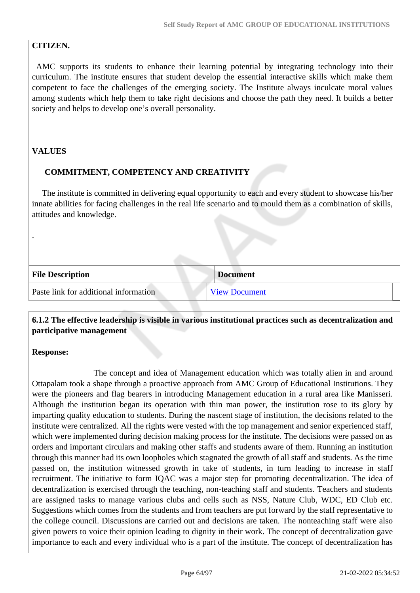# **CITIZEN.**

 AMC supports its students to enhance their learning potential by integrating technology into their curriculum. The institute ensures that student develop the essential interactive skills which make them competent to face the challenges of the emerging society. The Institute always inculcate moral values among students which help them to take right decisions and choose the path they need. It builds a better society and helps to develop one's overall personality.

# **VALUES**

.

#### **COMMITMENT, COMPETENCY AND CREATIVITY**

 The institute is committed in delivering equal opportunity to each and every student to showcase his/her innate abilities for facing challenges in the real life scenario and to mould them as a combination of skills, attitudes and knowledge.

| <b>File Description</b>               | <b>Document</b>      |
|---------------------------------------|----------------------|
| Paste link for additional information | <b>View Document</b> |

#### **6.1.2 The effective leadership is visible in various institutional practices such as decentralization and participative management**

#### **Response:**

 The concept and idea of Management education which was totally alien in and around Ottapalam took a shape through a proactive approach from AMC Group of Educational Institutions. They were the pioneers and flag bearers in introducing Management education in a rural area like Manisseri. Although the institution began its operation with thin man power, the institution rose to its glory by imparting quality education to students. During the nascent stage of institution, the decisions related to the institute were centralized. All the rights were vested with the top management and senior experienced staff, which were implemented during decision making process for the institute. The decisions were passed on as orders and important circulars and making other staffs and students aware of them. Running an institution through this manner had its own loopholes which stagnated the growth of all staff and students. As the time passed on, the institution witnessed growth in take of students, in turn leading to increase in staff recruitment. The initiative to form IQAC was a major step for promoting decentralization. The idea of decentralization is exercised through the teaching, non-teaching staff and students. Teachers and students are assigned tasks to manage various clubs and cells such as NSS, Nature Club, WDC, ED Club etc. Suggestions which comes from the students and from teachers are put forward by the staff representative to the college council. Discussions are carried out and decisions are taken. The nonteaching staff were also given powers to voice their opinion leading to dignity in their work. The concept of decentralization gave importance to each and every individual who is a part of the institute. The concept of decentralization has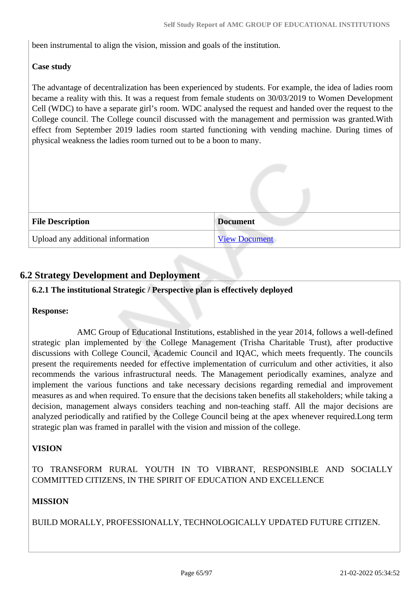been instrumental to align the vision, mission and goals of the institution.

# **Case study**

The advantage of decentralization has been experienced by students. For example, the idea of ladies room became a reality with this. It was a request from female students on 30/03/2019 to Women Development Cell (WDC) to have a separate girl's room. WDC analysed the request and handed over the request to the College council. The College council discussed with the management and permission was granted.With effect from September 2019 ladies room started functioning with vending machine. During times of physical weakness the ladies room turned out to be a boon to many.

| <b>File Description</b>           | <b>Document</b>      |
|-----------------------------------|----------------------|
| Upload any additional information | <b>View Document</b> |

# **6.2 Strategy Development and Deployment**

## **6.2.1 The institutional Strategic / Perspective plan is effectively deployed**

#### **Response:**

 AMC Group of Educational Institutions, established in the year 2014, follows a well-defined strategic plan implemented by the College Management (Trisha Charitable Trust), after productive discussions with College Council, Academic Council and IQAC, which meets frequently. The councils present the requirements needed for effective implementation of curriculum and other activities, it also recommends the various infrastructural needs. The Management periodically examines, analyze and implement the various functions and take necessary decisions regarding remedial and improvement measures as and when required. To ensure that the decisions taken benefits all stakeholders; while taking a decision, management always considers teaching and non-teaching staff. All the major decisions are analyzed periodically and ratified by the College Council being at the apex whenever required.Long term strategic plan was framed in parallel with the vision and mission of the college.

## **VISION**

TO TRANSFORM RURAL YOUTH IN TO VIBRANT, RESPONSIBLE AND SOCIALLY COMMITTED CITIZENS, IN THE SPIRIT OF EDUCATION AND EXCELLENCE

## **MISSION**

BUILD MORALLY, PROFESSIONALLY, TECHNOLOGICALLY UPDATED FUTURE CITIZEN.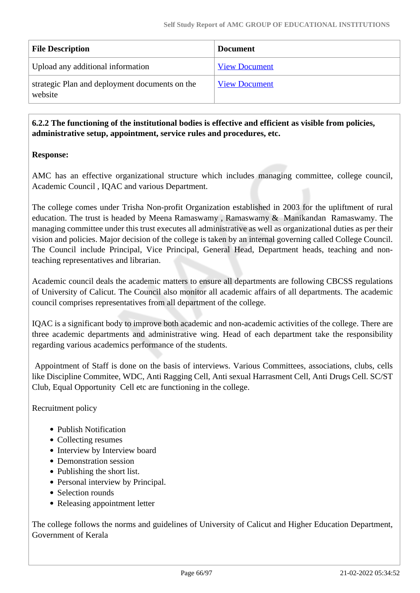| <b>File Description</b>                                   | <b>Document</b>      |
|-----------------------------------------------------------|----------------------|
| Upload any additional information                         | <b>View Document</b> |
| strategic Plan and deployment documents on the<br>website | <b>View Document</b> |

## **6.2.2 The functioning of the institutional bodies is effective and efficient as visible from policies, administrative setup, appointment, service rules and procedures, etc.**

## **Response:**

AMC has an effective organizational structure which includes managing committee, college council, Academic Council , IQAC and various Department.

The college comes under Trisha Non-profit Organization established in 2003 for the upliftment of rural education. The trust is headed by Meena Ramaswamy , Ramaswamy & Manikandan Ramaswamy. The managing committee under this trust executes all administrative as well as organizational duties as per their vision and policies. Major decision of the college is taken by an internal governing called College Council. The Council include Principal, Vice Principal, General Head, Department heads, teaching and nonteaching representatives and librarian.

Academic council deals the academic matters to ensure all departments are following CBCSS regulations of University of Calicut. The Council also monitor all academic affairs of all departments. The academic council comprises representatives from all department of the college.

IQAC is a significant body to improve both academic and non-academic activities of the college. There are three academic departments and administrative wing. Head of each department take the responsibility regarding various academics performance of the students.

 Appointment of Staff is done on the basis of interviews. Various Committees, associations, clubs, cells like Discipline Commitee, WDC, Anti Ragging Cell, Anti sexual Harrasment Cell, Anti Drugs Cell. SC/ST Club, Equal Opportunity Cell etc are functioning in the college.

Recruitment policy

- Publish Notification
- Collecting resumes
- Interview by Interview board
- Demonstration session
- Publishing the short list.
- Personal interview by Principal.
- Selection rounds
- Releasing appointment letter

The college follows the norms and guidelines of University of Calicut and Higher Education Department, Government of Kerala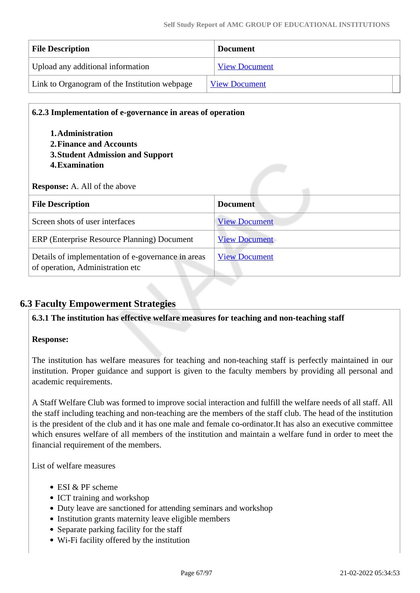| <b>File Description</b>                       | <b>Document</b>      |  |
|-----------------------------------------------|----------------------|--|
| Upload any additional information             | <b>View Document</b> |  |
| Link to Organogram of the Institution webpage | <b>View Document</b> |  |

| 6.2.3 Implementation of e-governance in areas of operation<br>1. Administration        |                      |
|----------------------------------------------------------------------------------------|----------------------|
| 2. Finance and Accounts                                                                |                      |
| <b>3. Student Admission and Support</b><br>4. Examination                              |                      |
|                                                                                        |                      |
| <b>Response:</b> A. All of the above                                                   |                      |
| <b>File Description</b>                                                                | <b>Document</b>      |
| Screen shots of user interfaces                                                        | <b>View Document</b> |
| ERP (Enterprise Resource Planning) Document                                            | <b>View Document</b> |
| Details of implementation of e-governance in areas<br>of operation, Administration etc | <b>View Document</b> |

# **6.3 Faculty Empowerment Strategies**

## **6.3.1 The institution has effective welfare measures for teaching and non-teaching staff**

#### **Response:**

The institution has welfare measures for teaching and non-teaching staff is perfectly maintained in our institution. Proper guidance and support is given to the faculty members by providing all personal and academic requirements.

A Staff Welfare Club was formed to improve social interaction and fulfill the welfare needs of all staff. All the staff including teaching and non-teaching are the members of the staff club. The head of the institution is the president of the club and it has one male and female co-ordinator.It has also an executive committee which ensures welfare of all members of the institution and maintain a welfare fund in order to meet the financial requirement of the members.

List of welfare measures

- ESI & PF scheme
- ICT training and workshop
- Duty leave are sanctioned for attending seminars and workshop
- Institution grants maternity leave eligible members
- Separate parking facility for the staff
- Wi-Fi facility offered by the institution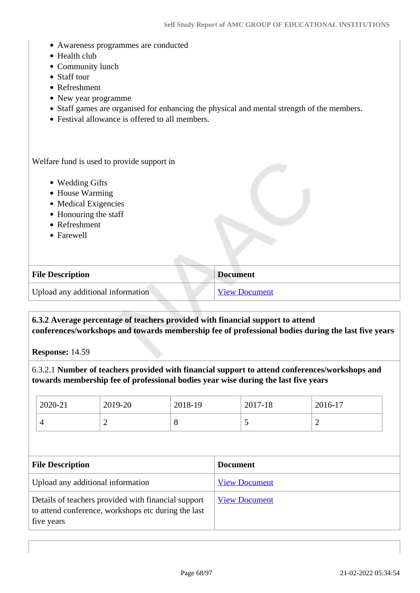- Awareness programmes are conducted
- Health club
- Community lunch
- Staff tour
- Refreshment
- New year programme
- Staff games are organised for enhancing the physical and mental strength of the members.
- Festival allowance is offered to all members.

Welfare fund is used to provide support in

- Wedding Gifts
- House Warming
- Medical Exigencies
- Honouring the staff
- Refreshment
- Farewell

| <b>File Description</b>           | <b>Document</b>      |
|-----------------------------------|----------------------|
| Upload any additional information | <b>View Document</b> |

 **6.3.2 Average percentage of teachers provided with financial support to attend conferences/workshops and towards membership fee of professional bodies during the last five years**

**Response:** 14.59

6.3.2.1 **Number of teachers provided with financial support to attend conferences/workshops and towards membership fee of professional bodies year wise during the last five years**

| 2020-21                                                                                                                  | 2019-20 | 2018-19              |                      | 2017-18 | 2016-17        |
|--------------------------------------------------------------------------------------------------------------------------|---------|----------------------|----------------------|---------|----------------|
| $\overline{4}$                                                                                                           | 2       | 8                    |                      | 5       | $\overline{2}$ |
|                                                                                                                          |         |                      |                      |         |                |
| <b>File Description</b>                                                                                                  |         | <b>Document</b>      |                      |         |                |
| Upload any additional information                                                                                        |         | <b>View Document</b> |                      |         |                |
| Details of teachers provided with financial support<br>to attend conference, workshops etc during the last<br>five years |         |                      | <b>View Document</b> |         |                |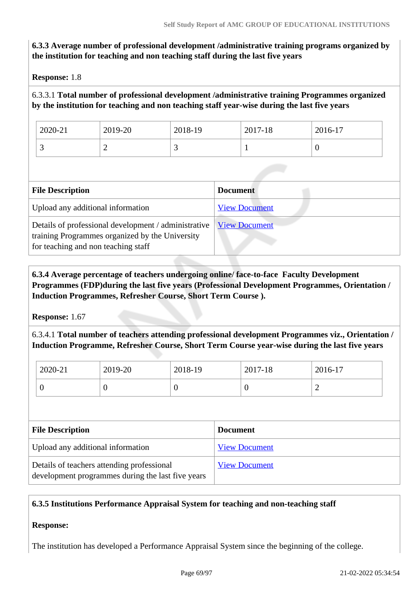# **6.3.3 Average number of professional development /administrative training programs organized by the institution for teaching and non teaching staff during the last five years**

**Response:** 1.8

# 6.3.3.1 **Total number of professional development /administrative training Programmes organized by the institution for teaching and non teaching staff year-wise during the last five years**

| 2020-21  | 2019-20 | 2018-19 | 2017-18 | 2016-17 |
|----------|---------|---------|---------|---------|
| <u>ب</u> | -       | ັ       |         |         |

| <b>File Description</b>                                                                                                                        | <b>Document</b>      |
|------------------------------------------------------------------------------------------------------------------------------------------------|----------------------|
| Upload any additional information                                                                                                              | <b>View Document</b> |
| Details of professional development / administrative<br>training Programmes organized by the University<br>for teaching and non teaching staff | <b>View Document</b> |

## **6.3.4 Average percentage of teachers undergoing online/ face-to-face Faculty Development Programmes (FDP)during the last five years (Professional Development Programmes, Orientation / Induction Programmes, Refresher Course, Short Term Course ).**

**Response:** 1.67

6.3.4.1 **Total number of teachers attending professional development Programmes viz., Orientation / Induction Programme, Refresher Course, Short Term Course year-wise during the last five years**

| 2020-21 | 2019-20 | 2018-19 | 2017-18 | 2016-17 |
|---------|---------|---------|---------|---------|
|         |         | v       |         | ∼       |

| <b>File Description</b>                                                                         | <b>Document</b>      |
|-------------------------------------------------------------------------------------------------|----------------------|
| Upload any additional information                                                               | <b>View Document</b> |
| Details of teachers attending professional<br>development programmes during the last five years | <b>View Document</b> |

## **6.3.5 Institutions Performance Appraisal System for teaching and non-teaching staff**

#### **Response:**

The institution has developed a Performance Appraisal System since the beginning of the college.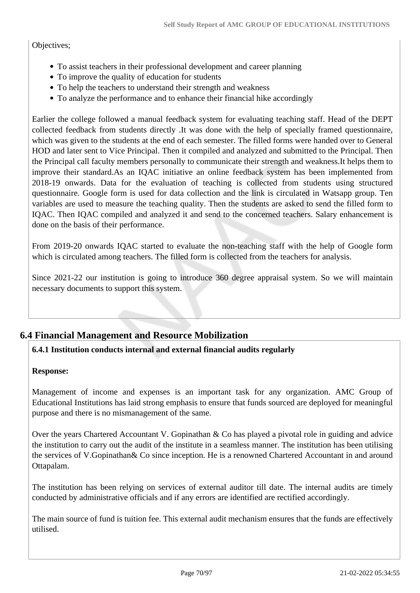#### Objectives;

- To assist teachers in their professional development and career planning
- To improve the quality of education for students
- To help the teachers to understand their strength and weakness
- To analyze the performance and to enhance their financial hike accordingly

Earlier the college followed a manual feedback system for evaluating teaching staff. Head of the DEPT collected feedback from students directly .It was done with the help of specially framed questionnaire, which was given to the students at the end of each semester. The filled forms were handed over to General HOD and later sent to Vice Principal. Then it compiled and analyzed and submitted to the Principal. Then the Principal call faculty members personally to communicate their strength and weakness.It helps them to improve their standard.As an IQAC initiative an online feedback system has been implemented from 2018-19 onwards. Data for the evaluation of teaching is collected from students using structured questionnaire. Google form is used for data collection and the link is circulated in Watsapp group. Ten variables are used to measure the teaching quality. Then the students are asked to send the filled form to IQAC. Then IQAC compiled and analyzed it and send to the concerned teachers. Salary enhancement is done on the basis of their performance.

From 2019-20 onwards IQAC started to evaluate the non-teaching staff with the help of Google form which is circulated among teachers. The filled form is collected from the teachers for analysis.

Since 2021-22 our institution is going to introduce 360 degree appraisal system. So we will maintain necessary documents to support this system.

# **6.4 Financial Management and Resource Mobilization**

# **6.4.1 Institution conducts internal and external financial audits regularly**

#### **Response:**

Management of income and expenses is an important task for any organization. AMC Group of Educational Institutions has laid strong emphasis to ensure that funds sourced are deployed for meaningful purpose and there is no mismanagement of the same.

Over the years Chartered Accountant V. Gopinathan & Co has played a pivotal role in guiding and advice the institution to carry out the audit of the institute in a seamless manner. The institution has been utilising the services of V.Gopinathan& Co since inception. He is a renowned Chartered Accountant in and around Ottapalam.

The institution has been relying on services of external auditor till date. The internal audits are timely conducted by administrative officials and if any errors are identified are rectified accordingly.

The main source of fund is tuition fee. This external audit mechanism ensures that the funds are effectively utilised.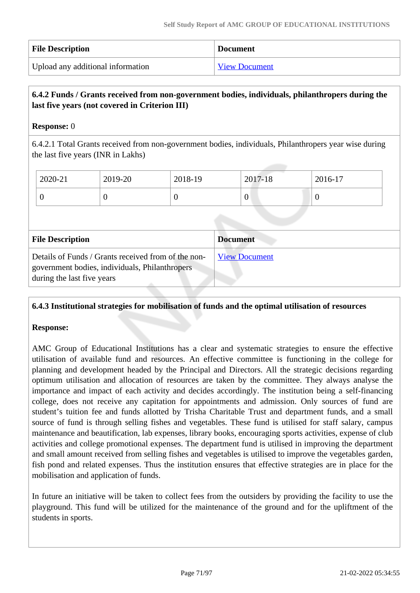| <b>File Description</b>           | <b>Document</b>      |
|-----------------------------------|----------------------|
| Upload any additional information | <b>View Document</b> |

# **6.4.2 Funds / Grants received from non-government bodies, individuals, philanthropers during the last five years (not covered in Criterion III)**

#### **Response:** 0

6.4.2.1 Total Grants received from non-government bodies, individuals, Philanthropers year wise during the last five years (INR in Lakhs)

| 2020-21 | 2019-20 | 2018-19 | 2017-18          | 2016-17 |
|---------|---------|---------|------------------|---------|
| ◡       | v       | ິ       | $\boldsymbol{0}$ |         |

| <b>File Description</b>                                                                                                             | <b>Document</b>      |
|-------------------------------------------------------------------------------------------------------------------------------------|----------------------|
| Details of Funds / Grants received from of the non-<br>government bodies, individuals, Philanthropers<br>during the last five years | <b>View Document</b> |

#### **6.4.3 Institutional strategies for mobilisation of funds and the optimal utilisation of resources**

#### **Response:**

AMC Group of Educational Institutions has a clear and systematic strategies to ensure the effective utilisation of available fund and resources. An effective committee is functioning in the college for planning and development headed by the Principal and Directors. All the strategic decisions regarding optimum utilisation and allocation of resources are taken by the committee. They always analyse the importance and impact of each activity and decides accordingly. The institution being a self-financing college, does not receive any capitation for appointments and admission. Only sources of fund are student's tuition fee and funds allotted by Trisha Charitable Trust and department funds, and a small source of fund is through selling fishes and vegetables. These fund is utilised for staff salary, campus maintenance and beautification, lab expenses, library books, encouraging sports activities, expense of club activities and college promotional expenses. The department fund is utilised in improving the department and small amount received from selling fishes and vegetables is utilised to improve the vegetables garden, fish pond and related expenses. Thus the institution ensures that effective strategies are in place for the mobilisation and application of funds.

In future an initiative will be taken to collect fees from the outsiders by providing the facility to use the playground. This fund will be utilized for the maintenance of the ground and for the upliftment of the students in sports.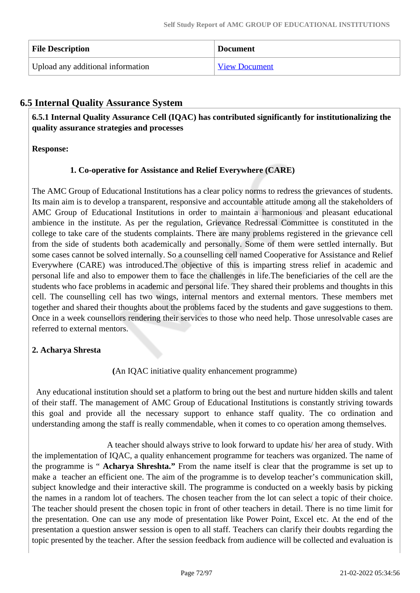| <b>File Description</b>           | <b>Document</b>      |
|-----------------------------------|----------------------|
| Upload any additional information | <b>View Document</b> |

# **6.5 Internal Quality Assurance System**

 **6.5.1 Internal Quality Assurance Cell (IQAC) has contributed significantly for institutionalizing the quality assurance strategies and processes**

**Response:** 

## **1. Co-operative for Assistance and Relief Everywhere (CARE)**

The AMC Group of Educational Institutions has a clear policy norms to redress the grievances of students. Its main aim is to develop a transparent, responsive and accountable attitude among all the stakeholders of AMC Group of Educational Institutions in order to maintain a harmonious and pleasant educational ambience in the institute. As per the regulation, Grievance Redressal Committee is constituted in the college to take care of the students complaints. There are many problems registered in the grievance cell from the side of students both academically and personally. Some of them were settled internally. But some cases cannot be solved internally. So a counselling cell named Cooperative for Assistance and Relief Everywhere (CARE) was introduced.The objective of this is imparting stress relief in academic and personal life and also to empower them to face the challenges in life.The beneficiaries of the cell are the students who face problems in academic and personal life. They shared their problems and thoughts in this cell. The counselling cell has two wings, internal mentors and external mentors. These members met together and shared their thoughts about the problems faced by the students and gave suggestions to them. Once in a week counsellors rendering their services to those who need help. Those unresolvable cases are referred to external mentors.

## **2. Acharya Shresta**

 **(**An IQAC initiative quality enhancement programme)

 Any educational institution should set a platform to bring out the best and nurture hidden skills and talent of their staff. The management of AMC Group of Educational Institutions is constantly striving towards this goal and provide all the necessary support to enhance staff quality. The co ordination and understanding among the staff is really commendable, when it comes to co operation among themselves.

 A teacher should always strive to look forward to update his/ her area of study. With the implementation of IQAC, a quality enhancement programme for teachers was organized. The name of the programme is " **Acharya Shreshta."** From the name itself is clear that the programme is set up to make a teacher an efficient one. The aim of the programme is to develop teacher's communication skill, subject knowledge and their interactive skill. The programme is conducted on a weekly basis by picking the names in a random lot of teachers. The chosen teacher from the lot can select a topic of their choice. The teacher should present the chosen topic in front of other teachers in detail. There is no time limit for the presentation. One can use any mode of presentation like Power Point, Excel etc. At the end of the presentation a question answer session is open to all staff. Teachers can clarify their doubts regarding the topic presented by the teacher. After the session feedback from audience will be collected and evaluation is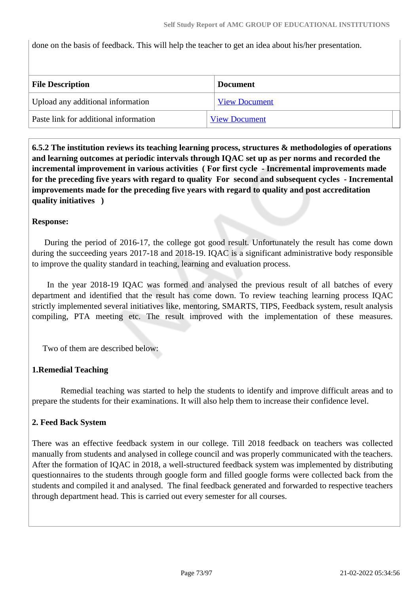done on the basis of feedback. This will help the teacher to get an idea about his/her presentation.

| <b>File Description</b>               | <b>Document</b>      |
|---------------------------------------|----------------------|
| Upload any additional information     | <b>View Document</b> |
| Paste link for additional information | <b>View Document</b> |

 **6.5.2 The institution reviews its teaching learning process, structures & methodologies of operations and learning outcomes at periodic intervals through IQAC set up as per norms and recorded the incremental improvement in various activities ( For first cycle - Incremental improvements made for the preceding five years with regard to quality For second and subsequent cycles - Incremental improvements made for the preceding five years with regard to quality and post accreditation quality initiatives )** 

## **Response:**

 During the period of 2016-17, the college got good result. Unfortunately the result has come down during the succeeding years 2017-18 and 2018-19. IQAC is a significant administrative body responsible to improve the quality standard in teaching, learning and evaluation process.

 In the year 2018-19 IQAC was formed and analysed the previous result of all batches of every department and identified that the result has come down. To review teaching learning process IQAC strictly implemented several initiatives like, mentoring, SMARTS, TIPS, Feedback system, result analysis compiling, PTA meeting etc. The result improved with the implementation of these measures.

Two of them are described below:

## **1.Remedial Teaching**

 Remedial teaching was started to help the students to identify and improve difficult areas and to prepare the students for their examinations. It will also help them to increase their confidence level.

## **2. Feed Back System**

There was an effective feedback system in our college. Till 2018 feedback on teachers was collected manually from students and analysed in college council and was properly communicated with the teachers. After the formation of IQAC in 2018, a well-structured feedback system was implemented by distributing questionnaires to the students through google form and filled google forms were collected back from the students and compiled it and analysed. The final feedback generated and forwarded to respective teachers through department head. This is carried out every semester for all courses.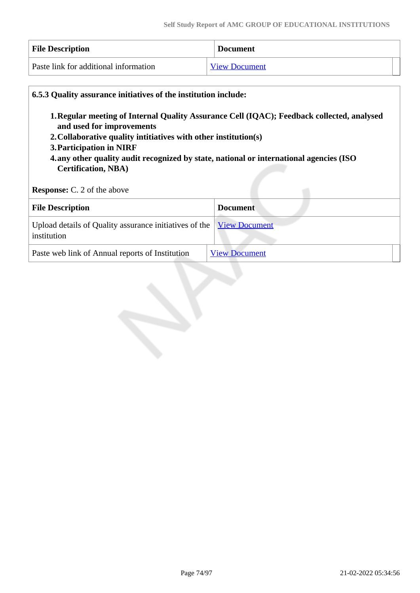| <b>File Description</b>               | <b>Document</b>      |
|---------------------------------------|----------------------|
| Paste link for additional information | <b>View Document</b> |

| 1. Regular meeting of Internal Quality Assurance Cell (IQAC); Feedback collected, analysed<br>and used for improvements<br>2. Collaborative quality intitiatives with other institution(s)<br>3. Participation in NIRF<br>4.any other quality audit recognized by state, national or international agencies (ISO<br><b>Certification, NBA)</b><br><b>Response:</b> C. 2 of the above |                      |
|--------------------------------------------------------------------------------------------------------------------------------------------------------------------------------------------------------------------------------------------------------------------------------------------------------------------------------------------------------------------------------------|----------------------|
|                                                                                                                                                                                                                                                                                                                                                                                      |                      |
| <b>File Description</b>                                                                                                                                                                                                                                                                                                                                                              | <b>Document</b>      |
| Upload details of Quality assurance initiatives of the<br>institution                                                                                                                                                                                                                                                                                                                | <b>View Document</b> |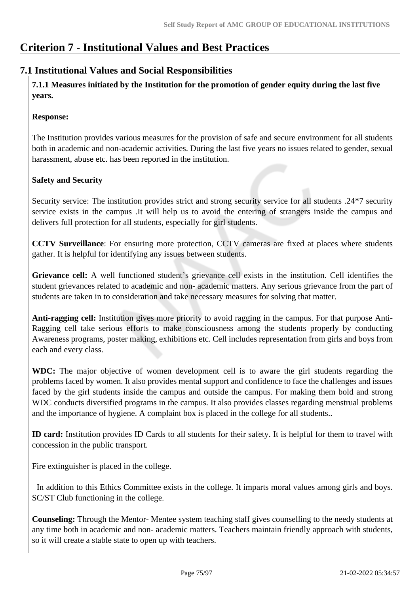# **Criterion 7 - Institutional Values and Best Practices**

## **7.1 Institutional Values and Social Responsibilities**

 **7.1.1 Measures initiated by the Institution for the promotion of gender equity during the last five years.**

## **Response:**

The Institution provides various measures for the provision of safe and secure environment for all students both in academic and non-academic activities. During the last five years no issues related to gender, sexual harassment, abuse etc. has been reported in the institution.

## **Safety and Security**

Security service: The institution provides strict and strong security service for all students .24\*7 security service exists in the campus .It will help us to avoid the entering of strangers inside the campus and delivers full protection for all students, especially for girl students.

**CCTV Surveillance**: For ensuring more protection, CCTV cameras are fixed at places where students gather. It is helpful for identifying any issues between students.

**Grievance cell:** A well functioned student's grievance cell exists in the institution. Cell identifies the student grievances related to academic and non- academic matters. Any serious grievance from the part of students are taken in to consideration and take necessary measures for solving that matter.

**Anti-ragging cell:** Institution gives more priority to avoid ragging in the campus. For that purpose Anti-Ragging cell take serious efforts to make consciousness among the students properly by conducting Awareness programs, poster making, exhibitions etc. Cell includes representation from girls and boys from each and every class.

**WDC:** The major objective of women development cell is to aware the girl students regarding the problems faced by women. It also provides mental support and confidence to face the challenges and issues faced by the girl students inside the campus and outside the campus. For making them bold and strong WDC conducts diversified programs in the campus. It also provides classes regarding menstrual problems and the importance of hygiene. A complaint box is placed in the college for all students..

**ID card:** Institution provides ID Cards to all students for their safety. It is helpful for them to travel with concession in the public transport.

Fire extinguisher is placed in the college.

 In addition to this Ethics Committee exists in the college. It imparts moral values among girls and boys. SC/ST Club functioning in the college.

**Counseling:** Through the Mentor- Mentee system teaching staff gives counselling to the needy students at any time both in academic and non- academic matters. Teachers maintain friendly approach with students, so it will create a stable state to open up with teachers.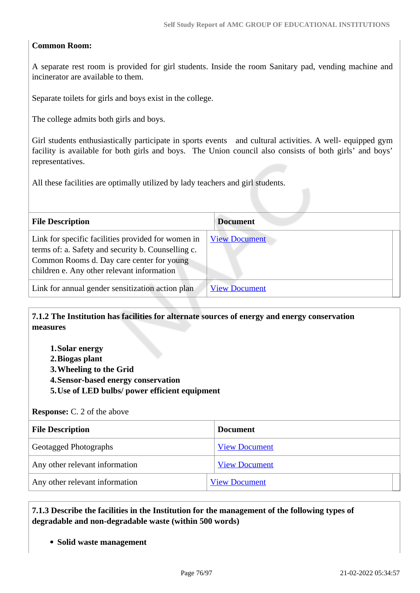#### **Common Room:**

A separate rest room is provided for girl students. Inside the room Sanitary pad, vending machine and incinerator are available to them.

Separate toilets for girls and boys exist in the college.

The college admits both girls and boys.

Girl students enthusiastically participate in sports events and cultural activities. A well- equipped gym facility is available for both girls and boys. The Union council also consists of both girls' and boys' representatives.

All these facilities are optimally utilized by lady teachers and girl students.

| <b>File Description</b>                                                                                                                                                                             | <b>Document</b>      |
|-----------------------------------------------------------------------------------------------------------------------------------------------------------------------------------------------------|----------------------|
| Link for specific facilities provided for women in<br>terms of: a. Safety and security b. Counselling c.<br>Common Rooms d. Day care center for young<br>children e. Any other relevant information | <b>View Document</b> |
| Link for annual gender sensitization action plan                                                                                                                                                    | <b>View Document</b> |

 **7.1.2 The Institution has facilities for alternate sources of energy and energy conservation measures** 

**1.Solar energy** 

- **2.Biogas plant**
- **3.Wheeling to the Grid**
- **4.Sensor-based energy conservation**
- **5.Use of LED bulbs/ power efficient equipment**

**Response:** C. 2 of the above

| <b>File Description</b>        | <b>Document</b>      |
|--------------------------------|----------------------|
| <b>Geotagged Photographs</b>   | <b>View Document</b> |
| Any other relevant information | <b>View Document</b> |
| Any other relevant information | <b>View Document</b> |

 **7.1.3 Describe the facilities in the Institution for the management of the following types of degradable and non-degradable waste (within 500 words)**

**Solid waste management**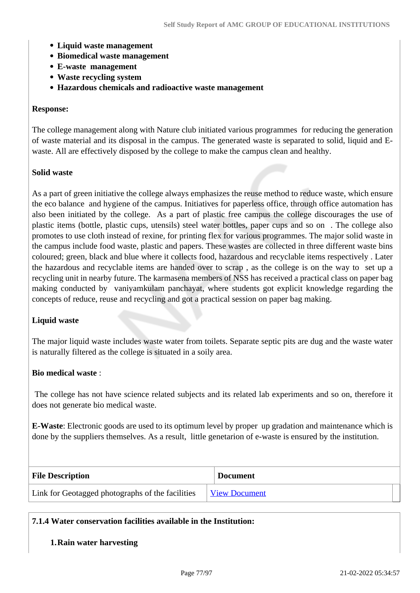- **Liquid waste management**
- **Biomedical waste management**
- **E-waste management**
- **Waste recycling system**
- **Hazardous chemicals and radioactive waste management**

#### **Response:**

The college management along with Nature club initiated various programmes for reducing the generation of waste material and its disposal in the campus. The generated waste is separated to solid, liquid and Ewaste. All are effectively disposed by the college to make the campus clean and healthy.

#### **Solid waste**

As a part of green initiative the college always emphasizes the reuse method to reduce waste, which ensure the eco balance and hygiene of the campus. Initiatives for paperless office, through office automation has also been initiated by the college. As a part of plastic free campus the college discourages the use of plastic items (bottle, plastic cups, utensils) steel water bottles, paper cups and so on . The college also promotes to use cloth instead of rexine, for printing flex for various programmes. The major solid waste in the campus include food waste, plastic and papers. These wastes are collected in three different waste bins coloured; green, black and blue where it collects food, hazardous and recyclable items respectively . Later the hazardous and recyclable items are handed over to scrap , as the college is on the way to set up a recycling unit in nearby future. The karmasena members of NSS has received a practical class on paper bag making conducted by vaniyamkulam panchayat, where students got explicit knowledge regarding the concepts of reduce, reuse and recycling and got a practical session on paper bag making.

## **Liquid waste**

The major liquid waste includes waste water from toilets. Separate septic pits are dug and the waste water is naturally filtered as the college is situated in a soily area.

#### **Bio medical waste** :

 The college has not have science related subjects and its related lab experiments and so on, therefore it does not generate bio medical waste.

**E-Waste**: Electronic goods are used to its optimum level by proper up gradation and maintenance which is done by the suppliers themselves. As a result, little genetarion of e-waste is ensured by the institution.

| <b>File Description</b>                          | <b>Document</b>      |
|--------------------------------------------------|----------------------|
| Link for Geotagged photographs of the facilities | <b>View Document</b> |

#### **7.1.4 Water conservation facilities available in the Institution:**

#### **1.Rain water harvesting**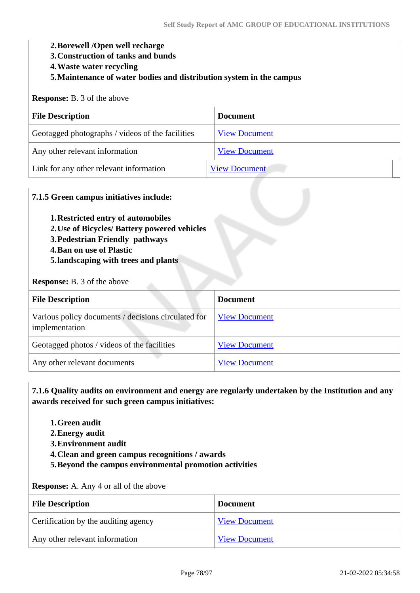#### **2.Borewell /Open well recharge**

- **3.Construction of tanks and bunds**
- **4.Waste water recycling**
- **5.Maintenance of water bodies and distribution system in the campus**

## **Response:** B. 3 of the above

| <b>File Description</b>                          | <b>Document</b>      |
|--------------------------------------------------|----------------------|
| Geotagged photographs / videos of the facilities | <b>View Document</b> |
| Any other relevant information                   | <b>View Document</b> |
| Link for any other relevant information          | <b>View Document</b> |

#### **7.1.5 Green campus initiatives include:**

#### **1.Restricted entry of automobiles**

- **2.Use of Bicycles/ Battery powered vehicles**
- **3.Pedestrian Friendly pathways**
- **4.Ban on use of Plastic**
- **5.landscaping with trees and plants**

#### **Response:** B. 3 of the above

| <b>File Description</b>                                               | <b>Document</b>      |
|-----------------------------------------------------------------------|----------------------|
| Various policy documents / decisions circulated for<br>implementation | <b>View Document</b> |
| Geotagged photos / videos of the facilities                           | <b>View Document</b> |
| Any other relevant documents                                          | <b>View Document</b> |

## **7.1.6 Quality audits on environment and energy are regularly undertaken by the Institution and any awards received for such green campus initiatives:**

- **1.Green audit**
- **2.Energy audit**
- **3.Environment audit**
- **4.Clean and green campus recognitions / awards**
- **5.Beyond the campus environmental promotion activities**

**Response:** A. Any 4 or all of the above

| <b>File Description</b>              | <b>Document</b>      |
|--------------------------------------|----------------------|
| Certification by the auditing agency | <b>View Document</b> |
| Any other relevant information       | <b>View Document</b> |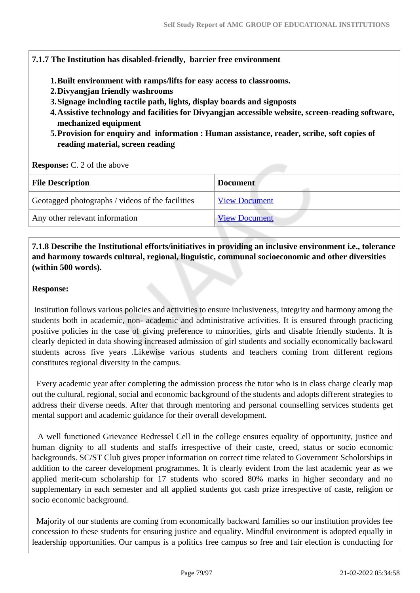#### **7.1.7 The Institution has disabled-friendly, barrier free environment**

- **1.Built environment with ramps/lifts for easy access to classrooms.**
- **2.Divyangjan friendly washrooms**
- **3.Signage including tactile path, lights, display boards and signposts**
- **4.Assistive technology and facilities for Divyangjan accessible website, screen-reading software, mechanized equipment**
- **5.Provision for enquiry and information : Human assistance, reader, scribe, soft copies of reading material, screen reading**

**Response:** C. 2 of the above

| <b>File Description</b>                          | <b>Document</b>      |
|--------------------------------------------------|----------------------|
| Geotagged photographs / videos of the facilities | <b>View Document</b> |
| Any other relevant information                   | <b>View Document</b> |
|                                                  |                      |

## **7.1.8 Describe the Institutional efforts/initiatives in providing an inclusive environment i.e., tolerance and harmony towards cultural, regional, linguistic, communal socioeconomic and other diversities (within 500 words).**

#### **Response:**

 Institution follows various policies and activities to ensure inclusiveness, integrity and harmony among the students both in academic, non- academic and administrative activities. It is ensured through practicing positive policies in the case of giving preference to minorities, girls and disable friendly students. It is clearly depicted in data showing increased admission of girl students and socially economically backward students across five years .Likewise various students and teachers coming from different regions constitutes regional diversity in the campus.

 Every academic year after completing the admission process the tutor who is in class charge clearly map out the cultural, regional, social and economic background of the students and adopts different strategies to address their diverse needs. After that through mentoring and personal counselling services students get mental support and academic guidance for their overall development.

 A well functioned Grievance Redressel Cell in the college ensures equality of opportunity, justice and human dignity to all students and staffs irrespective of their caste, creed, status or socio economic backgrounds. SC/ST Club gives proper information on correct time related to Government Scholorships in addition to the career development programmes. It is clearly evident from the last academic year as we applied merit-cum scholarship for 17 students who scored 80% marks in higher secondary and no supplementary in each semester and all applied students got cash prize irrespective of caste, religion or socio economic background.

 Majority of our students are coming from economically backward families so our institution provides fee concession to these students for ensuring justice and equality. Mindful environment is adopted equally in leadership opportunities. Our campus is a politics free campus so free and fair election is conducting for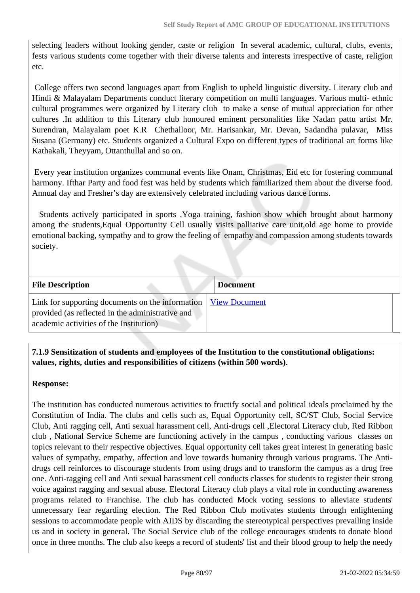selecting leaders without looking gender, caste or religion In several academic, cultural, clubs, events, fests various students come together with their diverse talents and interests irrespective of caste, religion etc.

 College offers two second languages apart from English to upheld linguistic diversity. Literary club and Hindi & Malayalam Departments conduct literary competition on multi languages. Various multi- ethnic cultural programmes were organized by Literary club to make a sense of mutual appreciation for other cultures .In addition to this Literary club honoured eminent personalities like Nadan pattu artist Mr. Surendran, Malayalam poet K.R Chethalloor, Mr. Harisankar, Mr. Devan, Sadandha pulavar, Miss Susana (Germany) etc. Students organized a Cultural Expo on different types of traditional art forms like Kathakali, Theyyam, Ottanthullal and so on.

 Every year institution organizes communal events like Onam, Christmas, Eid etc for fostering communal harmony. Ifthar Party and food fest was held by students which familiarized them about the diverse food. Annual day and Fresher's day are extensively celebrated including various dance forms.

 Students actively participated in sports ,Yoga training, fashion show which brought about harmony among the students,Equal Opportunity Cell usually visits palliative care unit,old age home to provide emotional backing, sympathy and to grow the feeling of empathy and compassion among students towards society.

| <b>File Description</b>                                                                                                                         | <b>Document</b>      |
|-------------------------------------------------------------------------------------------------------------------------------------------------|----------------------|
| Link for supporting documents on the information<br>provided (as reflected in the administrative and<br>academic activities of the Institution) | <b>View Document</b> |

## **7.1.9 Sensitization of students and employees of the Institution to the constitutional obligations: values, rights, duties and responsibilities of citizens (within 500 words).**

## **Response:**

The institution has conducted numerous activities to fructify social and political ideals proclaimed by the Constitution of India. The clubs and cells such as, Equal Opportunity cell, SC/ST Club, Social Service Club, Anti ragging cell, Anti sexual harassment cell, Anti-drugs cell ,Electoral Literacy club, Red Ribbon club , National Service Scheme are functioning actively in the campus , conducting various classes on topics relevant to their respective objectives. Equal opportunity cell takes great interest in generating basic values of sympathy, empathy, affection and love towards humanity through various programs. The Antidrugs cell reinforces to discourage students from using drugs and to transform the campus as a drug free one. Anti-ragging cell and Anti sexual harassment cell conducts classes for students to register their strong voice against ragging and sexual abuse. Electoral Literacy club plays a vital role in conducting awareness programs related to Franchise. The club has conducted Mock voting sessions to alleviate students' unnecessary fear regarding election. The Red Ribbon Club motivates students through enlightening sessions to accommodate people with AIDS by discarding the stereotypical perspectives prevailing inside us and in society in general. The Social Service club of the college encourages students to donate blood once in three months. The club also keeps a record of students' list and their blood group to help the needy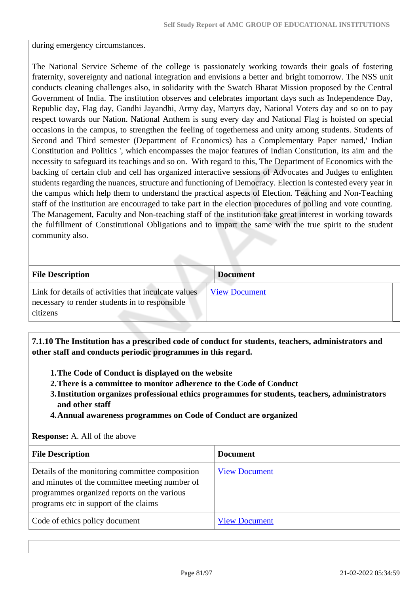during emergency circumstances.

The National Service Scheme of the college is passionately working towards their goals of fostering fraternity, sovereignty and national integration and envisions a better and bright tomorrow. The NSS unit conducts cleaning challenges also, in solidarity with the Swatch Bharat Mission proposed by the Central Government of India. The institution observes and celebrates important days such as Independence Day, Republic day, Flag day, Gandhi Jayandhi, Army day, Martyrs day, National Voters day and so on to pay respect towards our Nation. National Anthem is sung every day and National Flag is hoisted on special occasions in the campus, to strengthen the feeling of togetherness and unity among students. Students of Second and Third semester (Department of Economics) has a Complementary Paper named,' Indian Constitution and Politics ', which encompasses the major features of Indian Constitution, its aim and the necessity to safeguard its teachings and so on. With regard to this, The Department of Economics with the backing of certain club and cell has organized interactive sessions of Advocates and Judges to enlighten students regarding the nuances, structure and functioning of Democracy. Election is contested every year in the campus which help them to understand the practical aspects of Election. Teaching and Non-Teaching staff of the institution are encouraged to take part in the election procedures of polling and vote counting. The Management, Faculty and Non-teaching staff of the institution take great interest in working towards the fulfillment of Constitutional Obligations and to impart the same with the true spirit to the student community also.

| <b>File Description</b>                                                                                            | <b>Document</b>      |
|--------------------------------------------------------------------------------------------------------------------|----------------------|
| Link for details of activities that inculcate values<br>necessary to render students in to responsible<br>citizens | <b>View Document</b> |

 **7.1.10 The Institution has a prescribed code of conduct for students, teachers, administrators and other staff and conducts periodic programmes in this regard.** 

- **1.The Code of Conduct is displayed on the website**
- **2.There is a committee to monitor adherence to the Code of Conduct**
- **3.Institution organizes professional ethics programmes for students, teachers, administrators and other staff**
- **4.Annual awareness programmes on Code of Conduct are organized**

#### **Response:** A. All of the above

| <b>File Description</b>                                                                                                                                                                   | <b>Document</b>      |
|-------------------------------------------------------------------------------------------------------------------------------------------------------------------------------------------|----------------------|
| Details of the monitoring committee composition<br>and minutes of the committee meeting number of<br>programmes organized reports on the various<br>programs etc in support of the claims | <b>View Document</b> |
| Code of ethics policy document                                                                                                                                                            | <b>View Document</b> |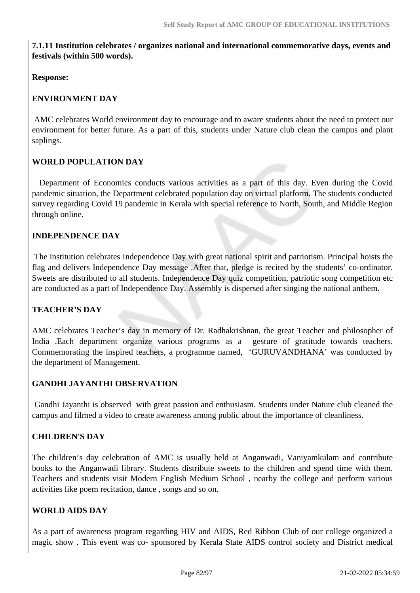**7.1.11 Institution celebrates / organizes national and international commemorative days, events and festivals (within 500 words).**

#### **Response:**

## **ENVIRONMENT DAY**

 AMC celebrates World environment day to encourage and to aware students about the need to protect our environment for better future. As a part of this, students under Nature club clean the campus and plant saplings.

## **WORLD POPULATION DAY**

 Department of Economics conducts various activities as a part of this day. Even during the Covid pandemic situation, the Department celebrated population day on virtual platform. The students conducted survey regarding Covid 19 pandemic in Kerala with special reference to North, South, and Middle Region through online.

## **INDEPENDENCE DAY**

 The institution celebrates Independence Day with great national spirit and patriotism. Principal hoists the flag and delivers Independence Day message .After that, pledge is recited by the students' co-ordinator. Sweets are distributed to all students. Independence Day quiz competition, patriotic song competition etc are conducted as a part of Independence Day. Assembly is dispersed after singing the national anthem.

## **TEACHER'S DAY**

AMC celebrates Teacher's day in memory of Dr. Radhakrishnan, the great Teacher and philosopher of India .Each department organize various programs as a gesture of gratitude towards teachers. Commemorating the inspired teachers, a programme named, 'GURUVANDHANA' was conducted by the department of Management.

## **GANDHI JAYANTHI OBSERVATION**

 Gandhi Jayanthi is observed with great passion and enthusiasm. Students under Nature club cleaned the campus and filmed a video to create awareness among public about the importance of cleanliness.

## **CHILDREN'S DAY**

The children's day celebration of AMC is usually held at Anganwadi, Vaniyamkulam and contribute books to the Anganwadi library. Students distribute sweets to the children and spend time with them. Teachers and students visit Modern English Medium School , nearby the college and perform various activities like poem recitation, dance , songs and so on.

## **WORLD AIDS DAY**

As a part of awareness program regarding HIV and AIDS, Red Ribbon Club of our college organized a magic show . This event was co- sponsored by Kerala State AIDS control society and District medical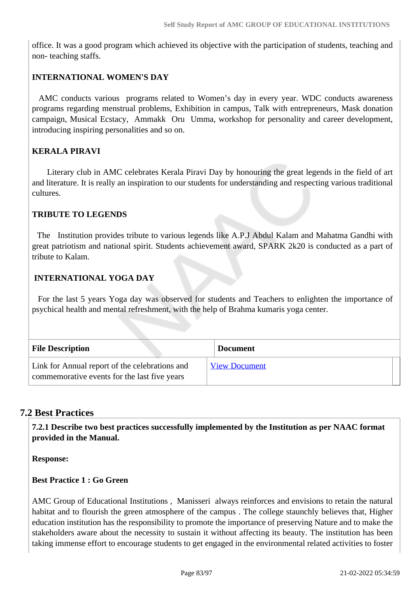office. It was a good program which achieved its objective with the participation of students, teaching and non- teaching staffs.

## **INTERNATIONAL WOMEN'S DAY**

 AMC conducts various programs related to Women's day in every year. WDC conducts awareness programs regarding menstrual problems, Exhibition in campus, Talk with entrepreneurs, Mask donation campaign, Musical Ecstacy, Ammakk Oru Umma, workshop for personality and career development, introducing inspiring personalities and so on.

## **KERALA PIRAVI**

 Literary club in AMC celebrates Kerala Piravi Day by honouring the great legends in the field of art and literature. It is really an inspiration to our students for understanding and respecting various traditional cultures.

## **TRIBUTE TO LEGENDS**

 The Institution provides tribute to various legends like A.P.J Abdul Kalam and Mahatma Gandhi with great patriotism and national spirit. Students achievement award, SPARK 2k20 is conducted as a part of tribute to Kalam.

## **INTERNATIONAL YOGA DAY**

 For the last 5 years Yoga day was observed for students and Teachers to enlighten the importance of psychical health and mental refreshment, with the help of Brahma kumaris yoga center.

| <b>File Description</b>                                                                        | <b>Document</b>      |
|------------------------------------------------------------------------------------------------|----------------------|
| Link for Annual report of the celebrations and<br>commemorative events for the last five years | <b>View Document</b> |

## **7.2 Best Practices**

 **7.2.1 Describe two best practices successfully implemented by the Institution as per NAAC format provided in the Manual.**

**Response:** 

## **Best Practice 1 : Go Green**

AMC Group of Educational Institutions , Manisseri always reinforces and envisions to retain the natural habitat and to flourish the green atmosphere of the campus . The college staunchly believes that, Higher education institution has the responsibility to promote the importance of preserving Nature and to make the stakeholders aware about the necessity to sustain it without affecting its beauty. The institution has been taking immense effort to encourage students to get engaged in the environmental related activities to foster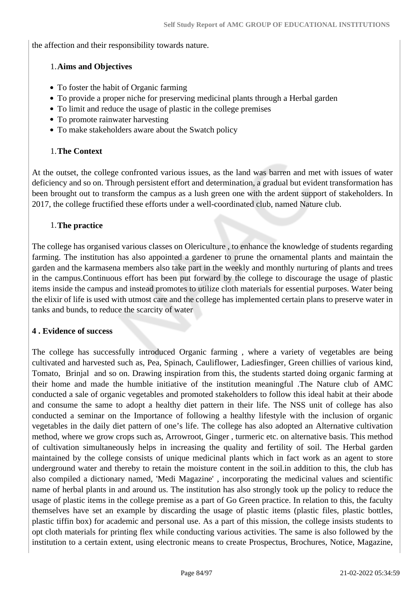the affection and their responsibility towards nature.

## 1.**Aims and Objectives**

- To foster the habit of Organic farming
- To provide a proper niche for preserving medicinal plants through a Herbal garden
- To limit and reduce the usage of plastic in the college premises
- To promote rainwater harvesting
- To make stakeholders aware about the Swatch policy

## 1.**The Context**

At the outset, the college confronted various issues, as the land was barren and met with issues of water deficiency and so on. Through persistent effort and determination, a gradual but evident transformation has been brought out to transform the campus as a lush green one with the ardent support of stakeholders. In 2017, the college fructified these efforts under a well-coordinated club, named Nature club.

## 1.**The practice**

The college has organised various classes on Olericulture , to enhance the knowledge of students regarding farming. The institution has also appointed a gardener to prune the ornamental plants and maintain the garden and the karmasena members also take part in the weekly and monthly nurturing of plants and trees in the campus.Continuous effort has been put forward by the college to discourage the usage of plastic items inside the campus and instead promotes to utilize cloth materials for essential purposes. Water being the elixir of life is used with utmost care and the college has implemented certain plans to preserve water in tanks and bunds, to reduce the scarcity of water

## **4 . Evidence of success**

The college has successfully introduced Organic farming , where a variety of vegetables are being cultivated and harvested such as, Pea, Spinach, Cauliflower, Ladiesfinger, Green chillies of various kind, Tomato, Brinjal and so on. Drawing inspiration from this, the students started doing organic farming at their home and made the humble initiative of the institution meaningful .The Nature club of AMC conducted a sale of organic vegetables and promoted stakeholders to follow this ideal habit at their abode and consume the same to adopt a healthy diet pattern in their life. The NSS unit of college has also conducted a seminar on the Importance of following a healthy lifestyle with the inclusion of organic vegetables in the daily diet pattern of one's life. The college has also adopted an Alternative cultivation method, where we grow crops such as, Arrowroot, Ginger , turmeric etc. on alternative basis. This method of cultivation simultaneously helps in increasing the quality and fertility of soil. The Herbal garden maintained by the college consists of unique medicinal plants which in fact work as an agent to store underground water and thereby to retain the moisture content in the soil.in addition to this, the club has also compiled a dictionary named, 'Medi Magazine' , incorporating the medicinal values and scientific name of herbal plants in and around us. The institution has also strongly took up the policy to reduce the usage of plastic items in the college premise as a part of Go Green practice. In relation to this, the faculty themselves have set an example by discarding the usage of plastic items (plastic files, plastic bottles, plastic tiffin box) for academic and personal use. As a part of this mission, the college insists students to opt cloth materials for printing flex while conducting various activities. The same is also followed by the institution to a certain extent, using electronic means to create Prospectus, Brochures, Notice, Magazine,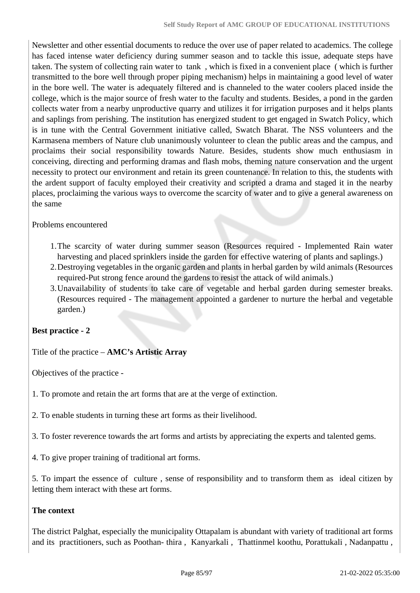Newsletter and other essential documents to reduce the over use of paper related to academics. The college has faced intense water deficiency during summer season and to tackle this issue, adequate steps have taken. The system of collecting rain water to tank , which is fixed in a convenient place ( which is further transmitted to the bore well through proper piping mechanism) helps in maintaining a good level of water in the bore well. The water is adequately filtered and is channeled to the water coolers placed inside the college, which is the major source of fresh water to the faculty and students. Besides, a pond in the garden collects water from a nearby unproductive quarry and utilizes it for irrigation purposes and it helps plants and saplings from perishing. The institution has energized student to get engaged in Swatch Policy, which is in tune with the Central Government initiative called, Swatch Bharat. The NSS volunteers and the Karmasena members of Nature club unanimously volunteer to clean the public areas and the campus, and proclaims their social responsibility towards Nature. Besides, students show much enthusiasm in conceiving, directing and performing dramas and flash mobs, theming nature conservation and the urgent necessity to protect our environment and retain its green countenance. In relation to this, the students with the ardent support of faculty employed their creativity and scripted a drama and staged it in the nearby places, proclaiming the various ways to overcome the scarcity of water and to give a general awareness on the same

## Problems encountered

- 1.The scarcity of water during summer season (Resources required Implemented Rain water harvesting and placed sprinklers inside the garden for effective watering of plants and saplings.)
- 2.Destroying vegetables in the organic garden and plants in herbal garden by wild animals (Resources required-Put strong fence around the gardens to resist the attack of wild animals.)
- 3.Unavailability of students to take care of vegetable and herbal garden during semester breaks. (Resources required - The management appointed a gardener to nurture the herbal and vegetable garden.)

## **Best practice - 2**

Title of the practice – **AMC's Artistic Array**

Objectives of the practice -

1. To promote and retain the art forms that are at the verge of extinction.

2. To enable students in turning these art forms as their livelihood.

3. To foster reverence towards the art forms and artists by appreciating the experts and talented gems.

4. To give proper training of traditional art forms.

5. To impart the essence of culture , sense of responsibility and to transform them as ideal citizen by letting them interact with these art forms.

## **The context**

The district Palghat, especially the municipality Ottapalam is abundant with variety of traditional art forms and its practitioners, such as Poothan- thira , Kanyarkali , Thattinmel koothu, Porattukali , Nadanpattu ,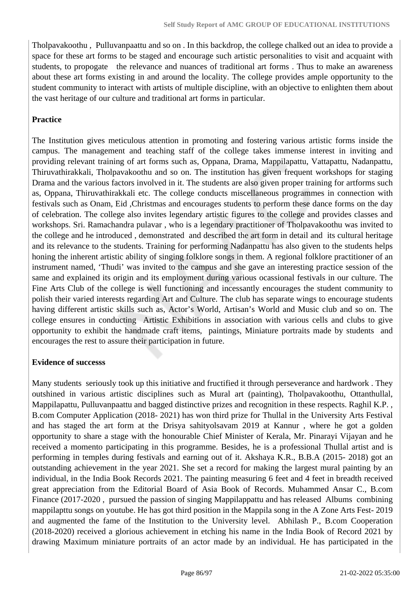Tholpavakoothu , Pulluvanpaattu and so on . In this backdrop, the college chalked out an idea to provide a space for these art forms to be staged and encourage such artistic personalities to visit and acquaint with students, to propogate the relevance and nuances of traditional art forms . Thus to make an awareness about these art forms existing in and around the locality. The college provides ample opportunity to the student community to interact with artists of multiple discipline, with an objective to enlighten them about the vast heritage of our culture and traditional art forms in particular.

#### **Practice**

The Institution gives meticulous attention in promoting and fostering various artistic forms inside the campus. The management and teaching staff of the college takes immense interest in inviting and providing relevant training of art forms such as, Oppana, Drama, Mappilapattu, Vattapattu, Nadanpattu, Thiruvathirakkali, Tholpavakoothu and so on. The institution has given frequent workshops for staging Drama and the various factors involved in it. The students are also given proper training for artforms such as, Oppana, Thiruvathirakkali etc. The college conducts miscellaneous programmes in connection with festivals such as Onam, Eid ,Christmas and encourages students to perform these dance forms on the day of celebration. The college also invites legendary artistic figures to the college and provides classes and workshops. Sri. Ramachandra pulavar , who is a legendary practitioner of Tholpavakoothu was invited to the college and he introduced , demonstrated and described the art form in detail and its cultural heritage and its relevance to the students. Training for performing Nadanpattu has also given to the students helps honing the inherent artistic ability of singing folklore songs in them. A regional folklore practitioner of an instrument named, 'Thudi' was invited to the campus and she gave an interesting practice session of the same and explained its origin and its employment during various ocassional festivals in our culture. The Fine Arts Club of the college is well functioning and incessantly encourages the student community to polish their varied interests regarding Art and Culture. The club has separate wings to encourage students having different artistic skills such as, Actor's World, Artisan's World and Music club and so on. The college ensures in conducting Artistic Exhibitions in association with various cells and clubs to give opportunity to exhibit the handmade craft items, paintings, Miniature portraits made by students and encourages the rest to assure their participation in future.

#### **Evidence of successs**

Many students seriously took up this initiative and fructified it through perseverance and hardwork . They outshined in various artistic disciplines such as Mural art (painting), Tholpavakoothu, Ottanthullal, Mappilapattu, Pulluvanpaattu and bagged distinctive prizes and recognition in these respects. Raghil K.P. , B.com Computer Application (2018- 2021) has won third prize for Thullal in the University Arts Festival and has staged the art form at the Drisya sahityolsavam 2019 at Kannur , where he got a golden opportunity to share a stage with the honourable Chief Minister of Kerala, Mr. Pinarayi Vijayan and he received a momento participating in this programme. Besides, he is a professional Thullal artist and is performing in temples during festivals and earning out of it. Akshaya K.R., B.B.A (2015- 2018) got an outstanding achievement in the year 2021. She set a record for making the largest mural painting by an individual, in the India Book Records 2021. The painting measuring 6 feet and 4 feet in breadth received great appreciation from the Editorial Board of Asia Book of Records. Muhammed Ansar C., B.com Finance (2017-2020 , pursued the passion of singing Mappilappattu and has released Albums combining mappilapttu songs on youtube. He has got third position in the Mappila song in the A Zone Arts Fest- 2019 and augmented the fame of the Institution to the University level. Abhilash P., B.com Cooperation (2018-2020) received a glorious achievement in etching his name in the India Book of Record 2021 by drawing Maximum miniature portraits of an actor made by an individual. He has participated in the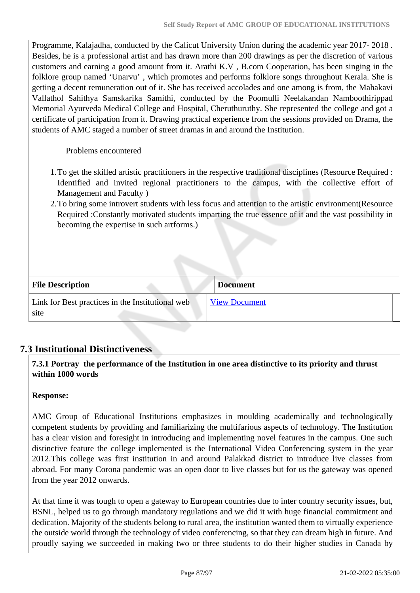Programme, Kalajadha, conducted by the Calicut University Union during the academic year 2017- 2018 . Besides, he is a professional artist and has drawn more than 200 drawings as per the discretion of various customers and earning a good amount from it. Arathi K.V , B.com Cooperation, has been singing in the folklore group named 'Unarvu' , which promotes and performs folklore songs throughout Kerala. She is getting a decent remuneration out of it. She has received accolades and one among is from, the Mahakavi Vallathol Sahithya Samskarika Samithi, conducted by the Poomulli Neelakandan Namboothirippad Memorial Ayurveda Medical College and Hospital, Cheruthuruthy. She represented the college and got a certificate of participation from it. Drawing practical experience from the sessions provided on Drama, the students of AMC staged a number of street dramas in and around the Institution.

Problems encountered

- 1.To get the skilled artistic practitioners in the respective traditional disciplines (Resource Required : Identified and invited regional practitioners to the campus, with the collective effort of Management and Faculty )
- 2.To bring some introvert students with less focus and attention to the artistic environment(Resource Required :Constantly motivated students imparting the true essence of it and the vast possibility in becoming the expertise in such artforms.)

| <b>File Description</b>                                  | <b>Document</b>      |
|----------------------------------------------------------|----------------------|
| Link for Best practices in the Institutional web<br>site | <b>View Document</b> |

## **7.3 Institutional Distinctiveness**

 **7.3.1 Portray the performance of the Institution in one area distinctive to its priority and thrust within 1000 words**

## **Response:**

AMC Group of Educational Institutions emphasizes in moulding academically and technologically competent students by providing and familiarizing the multifarious aspects of technology. The Institution has a clear vision and foresight in introducing and implementing novel features in the campus. One such distinctive feature the college implemented is the International Video Conferencing system in the year 2012.This college was first institution in and around Palakkad district to introduce live classes from abroad. For many Corona pandemic was an open door to live classes but for us the gateway was opened from the year 2012 onwards.

At that time it was tough to open a gateway to European countries due to inter country security issues, but, BSNL, helped us to go through mandatory regulations and we did it with huge financial commitment and dedication. Majority of the students belong to rural area, the institution wanted them to virtually experience the outside world through the technology of video conferencing, so that they can dream high in future. And proudly saying we succeeded in making two or three students to do their higher studies in Canada by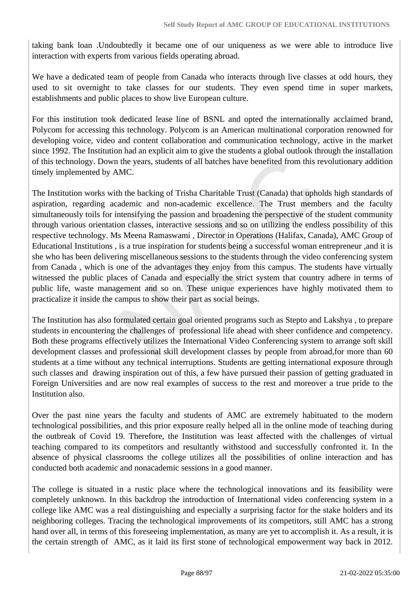taking bank loan .Undoubtedly it became one of our uniqueness as we were able to introduce live interaction with experts from various fields operating abroad.

We have a dedicated team of people from Canada who interacts through live classes at odd hours, they used to sit overnight to take classes for our students. They even spend time in super markets, establishments and public places to show live European culture.

For this institution took dedicated lease line of BSNL and opted the internationally acclaimed brand, Polycom for accessing this technology. Polycom is an American multinational corporation renowned for developing voice, video and content collaboration and communication technology, active in the market since 1992. The Institution had an explicit aim to give the students a global outlook through the installation of this technology. Down the years, students of all batches have benefited from this revolutionary addition timely implemented by AMC.

The Institution works with the backing of Trisha Charitable Trust (Canada) that upholds high standards of aspiration, regarding academic and non-academic excellence. The Trust members and the faculty simultaneously toils for intensifying the passion and broadening the perspective of the student community through various orientation classes, interactive sessions and so on utilizing the endless possibility of this respective technology. Ms Meena Ramaswami , Director in Operations (Halifax, Canada), AMC Group of Educational Institutions , is a true inspiration for students being a successful woman entrepreneur ,and it is she who has been delivering miscellaneous sessions to the students through the video conferencing system from Canada , which is one of the advantages they enjoy from this campus. The students have virtually witnessed the public places of Canada and especially the strict system that country adhere in terms of public life, waste management and so on. These unique experiences have highly motivated them to practicalize it inside the campus to show their part as social beings.

The Institution has also formulated certain goal oriented programs such as Stepto and Lakshya , to prepare students in encountering the challenges of professional life ahead with sheer confidence and competency. Both these programs effectively utilizes the International Video Conferencing system to arrange soft skill development classes and professional skill development classes by people from abroad,for more than 60 students at a time without any technical interruptions. Students are getting international exposure through such classes and drawing inspiration out of this, a few have pursued their passion of getting graduated in Foreign Universities and are now real examples of success to the rest and moreover a true pride to the Institution also.

Over the past nine years the faculty and students of AMC are extremely habituated to the modern technological possibilities, and this prior exposure really helped all in the online mode of teaching during the outbreak of Covid 19. Therefore, the Institution was least affected with the challenges of virtual teaching compared to its competitors and resultantly withstood and successfully confronted it. In the absence of physical classrooms the college utilizes all the possibilities of online interaction and has conducted both academic and nonacademic sessions in a good manner.

The college is situated in a rustic place where the technological innovations and its feasibility were completely unknown. In this backdrop the introduction of International video conferencing system in a college like AMC was a real distinguishing and especially a surprising factor for the stake holders and its neighboring colleges. Tracing the technological improvements of its competitors, still AMC has a strong hand over all, in terms of this foreseeing implementation, as many are yet to accomplish it. As a result, it is the certain strength of AMC, as it laid its first stone of technological empowerment way back in 2012.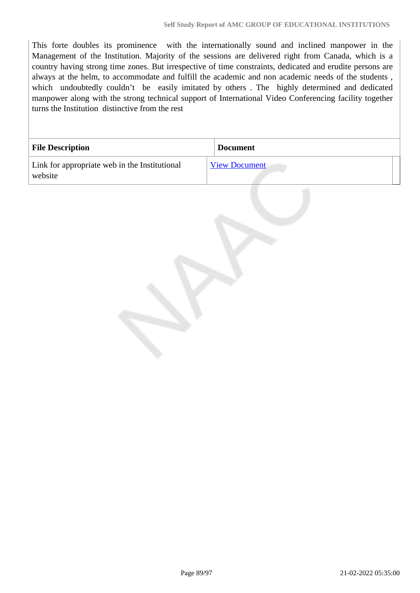This forte doubles its prominence with the internationally sound and inclined manpower in the Management of the Institution. Majority of the sessions are delivered right from Canada, which is a country having strong time zones. But irrespective of time constraints, dedicated and erudite persons are always at the helm, to accommodate and fulfill the academic and non academic needs of the students , which undoubtedly couldn't be easily imitated by others . The highly determined and dedicated manpower along with the strong technical support of International Video Conferencing facility together turns the Institution distinctive from the rest

| <b>File Description</b>                                  | <b>Document</b>      |
|----------------------------------------------------------|----------------------|
| Link for appropriate web in the Institutional<br>website | <b>View Document</b> |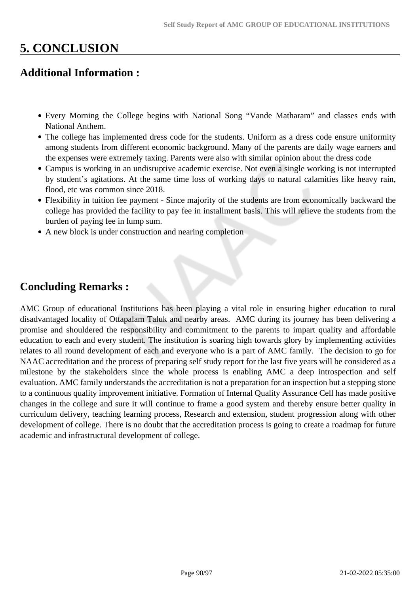# **5. CONCLUSION**

# **Additional Information :**

- Every Morning the College begins with National Song "Vande Matharam" and classes ends with National Anthem.
- The college has implemented dress code for the students. Uniform as a dress code ensure uniformity among students from different economic background. Many of the parents are daily wage earners and the expenses were extremely taxing. Parents were also with similar opinion about the dress code
- Campus is working in an undisruptive academic exercise. Not even a single working is not interrupted by student's agitations. At the same time loss of working days to natural calamities like heavy rain, flood, etc was common since 2018.
- Flexibility in tuition fee payment Since majority of the students are from economically backward the college has provided the facility to pay fee in installment basis. This will relieve the students from the burden of paying fee in lump sum.
- A new block is under construction and nearing completion

# **Concluding Remarks :**

AMC Group of educational Institutions has been playing a vital role in ensuring higher education to rural disadvantaged locality of Ottapalam Taluk and nearby areas. AMC during its journey has been delivering a promise and shouldered the responsibility and commitment to the parents to impart quality and affordable education to each and every student. The institution is soaring high towards glory by implementing activities relates to all round development of each and everyone who is a part of AMC family. The decision to go for NAAC accreditation and the process of preparing self study report for the last five years will be considered as a milestone by the stakeholders since the whole process is enabling AMC a deep introspection and self evaluation. AMC family understands the accreditation is not a preparation for an inspection but a stepping stone to a continuous quality improvement initiative. Formation of Internal Quality Assurance Cell has made positive changes in the college and sure it will continue to frame a good system and thereby ensure better quality in curriculum delivery, teaching learning process, Research and extension, student progression along with other development of college. There is no doubt that the accreditation process is going to create a roadmap for future academic and infrastructural development of college.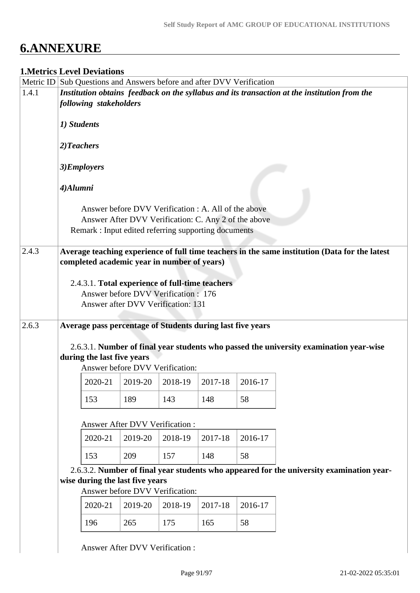# **6.ANNEXURE**

# **1.Metrics Level Deviations** Metric ID  $\vert$  Sub Questions and Answers before and after DVV Verification 1.4.1 *Institution obtains feedback on the syllabus and its transaction at the institution from the following stakeholders 1) Students 2)Teachers 3)Employers 4)Alumni*  Answer before DVV Verification : A. All of the above Answer After DVV Verification: C. Any 2 of the above Remark : Input edited referring supporting documents 2.4.3 **Average teaching experience of full time teachers in the same institution (Data for the latest completed academic year in number of years)**  2.4.3.1. **Total experience of full-time teachers** Answer before DVV Verification : 176 Answer after DVV Verification: 131 2.6.3 **Average pass percentage of Students during last five years**  2.6.3.1. **Number of final year students who passed the university examination year-wise during the last five years** Answer before DVV Verification: 2020-21 2019-20 2018-19 2017-18 2016-17 153 | 189 | 143 | 148 | 58 Answer After DVV Verification : 2020-21 2019-20 2018-19 2017-18 2016-17 153 | 209 | 157 | 148 | 58 2.6.3.2. **Number of final year students who appeared for the university examination yearwise during the last five years** Answer before DVV Verification: 2020-21 2019-20 2018-19 2017-18 2016-17 196 | 265 | 175 | 165 | 58

Answer After DVV Verification :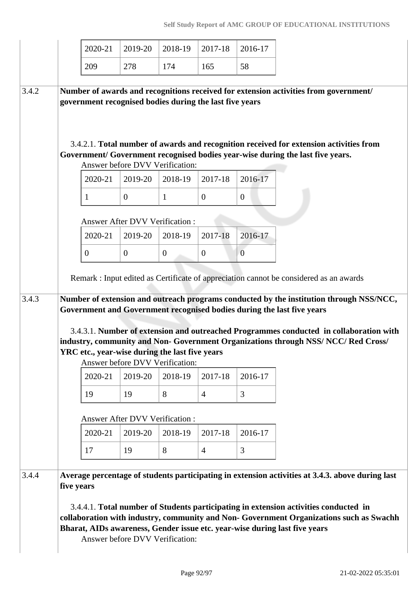|       |            | 2020-21                                                 | 2019-20                               | 2018-19      | 2017-18        | 2016-17        |                                                                                                                                                                                                                                                               |
|-------|------------|---------------------------------------------------------|---------------------------------------|--------------|----------------|----------------|---------------------------------------------------------------------------------------------------------------------------------------------------------------------------------------------------------------------------------------------------------------|
|       |            | 209                                                     | 278                                   | 174          | 165            | 58             |                                                                                                                                                                                                                                                               |
| 3.4.2 |            | government recognised bodies during the last five years |                                       |              |                |                | Number of awards and recognitions received for extension activities from government/<br>3.4.2.1. Total number of awards and recognition received for extension activities from                                                                                |
|       |            |                                                         | Answer before DVV Verification:       |              |                |                | Government/ Government recognised bodies year-wise during the last five years.                                                                                                                                                                                |
|       |            | 2020-21                                                 | 2019-20                               | 2018-19      | 2017-18        | 2016-17        |                                                                                                                                                                                                                                                               |
|       |            | 1                                                       | $\overline{0}$                        | $\mathbf{1}$ | $\overline{0}$ | $\theta$       |                                                                                                                                                                                                                                                               |
|       |            |                                                         | <b>Answer After DVV Verification:</b> |              |                |                |                                                                                                                                                                                                                                                               |
|       |            | 2020-21                                                 | 2019-20                               | 2018-19      | 2017-18        | 2016-17        |                                                                                                                                                                                                                                                               |
|       |            | 0                                                       | $\overline{0}$                        | $\theta$     | $\overline{0}$ | $\overline{0}$ |                                                                                                                                                                                                                                                               |
|       |            |                                                         |                                       |              |                |                | Remark : Input edited as Certificate of appreciation cannot be considered as an awards                                                                                                                                                                        |
| 3.4.3 |            |                                                         |                                       |              |                |                | Number of extension and outreach programs conducted by the institution through NSS/NCC,<br>Government and Government recognised bodies during the last five years                                                                                             |
|       |            | YRC etc., year-wise during the last five years          | Answer before DVV Verification:       |              |                |                | 3.4.3.1. Number of extension and outreached Programmes conducted in collaboration with<br>industry, community and Non- Government Organizations through NSS/ NCC/ Red Cross/                                                                                  |
|       |            | 2020-21                                                 | 2019-20                               | 2018-19      | 2017-18        | 2016-17        |                                                                                                                                                                                                                                                               |
|       |            | 19                                                      | 19                                    | 8            | $\overline{4}$ | 3              |                                                                                                                                                                                                                                                               |
|       |            |                                                         | Answer After DVV Verification :       |              |                |                |                                                                                                                                                                                                                                                               |
|       |            | 2020-21                                                 | 2019-20                               | 2018-19      | 2017-18        | 2016-17        |                                                                                                                                                                                                                                                               |
|       |            | 17                                                      | 19                                    | 8            | $\overline{4}$ | 3              |                                                                                                                                                                                                                                                               |
| 3.4.4 | five years |                                                         |                                       |              |                |                | Average percentage of students participating in extension activities at 3.4.3. above during last                                                                                                                                                              |
|       |            |                                                         | Answer before DVV Verification:       |              |                |                | 3.4.4.1. Total number of Students participating in extension activities conducted in<br>collaboration with industry, community and Non- Government Organizations such as Swachh<br>Bharat, AIDs awareness, Gender issue etc. year-wise during last five years |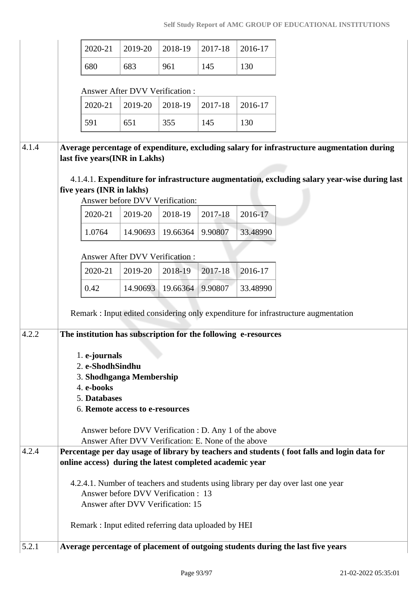|       | 2020-21                                                                                                                                                                                                                                      | 2019-20                                                                                                       | 2018-19  | 2017-18 | 2016-17  |
|-------|----------------------------------------------------------------------------------------------------------------------------------------------------------------------------------------------------------------------------------------------|---------------------------------------------------------------------------------------------------------------|----------|---------|----------|
|       | 680                                                                                                                                                                                                                                          | 683                                                                                                           | 961      | 145     | 130      |
|       |                                                                                                                                                                                                                                              | Answer After DVV Verification :                                                                               |          |         |          |
|       | 2020-21                                                                                                                                                                                                                                      | 2019-20                                                                                                       | 2018-19  | 2017-18 | 2016-17  |
|       | 591                                                                                                                                                                                                                                          | 651                                                                                                           | 355      | 145     | 130      |
| 4.1.4 | Average percentage of expenditure, excluding salary for infrastructure augmentation during<br>last five years(INR in Lakhs)<br>4.1.4.1. Expenditure for infrastructure augmentation, excluding salary year-wise during last                  |                                                                                                               |          |         |          |
|       | five years (INR in lakhs)                                                                                                                                                                                                                    | Answer before DVV Verification:                                                                               |          |         |          |
|       | 2020-21                                                                                                                                                                                                                                      | 2019-20                                                                                                       | 2018-19  | 2017-18 | 2016-17  |
|       | 1.0764                                                                                                                                                                                                                                       | 14.90693                                                                                                      | 19.66364 | 9.90807 | 33.48990 |
|       |                                                                                                                                                                                                                                              | Answer After DVV Verification :                                                                               |          |         |          |
|       | 2020-21                                                                                                                                                                                                                                      | 2019-20                                                                                                       | 2018-19  | 2017-18 | 2016-17  |
|       | 0.42                                                                                                                                                                                                                                         | 14.90693                                                                                                      | 19.66364 | 9.90807 | 33.48990 |
|       | Remark : Input edited considering only expenditure for infrastructure augmentation                                                                                                                                                           |                                                                                                               |          |         |          |
| 4.2.2 | The institution has subscription for the following e-resources<br>1. e-journals<br>2. e-ShodhSindhu<br>3. Shodhganga Membership<br>4. e-books<br>5. Databases<br>6. Remote access to e-resources                                             | Answer before DVV Verification : D. Any 1 of the above<br>Answer After DVV Verification: E. None of the above |          |         |          |
| 4.2.4 | Percentage per day usage of library by teachers and students (foot falls and login data for<br>online access) during the latest completed academic year<br>4.2.4.1. Number of teachers and students using library per day over last one year | Answer before DVV Verification : 13<br>Answer after DVV Verification: 15                                      |          |         |          |
|       | Remark: Input edited referring data uploaded by HEI                                                                                                                                                                                          |                                                                                                               |          |         |          |
| 5.2.1 | Average percentage of placement of outgoing students during the last five years                                                                                                                                                              |                                                                                                               |          |         |          |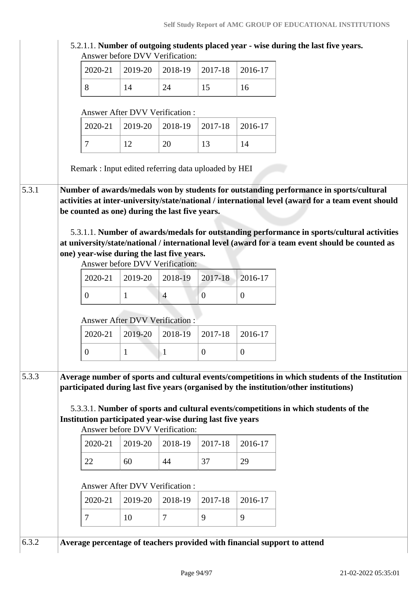| 5.2.1.1. Number of outgoing students placed year - wise during the last five years. |  |
|-------------------------------------------------------------------------------------|--|
| Answer before DVV Verification:                                                     |  |

|  | 2020-21   2019-20   2018-19   2017-18   2016-17 |               |    |
|--|-------------------------------------------------|---------------|----|
|  |                                                 | $\mathcal{L}$ | 16 |

#### Answer After DVV Verification :

|  | 2020-21   2019-20   2018-19   2017-18   2016-17 |  |
|--|-------------------------------------------------|--|
|  |                                                 |  |

Remark : Input edited referring data uploaded by HEI

5.3.1 **Number of awards/medals won by students for outstanding performance in sports/cultural activities at inter-university/state/national / international level (award for a team event should be counted as one) during the last five years.**

 5.3.1.1. **Number of awards/medals for outstanding performance in sports/cultural activities at university/state/national / international level (award for a team event should be counted as one) year-wise during the last five years.**

Answer before DVV Verification:

|  | $2020-21$   2019-20   2018-19   2017-18   2016-17 |  |
|--|---------------------------------------------------|--|
|  |                                                   |  |

## Answer After DVV Verification :

|  | 2020-21   2019-20   2018-19   2017-18   2016-17 |  |
|--|-------------------------------------------------|--|
|  |                                                 |  |

5.3.3 **Average number of sports and cultural events/competitions in which students of the Institution participated during last five years (organised by the institution/other institutions)**

> 5.3.3.1. **Number of sports and cultural events/competitions in which students of the Institution participated year-wise during last five years**

Answer before DVV Verification:

|  |    | $2020-21$   2019-20   2018-19   2017-18   2016-17 |    |
|--|----|---------------------------------------------------|----|
|  | 60 | -37                                               | 29 |

#### Answer After DVV Verification :

|  | $2020-21$   2019-20   2018-19   2017-18   2016-17 |  |
|--|---------------------------------------------------|--|
|  |                                                   |  |

$$
5.3.2
$$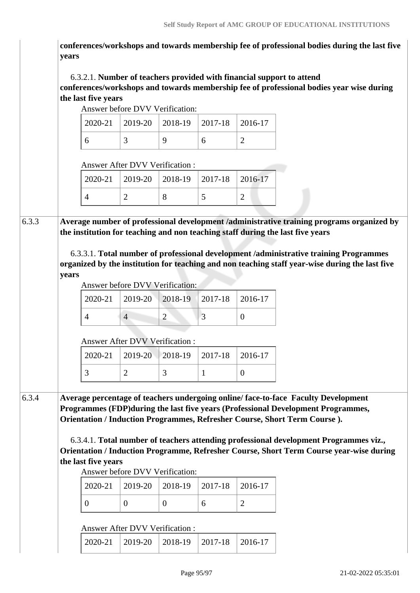**conferences/workshops and towards membership fee of professional bodies during the last five years**

## 6.3.2.1. **Number of teachers provided with financial support to attend**

**conferences/workshops and towards membership fee of professional bodies year wise during the last five years**

Answer before DVV Verification:

|  | $2020-21$   2019-20   2018-19   2017-18   2016-17 |  |
|--|---------------------------------------------------|--|
|  |                                                   |  |

Answer After DVV Verification :

| $2020-21$   2019-20   2018-19   2017-18   2016-17 |  |  |
|---------------------------------------------------|--|--|
|                                                   |  |  |

6.3.3 **Average number of professional development /administrative training programs organized by the institution for teaching and non teaching staff during the last five years**

> 6.3.3.1. **Total number of professional development /administrative training Programmes organized by the institution for teaching and non teaching staff year-wise during the last five years**

Answer before DVV Verification:

|  |  | $2020-21$   2019-20   2018-19   2017-18   2016-17 |
|--|--|---------------------------------------------------|
|  |  |                                                   |

Answer After DVV Verification :

|  | 2020-21   2019-20   2018-19   2017-18   2016-17 |  |  |
|--|-------------------------------------------------|--|--|
|  |                                                 |  |  |

6.3.4 **Average percentage of teachers undergoing online/ face-to-face Faculty Development Programmes (FDP)during the last five years (Professional Development Programmes, Orientation / Induction Programmes, Refresher Course, Short Term Course ).**

> 6.3.4.1. **Total number of teachers attending professional development Programmes viz., Orientation / Induction Programme, Refresher Course, Short Term Course year-wise during the last five years**

Answer before DVV Verification:

|  | $\mid$ 2020-21 $\mid$ 2019-20 $\mid$ 2018-19 $\mid$ 2017-18 $\mid$ 2016-17 |  |  |
|--|----------------------------------------------------------------------------|--|--|
|  |                                                                            |  |  |

#### Answer After DVV Verification :

|  | $2020 - 21$ |  | 2019-20   2018-19   2017-18   2016-17 |  |  |
|--|-------------|--|---------------------------------------|--|--|
|--|-------------|--|---------------------------------------|--|--|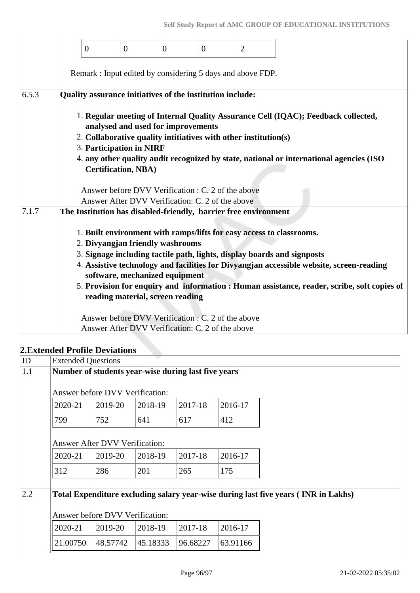|       | $\overline{0}$                                                  | $\overline{0}$                                         | $\overline{0}$                                                                                                                                              | $\theta$ | $\overline{2}$ |                                                                                                                                                                              |                                                                                                                                                                                         |
|-------|-----------------------------------------------------------------|--------------------------------------------------------|-------------------------------------------------------------------------------------------------------------------------------------------------------------|----------|----------------|------------------------------------------------------------------------------------------------------------------------------------------------------------------------------|-----------------------------------------------------------------------------------------------------------------------------------------------------------------------------------------|
|       |                                                                 |                                                        | Remark: Input edited by considering 5 days and above FDP.                                                                                                   |          |                |                                                                                                                                                                              |                                                                                                                                                                                         |
| 6.5.3 | Quality assurance initiatives of the institution include:       |                                                        |                                                                                                                                                             |          |                |                                                                                                                                                                              |                                                                                                                                                                                         |
|       |                                                                 | 3. Participation in NIRF<br><b>Certification, NBA)</b> | analysed and used for improvements<br>2. Collaborative quality intitiatives with other institution(s)<br>Answer before DVV Verification : C. 2 of the above |          |                | 1. Regular meeting of Internal Quality Assurance Cell (IQAC); Feedback collected,<br>4. any other quality audit recognized by state, national or international agencies (ISO |                                                                                                                                                                                         |
|       |                                                                 |                                                        | Answer After DVV Verification: C. 2 of the above                                                                                                            |          |                |                                                                                                                                                                              |                                                                                                                                                                                         |
| 7.1.7 | The Institution has disabled-friendly, barrier free environment |                                                        |                                                                                                                                                             |          |                |                                                                                                                                                                              |                                                                                                                                                                                         |
|       |                                                                 |                                                        | 2. Divyangjan friendly washrooms<br>software, mechanized equipment<br>reading material, screen reading                                                      |          |                | 1. Built environment with ramps/lifts for easy access to classrooms.<br>3. Signage including tactile path, lights, display boards and signposts                              | 4. Assistive technology and facilities for Divyangjan accessible website, screen-reading<br>5. Provision for enquiry and information : Human assistance, reader, scribe, soft copies of |
|       |                                                                 |                                                        | Answer before DVV Verification : C. 2 of the above<br>Answer After DVV Verification: C. 2 of the above                                                      |          |                |                                                                                                                                                                              |                                                                                                                                                                                         |

## **2.Extended Profile Deviations**

|     | 2.LARHURU 1 I VIIIR DRTIUDIID |                                                     |         |         |                                                                                    |
|-----|-------------------------------|-----------------------------------------------------|---------|---------|------------------------------------------------------------------------------------|
| ID  | <b>Extended Questions</b>     |                                                     |         |         |                                                                                    |
| 1.1 |                               | Number of students year-wise during last five years |         |         |                                                                                    |
|     |                               |                                                     |         |         |                                                                                    |
|     |                               | Answer before DVV Verification:                     |         |         |                                                                                    |
|     | 2020-21                       | 2019-20                                             | 2018-19 | 2017-18 | 2016-17                                                                            |
|     | 799                           | 752                                                 | 641     | 617     | 412                                                                                |
|     |                               |                                                     |         |         |                                                                                    |
|     |                               | <b>Answer After DVV Verification:</b>               |         |         |                                                                                    |
|     | 2020-21                       | 2019-20                                             | 2018-19 | 2017-18 | 2016-17                                                                            |
|     | 312                           | 286                                                 | 201     | 265     | 175                                                                                |
|     |                               |                                                     |         |         |                                                                                    |
| 2.2 |                               |                                                     |         |         | Total Expenditure excluding salary year-wise during last five years (INR in Lakhs) |
|     |                               |                                                     |         |         |                                                                                    |
|     |                               | Answer before DVV Verification:                     |         |         |                                                                                    |
|     |                               |                                                     |         |         |                                                                                    |
|     | 2020-21                       | 2019-20                                             | 2018-19 | 2017-18 | 2016-17                                                                            |